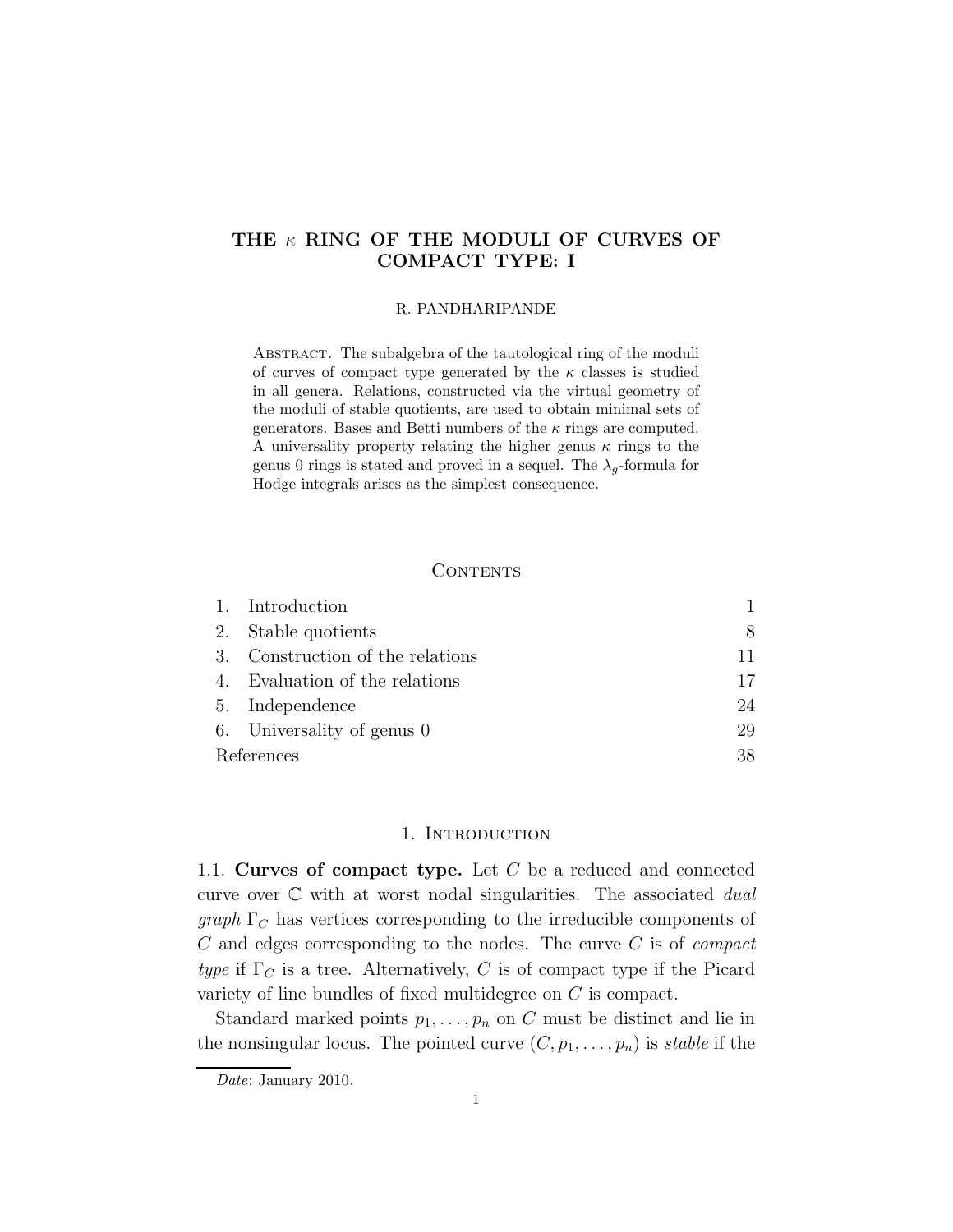# THE  $\kappa$  RING OF THE MODULI OF CURVES OF COMPACT TYPE: I

#### R. PANDHARIPANDE

Abstract. The subalgebra of the tautological ring of the moduli of curves of compact type generated by the  $\kappa$  classes is studied in all genera. Relations, constructed via the virtual geometry of the moduli of stable quotients, are used to obtain minimal sets of generators. Bases and Betti numbers of the  $\kappa$  rings are computed. A universality property relating the higher genus  $\kappa$  rings to the genus 0 rings is stated and proved in a sequel. The  $\lambda_g$ -formula for Hodge integrals arises as the simplest consequence.

## CONTENTS

|            | 1. Introduction                  |    |
|------------|----------------------------------|----|
|            | 2. Stable quotients              | 8  |
|            | 3. Construction of the relations | 11 |
|            | 4. Evaluation of the relations   | 17 |
|            | 5. Independence                  | 24 |
|            | 6. Universality of genus 0       | 29 |
| References |                                  | 38 |

## 1. INTRODUCTION

1.1. Curves of compact type. Let  $C$  be a reduced and connected curve over  $\mathbb C$  with at worst nodal singularities. The associated *dual*  $graph \Gamma_C$  has vertices corresponding to the irreducible components of  $C$  and edges corresponding to the nodes. The curve  $C$  is of *compact* type if  $\Gamma_C$  is a tree. Alternatively, C is of compact type if the Picard variety of line bundles of fixed multidegree on C is compact.

Standard marked points  $p_1, \ldots, p_n$  on C must be distinct and lie in the nonsingular locus. The pointed curve  $(C, p_1, \ldots, p_n)$  is stable if the

Date: January 2010.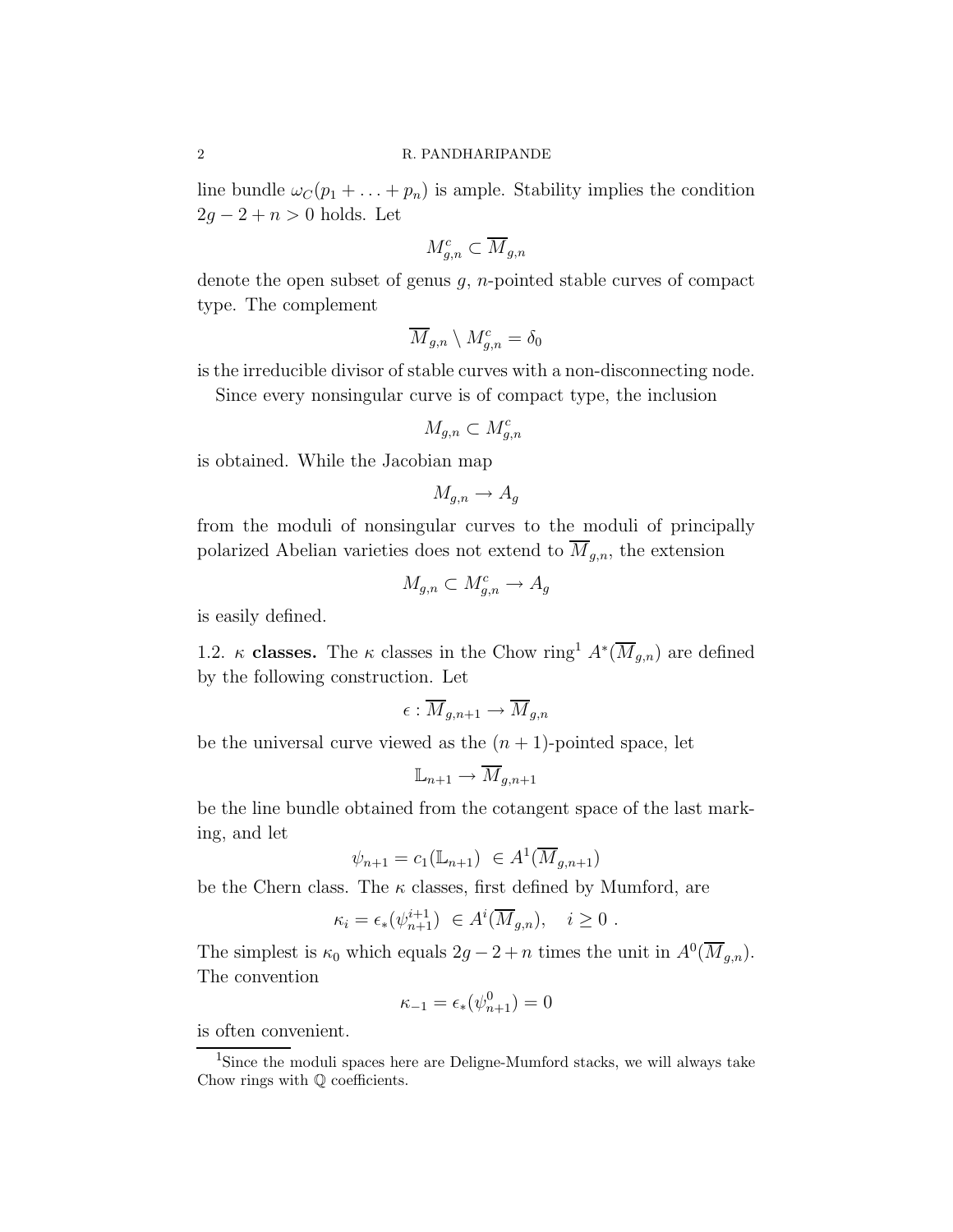line bundle  $\omega_C(p_1 + \ldots + p_n)$  is ample. Stability implies the condition  $2g - 2 + n > 0$  holds. Let

$$
M_{g,n}^c \subset \overline{M}_{g,n}
$$

denote the open subset of genus  $g$ , *n*-pointed stable curves of compact type. The complement

$$
\overline{M}_{g,n}\setminus M_{g,n}^c=\delta_0
$$

is the irreducible divisor of stable curves with a non-disconnecting node.

Since every nonsingular curve is of compact type, the inclusion

$$
M_{g,n} \subset M_{g,n}^c
$$

is obtained. While the Jacobian map

$$
M_{g,n} \to A_g
$$

from the moduli of nonsingular curves to the moduli of principally polarized Abelian varieties does not extend to  $\overline{M}_{g,n}$ , the extension

$$
M_{g,n} \subset M_{g,n}^c \to A_g
$$

is easily defined.

1.2. κ classes. The κ classes in the Chow ring<sup>1</sup>  $A^*(\overline{M}_{g,n})$  are defined by the following construction. Let

$$
\epsilon: \overline{M}_{g,n+1} \to \overline{M}_{g,n}
$$

be the universal curve viewed as the  $(n + 1)$ -pointed space, let

$$
\mathbb{L}_{n+1} \to \overline{M}_{g,n+1}
$$

be the line bundle obtained from the cotangent space of the last marking, and let

$$
\psi_{n+1} = c_1(\mathbb{L}_{n+1}) \in A^1(\overline{M}_{g,n+1})
$$

be the Chern class. The  $\kappa$  classes, first defined by Mumford, are

$$
\kappa_i = \epsilon_*(\psi_{n+1}^{i+1}) \in A^i(\overline{M}_{g,n}), \quad i \ge 0.
$$

The simplest is  $\kappa_0$  which equals  $2g - 2 + n$  times the unit in  $A^0(\overline{M}_{g,n})$ . The convention

$$
\kappa_{-1} = \epsilon_*(\psi_{n+1}^0) = 0
$$

is often convenient.

<sup>&</sup>lt;sup>1</sup>Since the moduli spaces here are Deligne-Mumford stacks, we will always take Chow rings with Q coefficients.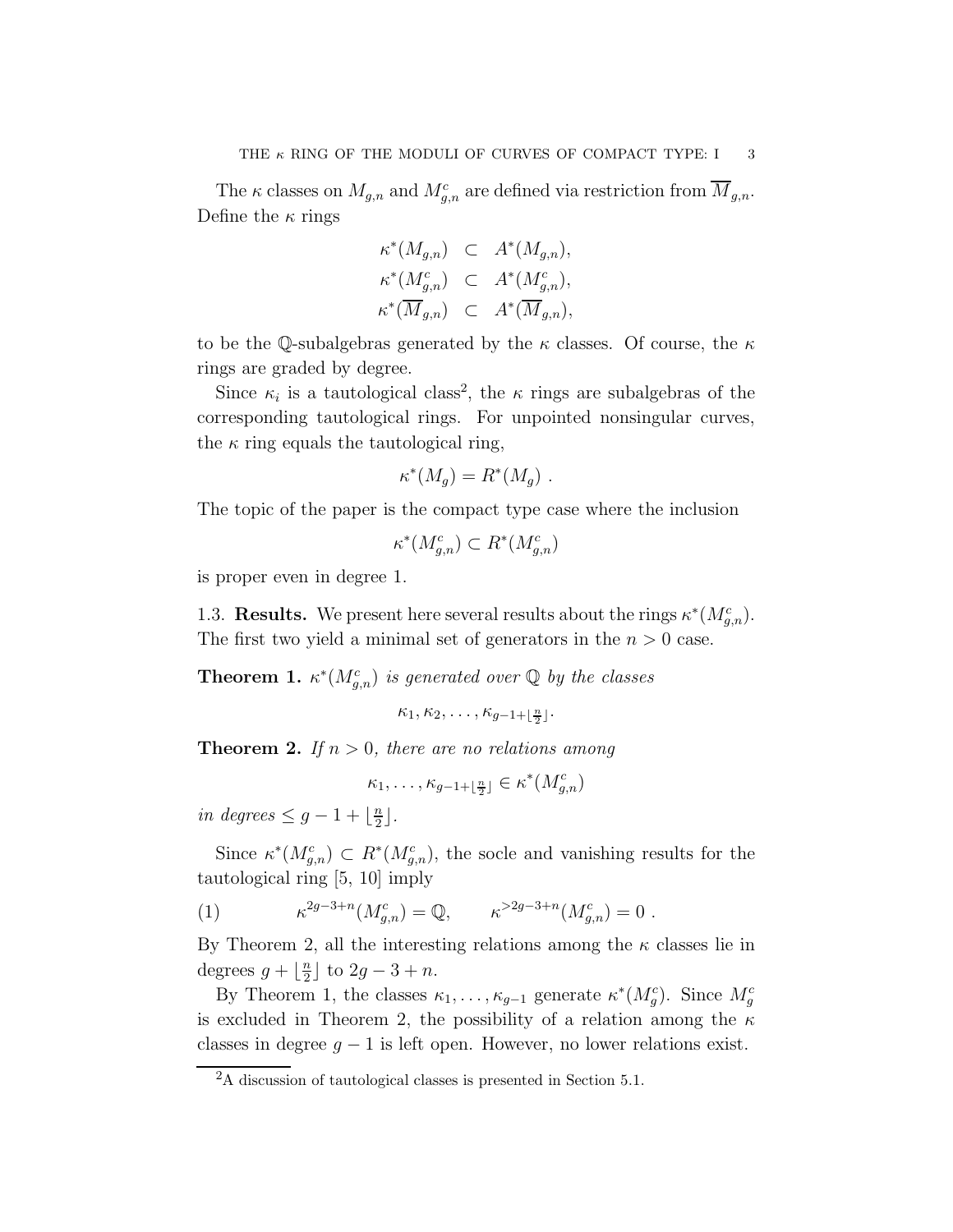The  $\kappa$  classes on  $M_{g,n}$  and  $M_{g,n}^c$  are defined via restriction from  $\overline{M}_{g,n}$ . Define the  $\kappa$  rings

$$
\begin{aligned}\n\kappa^*(M_{g,n}) &\subset A^*(M_{g,n}), \\
\kappa^*(M_{g,n}^c) &\subset A^*(M_{g,n}^c), \\
\kappa^*(\overline{M}_{g,n}) &\subset A^*(\overline{M}_{g,n}),\n\end{aligned}
$$

to be the Q-subalgebras generated by the  $\kappa$  classes. Of course, the  $\kappa$ rings are graded by degree.

Since  $\kappa_i$  is a tautological class<sup>2</sup>, the  $\kappa$  rings are subalgebras of the corresponding tautological rings. For unpointed nonsingular curves, the  $\kappa$  ring equals the tautological ring,

$$
\kappa^*(M_g) = R^*(M_g) .
$$

The topic of the paper is the compact type case where the inclusion

$$
\kappa^*(M_{g,n}^c) \subset R^*(M_{g,n}^c)
$$

is proper even in degree 1.

1.3. **Results.** We present here several results about the rings  $\kappa^*(M_{g,n}^c)$ . The first two yield a minimal set of generators in the  $n > 0$  case.

**Theorem 1.**  $\kappa^*(M_{g,n}^c)$  is generated over  $\mathbb Q$  by the classes

$$
\kappa_1, \kappa_2, \ldots, \kappa_{g-1+\lfloor \frac{n}{2} \rfloor}.
$$

**Theorem 2.** If  $n > 0$ , there are no relations among

$$
\kappa_1, \ldots, \kappa_{g-1+\lfloor \frac{n}{2} \rfloor} \in \kappa^*(M_{g,n}^c)
$$

in degrees  $\leq g-1+\lfloor\frac{n}{2}\rfloor$  $\frac{n}{2}$ .

Since  $\kappa^*(M_{g,n}^c) \subset R^*(M_{g,n}^c)$ , the socle and vanishing results for the tautological ring [5, 10] imply

(1) 
$$
\kappa^{2g-3+n}(M_{g,n}^c) = \mathbb{Q}, \qquad \kappa^{>2g-3+n}(M_{g,n}^c) = 0.
$$

By Theorem 2, all the interesting relations among the  $\kappa$  classes lie in degrees  $g + \frac{n}{2}$  $\frac{n}{2}$  to  $2g-3+n$ .

By Theorem 1, the classes  $\kappa_1, \ldots, \kappa_{g-1}$  generate  $\kappa^*(M_g^c)$ . Since  $M_g^c$ is excluded in Theorem 2, the possibility of a relation among the  $\kappa$ classes in degree  $g - 1$  is left open. However, no lower relations exist.

<sup>2</sup>A discussion of tautological classes is presented in Section 5.1.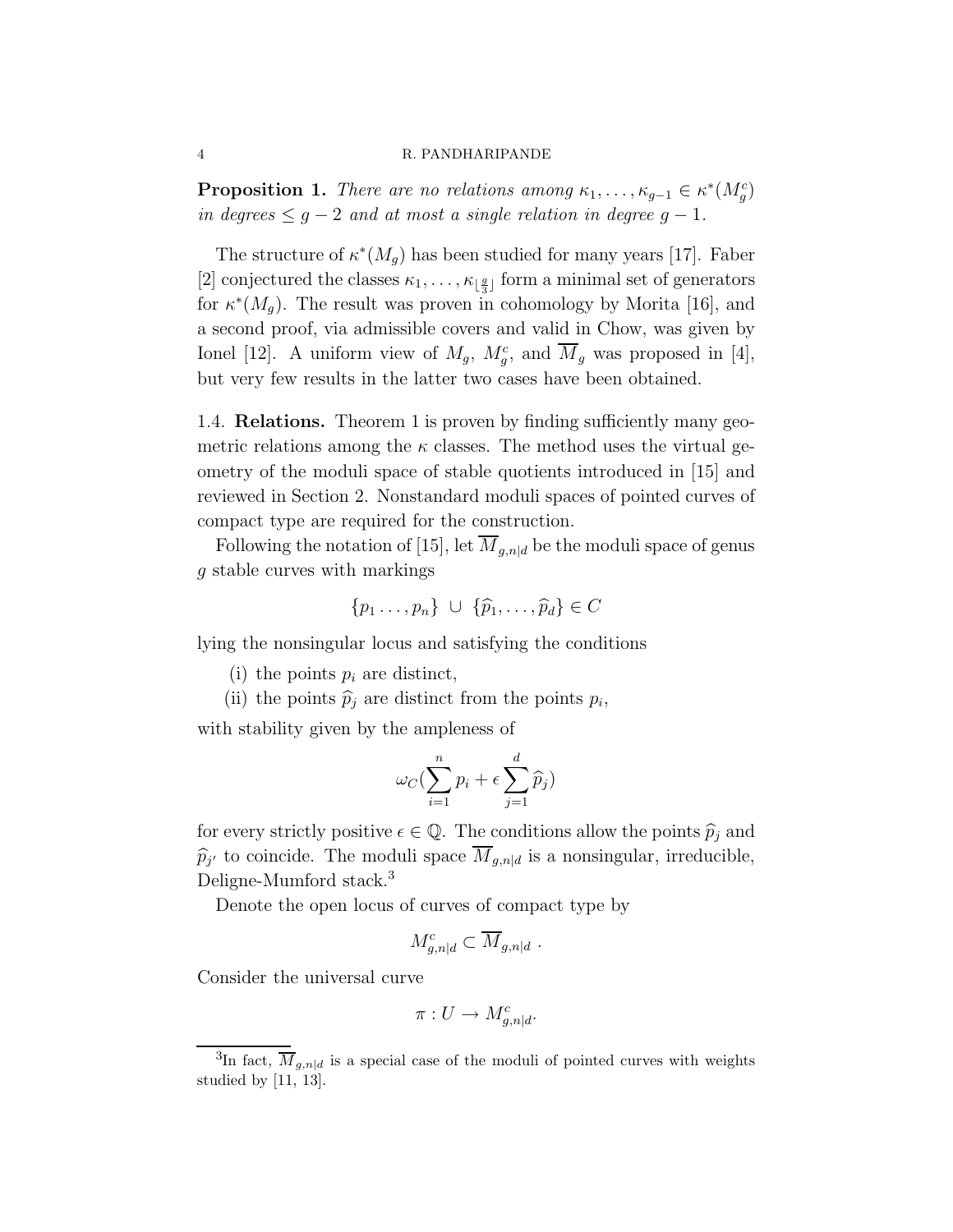**Proposition 1.** There are no relations among  $\kappa_1, \ldots, \kappa_{g-1} \in \kappa^*(M_g^c)$ in degrees  $\leq$  g − 2 and at most a single relation in degree g − 1.

The structure of  $\kappa^*(M_g)$  has been studied for many years [17]. Faber [2] conjectured the classes  $\kappa_1, \ldots, \kappa_{\lfloor \frac{g}{3} \rfloor}$  form a minimal set of generators for  $\kappa^*(M_g)$ . The result was proven in cohomology by Morita [16], and a second proof, via admissible covers and valid in Chow, was given by Ionel [12]. A uniform view of  $M_g$ ,  $M_g^c$ , and  $\overline{M}_g$  was proposed in [4], but very few results in the latter two cases have been obtained.

1.4. Relations. Theorem 1 is proven by finding sufficiently many geometric relations among the  $\kappa$  classes. The method uses the virtual geometry of the moduli space of stable quotients introduced in [15] and reviewed in Section 2. Nonstandard moduli spaces of pointed curves of compact type are required for the construction.

Following the notation of [15], let  $\overline{M}_{q,n|d}$  be the moduli space of genus g stable curves with markings

$$
\{p_1 \ldots, p_n\} \ \cup \ \{\widehat{p}_1, \ldots, \widehat{p}_d\} \in C
$$

lying the nonsingular locus and satisfying the conditions

- (i) the points  $p_i$  are distinct,
- (ii) the points  $\hat{p}_j$  are distinct from the points  $p_i$ ,

with stability given by the ampleness of

$$
\omega_C(\sum_{i=1}^n p_i + \epsilon \sum_{j=1}^d \widehat{p}_j)
$$

for every strictly positive  $\epsilon \in \mathbb{Q}$ . The conditions allow the points  $\widehat{p}_i$  and  $\widehat{p}_{j'}$  to coincide. The moduli space  $M_{g,n|d}$  is a nonsingular, irreducible, Deligne-Mumford stack.<sup>3</sup>

Denote the open locus of curves of compact type by

$$
M_{g,n|d}^c \subset \overline{M}_{g,n|d} .
$$

Consider the universal curve

$$
\pi: U \to M_{g,n|d}^c.
$$

<sup>&</sup>lt;sup>3</sup>In fact,  $\overline{M}_{g,n|d}$  is a special case of the moduli of pointed curves with weights studied by [11, 13].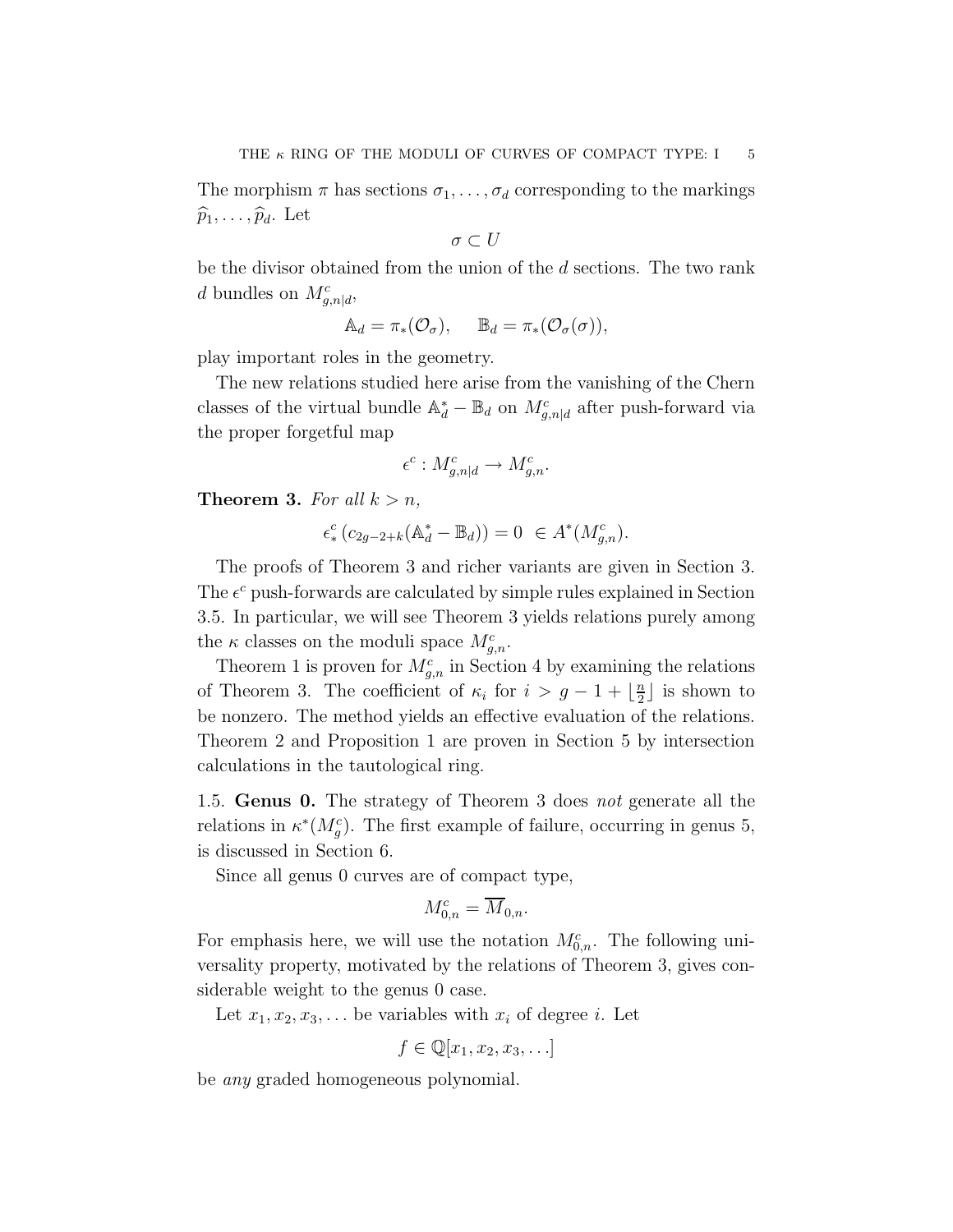The morphism  $\pi$  has sections  $\sigma_1, \ldots, \sigma_d$  corresponding to the markings  $\widehat{p}_1, \ldots, \widehat{p}_d$ . Let

$$
\sigma \subset U
$$

be the divisor obtained from the union of the d sections. The two rank d bundles on  $M_{g,n|d}^c$ ,

$$
\mathbb{A}_d = \pi_* (\mathcal{O}_\sigma), \quad \mathbb{B}_d = \pi_* (\mathcal{O}_\sigma(\sigma)),
$$

play important roles in the geometry.

The new relations studied here arise from the vanishing of the Chern classes of the virtual bundle  $\mathbb{A}_d^* - \mathbb{B}_d$  on  $M_{g,n|d}^c$  after push-forward via the proper forgetful map

$$
\epsilon^c: M^c_{g,n|d} \to M^c_{g,n}.
$$

**Theorem 3.** For all  $k > n$ ,

$$
\epsilon^c_* (c_{2g-2+k} (\mathbb{A}_d^* - \mathbb{B}_d)) = 0 \ \in A^*(M_{g,n}^c).
$$

The proofs of Theorem 3 and richer variants are given in Section 3. The  $\epsilon^c$  push-forwards are calculated by simple rules explained in Section 3.5. In particular, we will see Theorem 3 yields relations purely among the  $\kappa$  classes on the moduli space  $M_{g,n}^c$ .

Theorem 1 is proven for  $M_{g,n}^c$  in Section 4 by examining the relations of Theorem 3. The coefficient of  $\kappa_i$  for  $i > g - 1 + \lfloor \frac{n}{2} \rfloor$  $\frac{n}{2}$  is shown to be nonzero. The method yields an effective evaluation of the relations. Theorem 2 and Proposition 1 are proven in Section 5 by intersection calculations in the tautological ring.

1.5. Genus 0. The strategy of Theorem 3 does not generate all the relations in  $\kappa^*(M_g^c)$ . The first example of failure, occurring in genus 5, is discussed in Section 6.

Since all genus 0 curves are of compact type,

$$
M_{0,n}^c = \overline{M}_{0,n}.
$$

For emphasis here, we will use the notation  $M_{0,n}^c$ . The following universality property, motivated by the relations of Theorem 3, gives considerable weight to the genus 0 case.

Let  $x_1, x_2, x_3, \ldots$  be variables with  $x_i$  of degree i. Let

$$
f \in \mathbb{Q}[x_1, x_2, x_3, \ldots]
$$

be any graded homogeneous polynomial.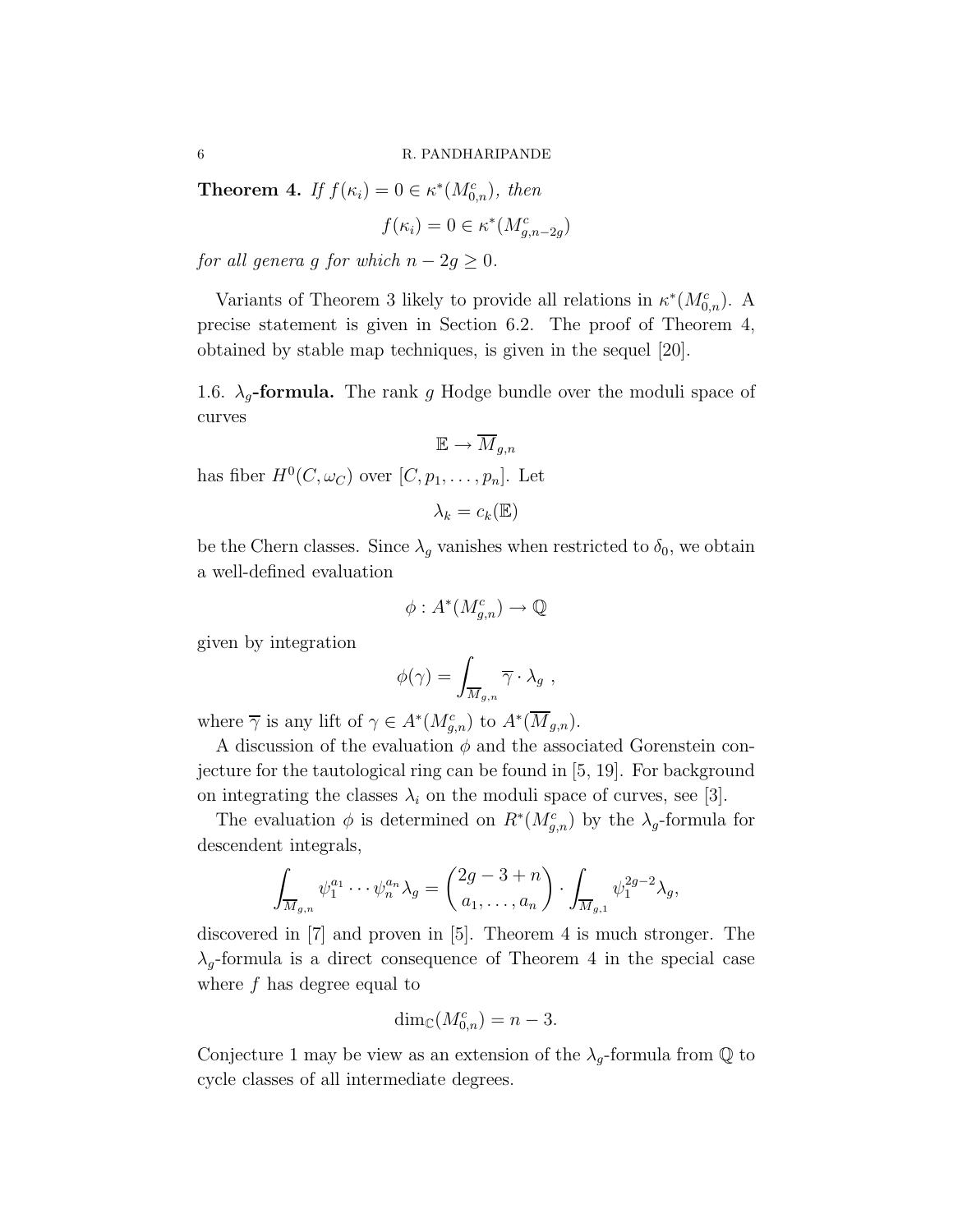**Theorem 4.** If  $f(\kappa_i) = 0 \in \kappa^*(M_{0,n}^c)$ , then

$$
f(\kappa_i) = 0 \in \kappa^*(M_{g,n-2g}^c)
$$

for all genera g for which  $n - 2g \geq 0$ .

Variants of Theorem 3 likely to provide all relations in  $\kappa^*(M_{0,n}^c)$ . A precise statement is given in Section 6.2. The proof of Theorem 4, obtained by stable map techniques, is given in the sequel [20].

1.6.  $\lambda_q$ -formula. The rank g Hodge bundle over the moduli space of curves

$$
\mathbb{E} \to \overline{M}_{g,n}
$$

has fiber  $H^0(C, \omega_C)$  over  $[C, p_1, \ldots, p_n]$ . Let

$$
\lambda_k = c_k(\mathbb{E})
$$

be the Chern classes. Since  $\lambda_g$  vanishes when restricted to  $\delta_0$ , we obtain a well-defined evaluation

$$
\phi: A^*(M_{g,n}^c) \to \mathbb{Q}
$$

given by integration

$$
\phi(\gamma) = \int_{\overline{M}_{g,n}} \overline{\gamma} \cdot \lambda_g ,
$$

where  $\overline{\gamma}$  is any lift of  $\gamma \in A^*(M_{g,n}^c)$  to  $A^*(\overline{M}_{g,n})$ .

A discussion of the evaluation  $\phi$  and the associated Gorenstein conjecture for the tautological ring can be found in [5, 19]. For background on integrating the classes  $\lambda_i$  on the moduli space of curves, see [3].

The evaluation  $\phi$  is determined on  $R^*(M_{g,n}^c)$  by the  $\lambda_g$ -formula for descendent integrals,

$$
\int_{\overline{M}_{g,n}} \psi_1^{a_1} \cdots \psi_n^{a_n} \lambda_g = \begin{pmatrix} 2g-3+n \\ a_1, \dots, a_n \end{pmatrix} \cdot \int_{\overline{M}_{g,1}} \psi_1^{2g-2} \lambda_g,
$$

discovered in [7] and proven in [5]. Theorem 4 is much stronger. The  $\lambda_g$ -formula is a direct consequence of Theorem 4 in the special case where f has degree equal to

$$
\dim_{\mathbb{C}}(M_{0,n}^c) = n - 3.
$$

Conjecture 1 may be view as an extension of the  $\lambda_g$ -formula from  $\mathbb Q$  to cycle classes of all intermediate degrees.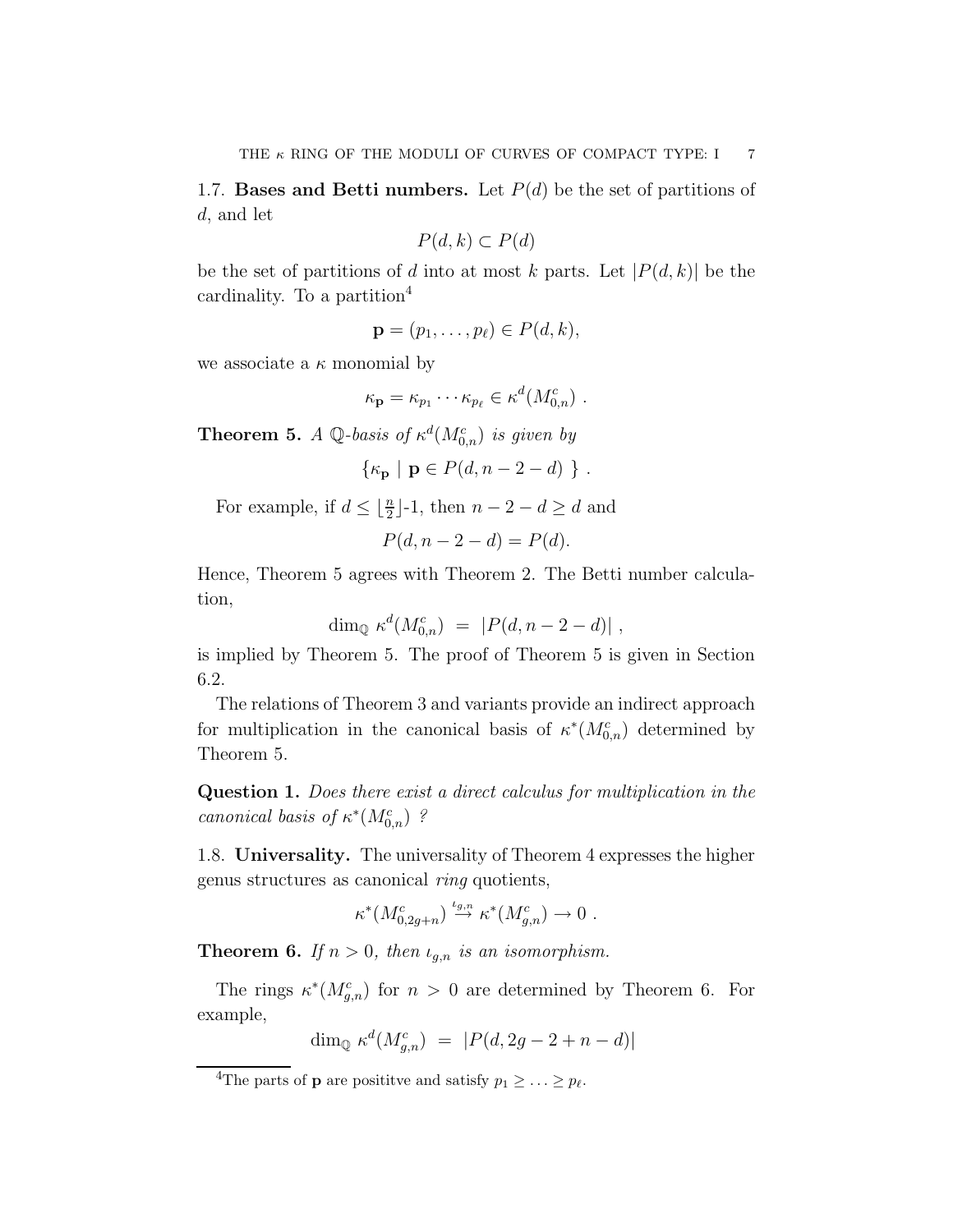1.7. Bases and Betti numbers. Let  $P(d)$  be the set of partitions of d, and let

$$
P(d,k) \subset P(d)
$$

be the set of partitions of d into at most k parts. Let  $|P(d, k)|$  be the cardinality. To a partition<sup>4</sup>

$$
\mathbf{p}=(p_1,\ldots,p_\ell)\in P(d,k),
$$

we associate a  $\kappa$  monomial by

$$
\kappa_{\mathbf{p}} = \kappa_{p_1} \cdots \kappa_{p_\ell} \in \kappa^d(M_{0,n}^c) \ .
$$

**Theorem 5.** A Q-basis of  $\kappa^d(M_{0,n}^c)$  is given by

$$
\{\kappa_{\mathbf{p}} \mid \mathbf{p} \in P(d, n-2-d) \}
$$
.

For example, if  $d \leq \lfloor \frac{n}{2} \rfloor - 1$ , then  $n - 2 - d \geq d$  and

$$
P(d, n-2-d) = P(d).
$$

Hence, Theorem 5 agrees with Theorem 2. The Betti number calculation,

$$
\dim_{\mathbb{Q}} \kappa^d(M^c_{0,n}) = |P(d, n-2-d)|,
$$

is implied by Theorem 5. The proof of Theorem 5 is given in Section 6.2.

The relations of Theorem 3 and variants provide an indirect approach for multiplication in the canonical basis of  $\kappa^*(M_{0,n}^c)$  determined by Theorem 5.

Question 1. Does there exist a direct calculus for multiplication in the canonical basis of  $\kappa^*(M_{0,n}^c)$ ?

1.8. Universality. The universality of Theorem 4 expresses the higher genus structures as canonical ring quotients,

$$
\kappa^*(M^c_{0,2g+n}) \stackrel{\iota_{g,n}}{\to} \kappa^*(M^c_{g,n}) \to 0.
$$

**Theorem 6.** If  $n > 0$ , then  $\iota_{g,n}$  is an isomorphism.

The rings  $\kappa^*(M_{g,n}^c)$  for  $n > 0$  are determined by Theorem 6. For example,

$$
\dim_{\mathbb{Q}} \kappa^d(M_{g,n}^c) \ = \ |P(d, 2g - 2 + n - d)|
$$

<sup>&</sup>lt;sup>4</sup>The parts of **p** are positive and satisfy  $p_1 \geq \ldots \geq p_\ell$ .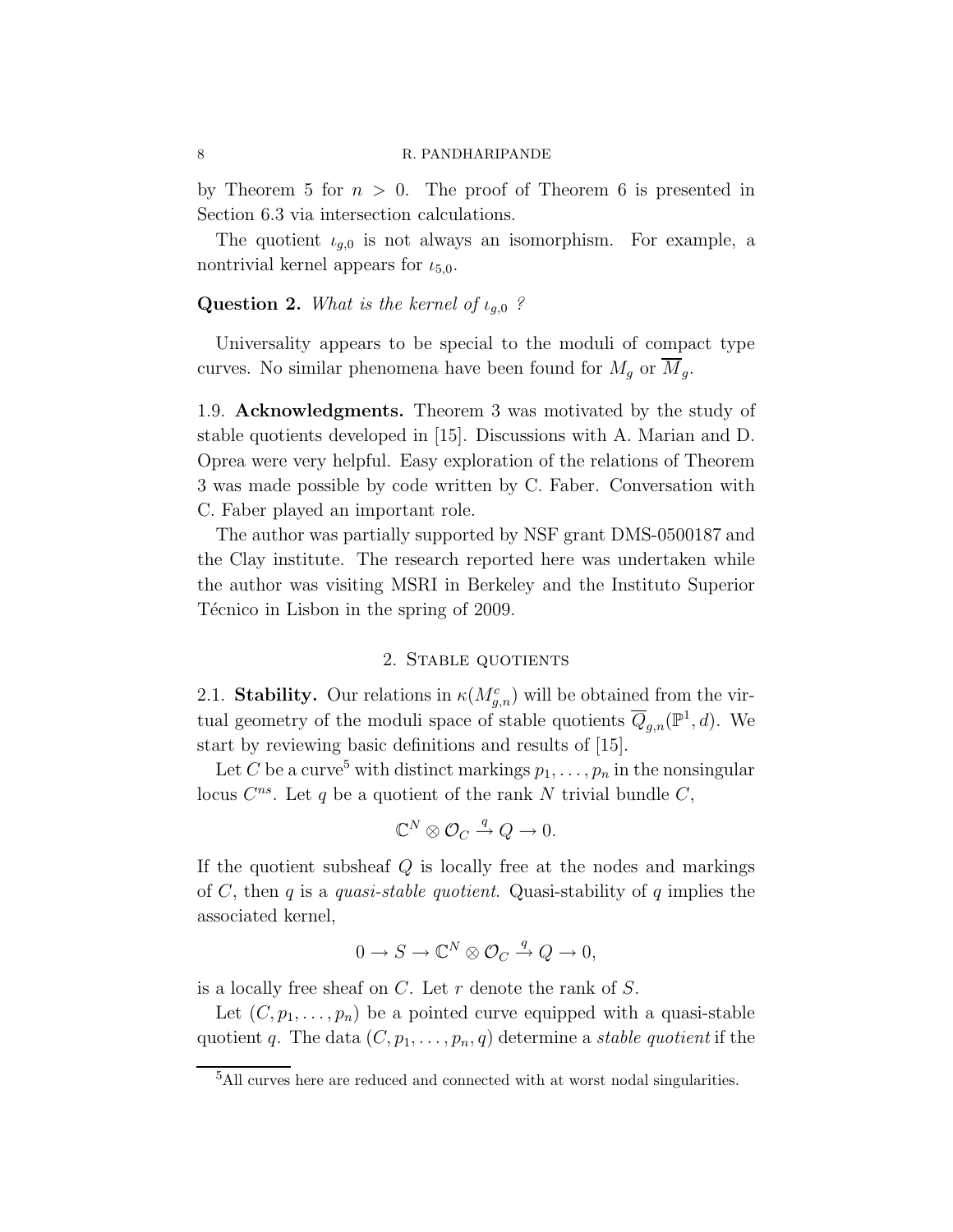by Theorem 5 for  $n > 0$ . The proof of Theorem 6 is presented in Section 6.3 via intersection calculations.

The quotient  $\iota_{g,0}$  is not always an isomorphism. For example, a nontrivial kernel appears for  $\iota_{5,0}$ .

# **Question 2.** What is the kernel of  $\iota_{g,0}$  ?

Universality appears to be special to the moduli of compact type curves. No similar phenomena have been found for  $M_g$  or  $\overline{M}_g$ .

1.9. Acknowledgments. Theorem 3 was motivated by the study of stable quotients developed in [15]. Discussions with A. Marian and D. Oprea were very helpful. Easy exploration of the relations of Theorem 3 was made possible by code written by C. Faber. Conversation with C. Faber played an important role.

The author was partially supported by NSF grant DMS-0500187 and the Clay institute. The research reported here was undertaken while the author was visiting MSRI in Berkeley and the Instituto Superior Técnico in Lisbon in the spring of 2009.

## 2. Stable quotients

2.1. Stability. Our relations in  $\kappa(M_{g,n}^c)$  will be obtained from the virtual geometry of the moduli space of stable quotients  $\overline{Q}_{g,n}(\mathbb{P}^1,d)$ . We start by reviewing basic definitions and results of [15].

Let C be a curve<sup>5</sup> with distinct markings  $p_1, \ldots, p_n$  in the nonsingular locus  $C^{ns}$ . Let q be a quotient of the rank N trivial bundle  $C$ ,

$$
\mathbb{C}^N \otimes \mathcal{O}_C \xrightarrow{q} Q \to 0.
$$

If the quotient subsheaf  $Q$  is locally free at the nodes and markings of C, then q is a quasi-stable quotient. Quasi-stability of q implies the associated kernel,

$$
0 \to S \to \mathbb{C}^N \otimes \mathcal{O}_C \xrightarrow{q} Q \to 0,
$$

is a locally free sheaf on  $C$ . Let r denote the rank of  $S$ .

Let  $(C, p_1, \ldots, p_n)$  be a pointed curve equipped with a quasi-stable quotient q. The data  $(C, p_1, \ldots, p_n, q)$  determine a stable quotient if the

 $^{5}\mathrm{All}$  curves here are reduced and connected with at worst nodal singularities.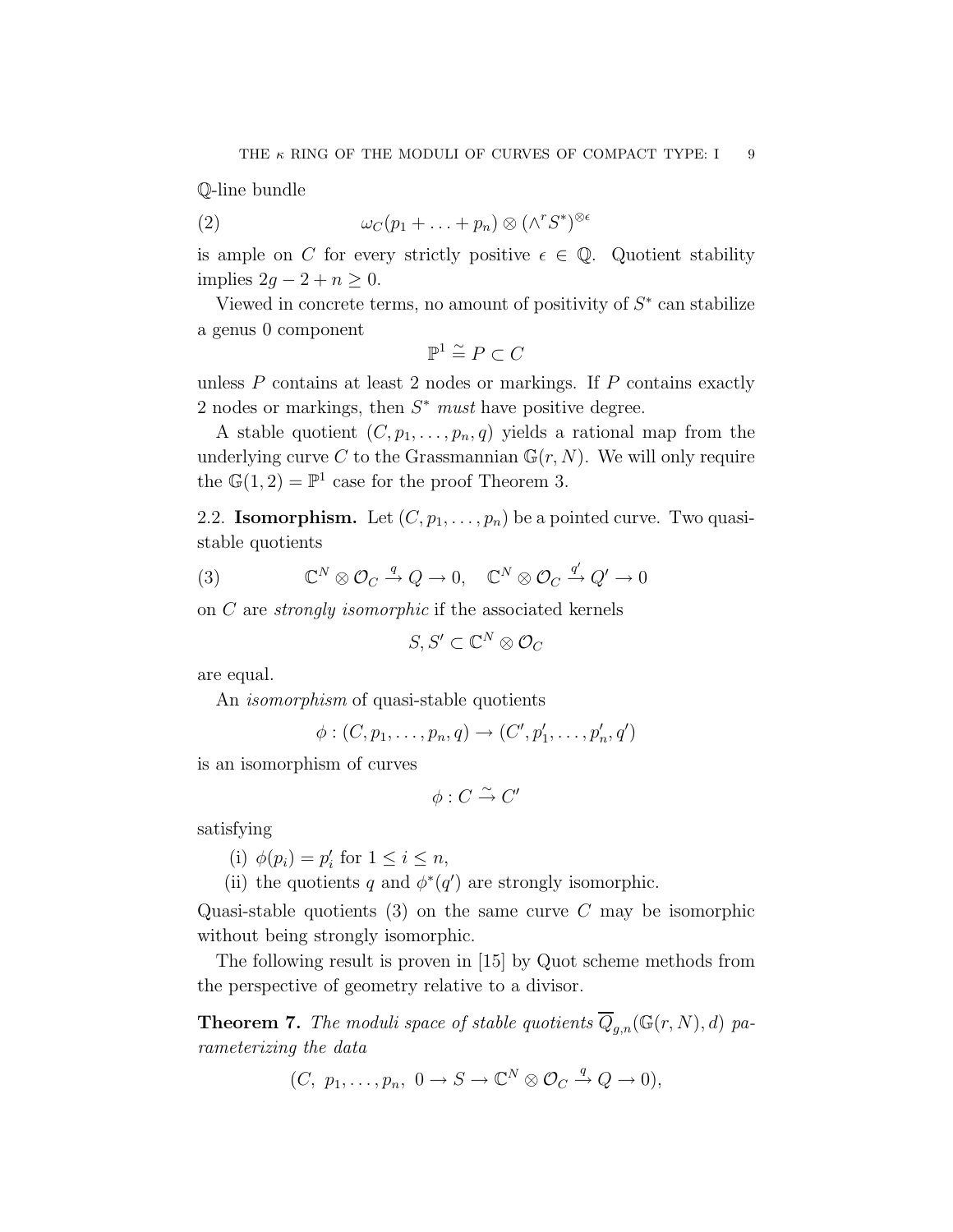Q-line bundle

(2) 
$$
\omega_C(p_1 + \ldots + p_n) \otimes (\wedge^r S^*)^{\otimes \epsilon}
$$

is ample on C for every strictly positive  $\epsilon \in \mathbb{Q}$ . Quotient stability implies  $2g - 2 + n \geq 0$ .

Viewed in concrete terms, no amount of positivity of  $S^*$  can stabilize a genus 0 component

$$
\mathbb{P}^1 \stackrel{\sim}{=} P \subset C
$$

unless  $P$  contains at least 2 nodes or markings. If  $P$  contains exactly 2 nodes or markings, then  $S^*$  must have positive degree.

A stable quotient  $(C, p_1, \ldots, p_n, q)$  yields a rational map from the underlying curve C to the Grassmannian  $\mathbb{G}(r, N)$ . We will only require the  $\mathbb{G}(1,2) = \mathbb{P}^1$  case for the proof Theorem 3.

2.2. **Isomorphism.** Let  $(C, p_1, \ldots, p_n)$  be a pointed curve. Two quasistable quotients

(3) 
$$
\mathbb{C}^N \otimes \mathcal{O}_C \xrightarrow{q} Q \to 0, \quad \mathbb{C}^N \otimes \mathcal{O}_C \xrightarrow{q'} Q' \to 0
$$

on  $C$  are *strongly isomorphic* if the associated kernels

$$
S, S' \subset \mathbb{C}^N \otimes \mathcal{O}_C
$$

are equal.

An *isomorphism* of quasi-stable quotients

$$
\phi:(C,p_1,\ldots,p_n,q)\rightarrow (C',p'_1,\ldots,p'_n,q')
$$

is an isomorphism of curves

 $\phi: C \overset{\sim}{\rightarrow} C'$ 

satisfying

(i)  $\phi(p_i) = p'_i$  for  $1 \leq i \leq n$ ,

(ii) the quotients q and  $\phi^*(q')$  are strongly isomorphic.

Quasi-stable quotients  $(3)$  on the same curve C may be isomorphic without being strongly isomorphic.

The following result is proven in [15] by Quot scheme methods from the perspective of geometry relative to a divisor.

**Theorem 7.** The moduli space of stable quotients  $\overline{Q}_{g,n}(\mathbb{G}(r,N), d)$  parameterizing the data

$$
(C, p_1, \ldots, p_n, 0 \to S \to \mathbb{C}^N \otimes \mathcal{O}_C \xrightarrow{q} Q \to 0),
$$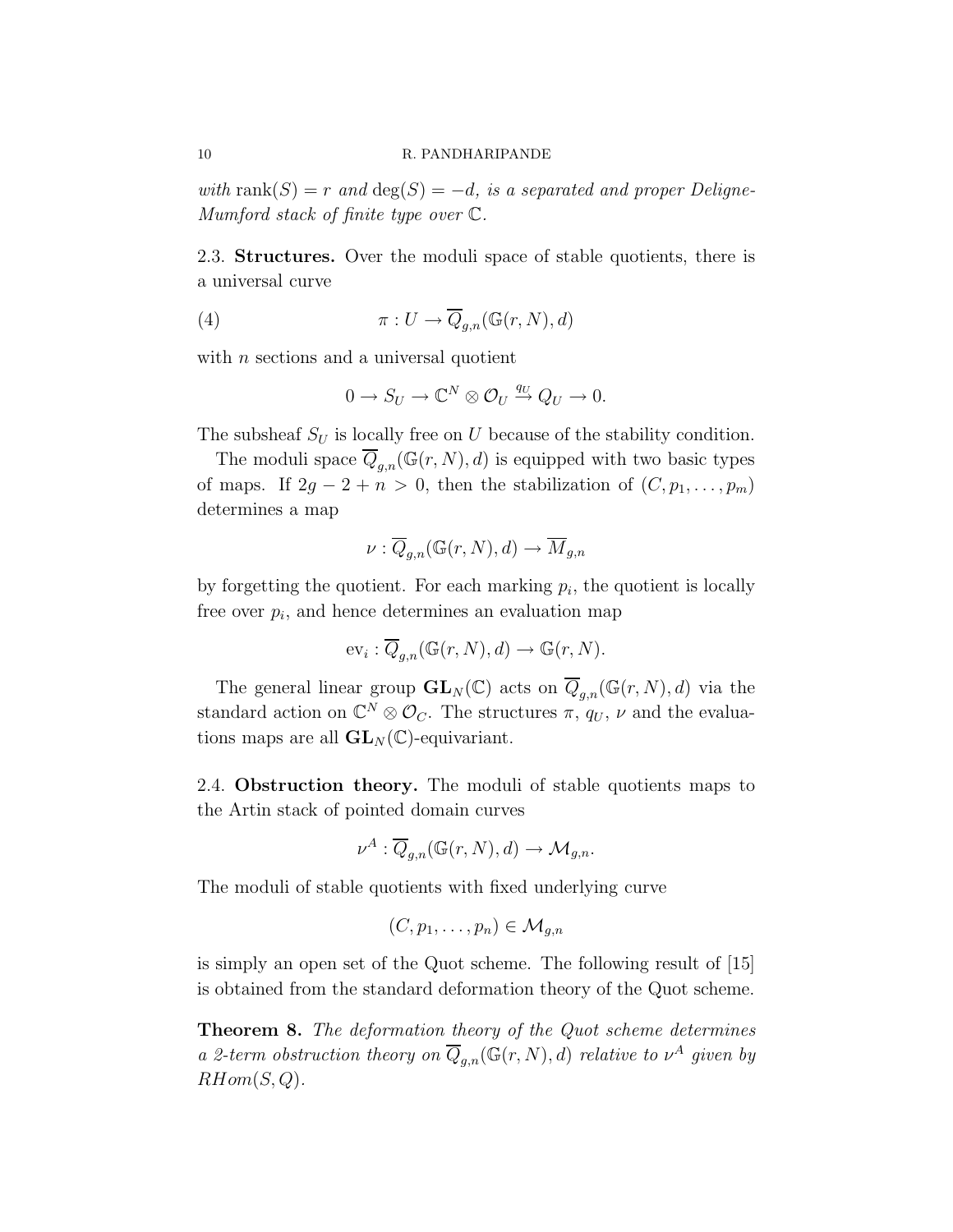with rank $(S) = r$  and  $deg(S) = -d$ , is a separated and proper Deligne-Mumford stack of finite type over C.

2.3. Structures. Over the moduli space of stable quotients, there is a universal curve

(4) 
$$
\pi: U \to \overline{Q}_{g,n}(\mathbb{G}(r,N),d)
$$

with  $n$  sections and a universal quotient

$$
0 \to S_U \to \mathbb{C}^N \otimes \mathcal{O}_U \stackrel{q_U}{\to} Q_U \to 0.
$$

The subsheaf  $S_U$  is locally free on U because of the stability condition.

The moduli space  $\overline{Q}_{g,n}(\mathbb{G}(r,N), d)$  is equipped with two basic types of maps. If  $2g - 2 + n > 0$ , then the stabilization of  $(C, p_1, \ldots, p_m)$ determines a map

$$
\nu: \overline{Q}_{g,n}(\mathbb{G}(r,N),d) \to \overline{M}_{g,n}
$$

by forgetting the quotient. For each marking  $p_i$ , the quotient is locally free over  $p_i$ , and hence determines an evaluation map

$$
\mathrm{ev}_i: \overline{Q}_{g,n}(\mathbb{G}(r,N),d) \to \mathbb{G}(r,N).
$$

The general linear group  $\mathbf{GL}_N(\mathbb{C})$  acts on  $\overline{Q}_{g,n}(\mathbb{G}(r,N),d)$  via the standard action on  $\mathbb{C}^N \otimes \mathcal{O}_C$ . The structures  $\pi$ ,  $q_U$ ,  $\nu$  and the evaluations maps are all  $GL_N(\mathbb{C})$ -equivariant.

2.4. Obstruction theory. The moduli of stable quotients maps to the Artin stack of pointed domain curves

$$
\nu^A: \overline{Q}_{g,n}(\mathbb{G}(r,N),d) \to \mathcal{M}_{g,n}.
$$

The moduli of stable quotients with fixed underlying curve

$$
(C, p_1, \ldots, p_n) \in \mathcal{M}_{g,n}
$$

is simply an open set of the Quot scheme. The following result of [15] is obtained from the standard deformation theory of the Quot scheme.

Theorem 8. The deformation theory of the Quot scheme determines a 2-term obstruction theory on  $\overline{Q}_{g,n}(\mathbb{G}(r,N),d)$  relative to  $\nu^A$  given by  $RHom(S,Q)$ .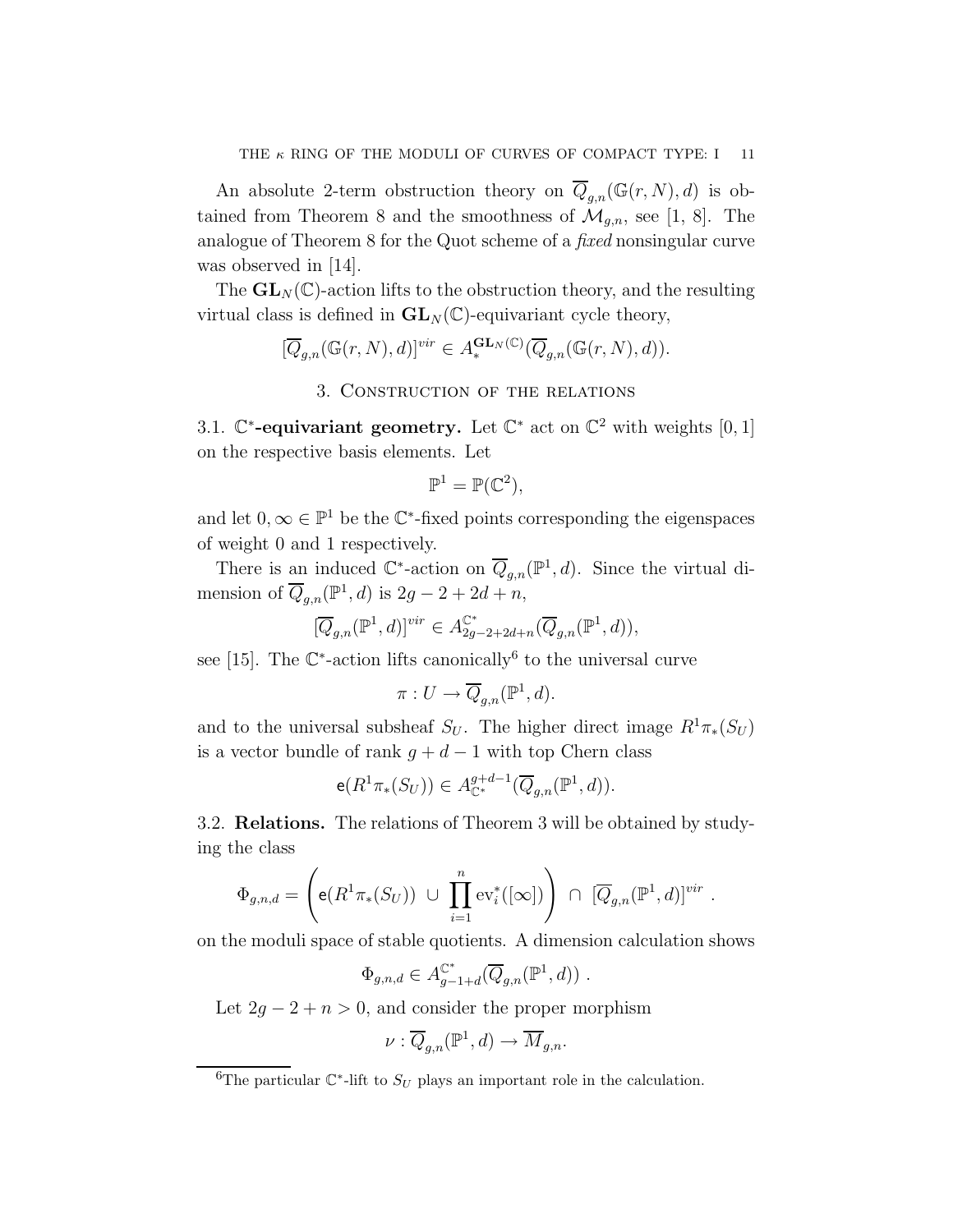An absolute 2-term obstruction theory on  $\overline{Q}_{q,n}(\mathbb{G}(r,N), d)$  is obtained from Theorem 8 and the smoothness of  $\mathcal{M}_{g,n}$ , see [1, 8]. The analogue of Theorem 8 for the Quot scheme of a fixed nonsingular curve was observed in [14].

The  $GL_N(\mathbb{C})$ -action lifts to the obstruction theory, and the resulting virtual class is defined in  $GL_N(\mathbb{C})$ -equivariant cycle theory,

$$
[\overline{Q}_{g,n}(\mathbb{G}(r,N),d)]^{vir} \in A_{*}^{\mathbf{GL}_N(\mathbb{C})}(\overline{Q}_{g,n}(\mathbb{G}(r,N),d)).
$$

## 3. Construction of the relations

3.1.  $\mathbb{C}^*$ -equivariant geometry. Let  $\mathbb{C}^*$  act on  $\mathbb{C}^2$  with weights  $[0,1]$ on the respective basis elements. Let

$$
\mathbb{P}^1 = \mathbb{P}(\mathbb{C}^2),
$$

and let  $0, \infty \in \mathbb{P}^1$  be the  $\mathbb{C}^*$ -fixed points corresponding the eigenspaces of weight 0 and 1 respectively.

There is an induced  $\mathbb{C}^*$ -action on  $\overline{Q}_{g,n}(\mathbb{P}^1,d)$ . Since the virtual dimension of  $\overline{Q}_{g,n}(\mathbb{P}^1,d)$  is  $2g-2+2d+n$ ,

$$
[\overline{Q}_{g,n}(\mathbb{P}^1,d)]^{vir} \in A_{2g-2+2d+n}^{\mathbb{C}^*}(\overline{Q}_{g,n}(\mathbb{P}^1,d)),
$$

see [15]. The  $\mathbb{C}^*$ -action lifts canonically<sup>6</sup> to the universal curve

$$
\pi: U \to \overline{Q}_{g,n}(\mathbb{P}^1, d).
$$

and to the universal subsheaf  $S_U$ . The higher direct image  $R^1\pi_*(S_U)$ is a vector bundle of rank  $g + d - 1$  with top Chern class

$$
\mathsf{e}(R^1\pi_*(S_U)) \in A_{\mathbb{C}^*}^{g+d-1}(\overline{Q}_{g,n}(\mathbb{P}^1,d)).
$$

3.2. Relations. The relations of Theorem 3 will be obtained by studying the class

$$
\Phi_{g,n,d} = \left( \mathbf{e}(R^1 \pi_*(S_U)) \cup \prod_{i=1}^n \text{ev}_i^*([\infty]) \right) \cap [\overline{Q}_{g,n}(\mathbb{P}^1,d)]^{vir}
$$

.

on the moduli space of stable quotients. A dimension calculation shows

$$
\Phi_{g,n,d} \in A_{g-1+d}^{\mathbb{C}^*}(\overline{Q}_{g,n}(\mathbb{P}^1,d)) \ .
$$

Let  $2g - 2 + n > 0$ , and consider the proper morphism

$$
\nu: \overline{Q}_{g,n}(\mathbb{P}^1, d) \to \overline{M}_{g,n}.
$$

<sup>&</sup>lt;sup>6</sup>The particular  $\mathbb{C}^*$ -lift to  $S_U$  plays an important role in the calculation.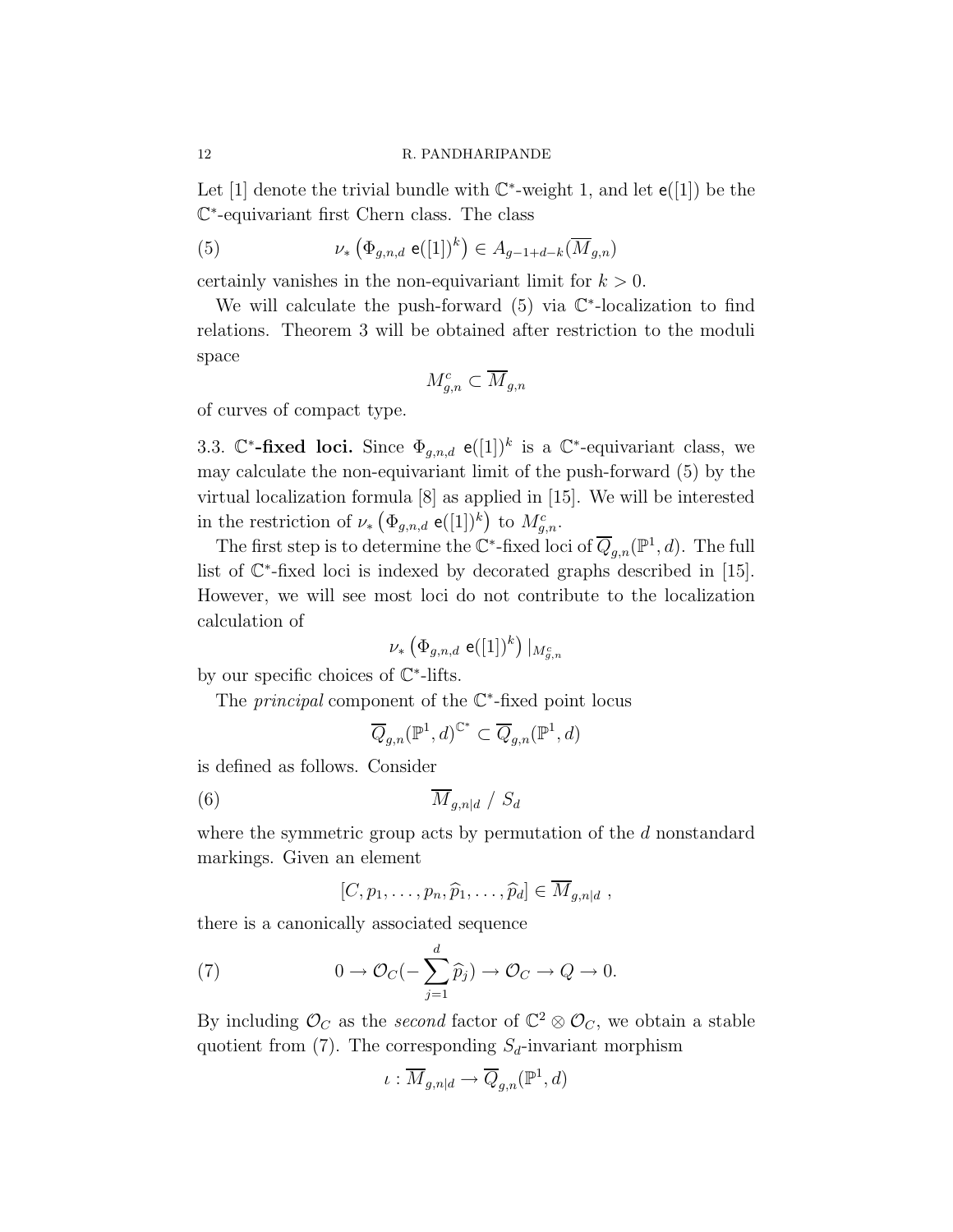Let [1] denote the trivial bundle with  $\mathbb{C}^*$ -weight 1, and let  $e([1])$  be the C ∗ -equivariant first Chern class. The class

(5) 
$$
\nu_* \left( \Phi_{g,n,d} \; \mathbf{e}([1])^k \right) \in A_{g-1+d-k}(\overline{M}_{g,n})
$$

certainly vanishes in the non-equivariant limit for  $k > 0$ .

We will calculate the push-forward  $(5)$  via  $\mathbb{C}^*$ -localization to find relations. Theorem 3 will be obtained after restriction to the moduli space

$$
M_{g,n}^c \subset \overline{M}_{g,n}
$$

of curves of compact type.

3.3.  $\mathbb{C}^*$ -fixed loci. Since  $\Phi_{g,n,d}$  e([1])<sup>k</sup> is a  $\mathbb{C}^*$ -equivariant class, we may calculate the non-equivariant limit of the push-forward (5) by the virtual localization formula [8] as applied in [15]. We will be interested in the restriction of  $\nu_* \left( \Phi_{g,n,d} \; \mathsf{e}([1])^k \right)$  to  $M_{g,n}^c$ .

The first step is to determine the  $\mathbb{C}^*$ -fixed loci of  $\overline{Q}_{g,n}(\mathbb{P}^1,d)$ . The full list of  $\mathbb{C}^*$ -fixed loci is indexed by decorated graphs described in [15]. However, we will see most loci do not contribute to the localization calculation of

$$
\nu_*\left(\Phi_{g,n,d}~\mathrm{e}([1])^k\right)|_{M_{g,n}^c}
$$

by our specific choices of C ∗ -lifts.

The *principal* component of the  $\mathbb{C}^*$ -fixed point locus

$$
\overline{Q}_{g,n}({\mathbb P}^1,d)^{{\mathbb C}^*}\subset \overline{Q}_{g,n}({\mathbb P}^1,d)
$$

is defined as follows. Consider

$$
(6) \t\t \overline{M}_{g,n|d} / S_d
$$

where the symmetric group acts by permutation of the d nonstandard markings. Given an element

$$
[C, p_1, \ldots, p_n, \widehat{p}_1, \ldots, \widehat{p}_d] \in \overline{M}_{g,n|d},
$$

there is a canonically associated sequence

(7) 
$$
0 \to \mathcal{O}_C(-\sum_{j=1}^d \widehat{p}_j) \to \mathcal{O}_C \to Q \to 0.
$$

By including  $\mathcal{O}_C$  as the second factor of  $\mathbb{C}^2 \otimes \mathcal{O}_C$ , we obtain a stable quotient from (7). The corresponding  $S_d$ -invariant morphism

$$
\iota: \overline{M}_{g,n|d} \to \overline{Q}_{g,n}(\mathbb{P}^1, d)
$$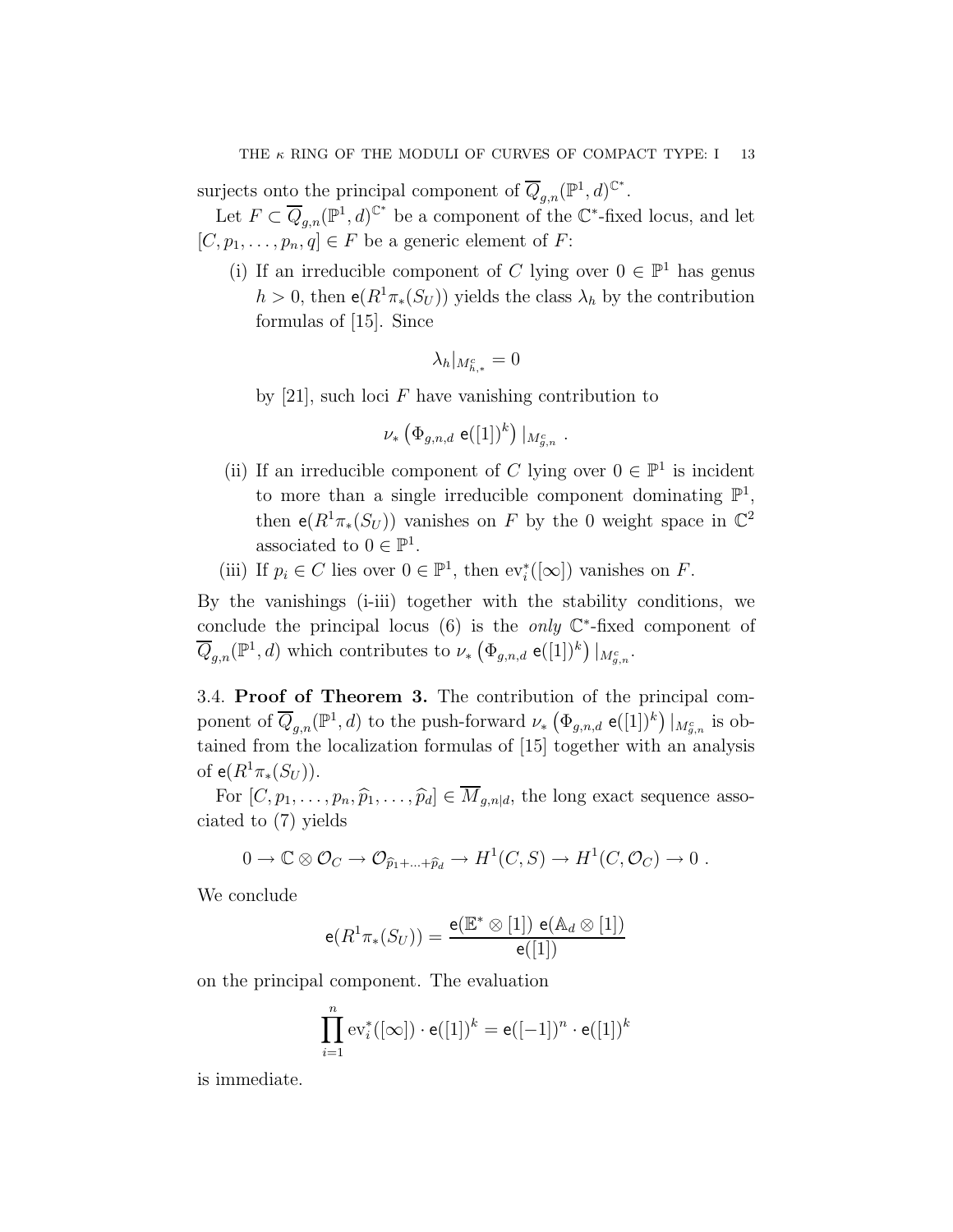surjects onto the principal component of  $\overline{Q}_{g,n}(\mathbb{P}^1,d)^{\mathbb{C}^*}$ .

Let  $F \subset \overline{Q}_{g,n}(\mathbb{P}^1,d)^{\mathbb{C}^*}$  be a component of the  $\mathbb{C}^*$ -fixed locus, and let  $[C, p_1, \ldots, p_n, q] \in F$  be a generic element of F:

(i) If an irreducible component of C lying over  $0 \in \mathbb{P}^1$  has genus  $h > 0$ , then  $e(R^1 \pi_*(S_U))$  yields the class  $\lambda_h$  by the contribution formulas of [15]. Since

$$
\lambda_h|_{M_{h,*}^c}=0
$$

by [21], such loci  $F$  have vanishing contribution to

$$
\nu_* \left( \Phi_{g,n,d} \; \mathsf{e}([1])^k \right) \vert_{M_{g,n}^c} \; .
$$

- (ii) If an irreducible component of C lying over  $0 \in \mathbb{P}^1$  is incident to more than a single irreducible component dominating  $\mathbb{P}^1$ , then  $e(R^1\pi_*(S_U))$  vanishes on F by the 0 weight space in  $\mathbb{C}^2$ associated to  $0 \in \mathbb{P}^1$ .
- (iii) If  $p_i \in C$  lies over  $0 \in \mathbb{P}^1$ , then  $ev_i^*([\infty])$  vanishes on F.

By the vanishings (i-iii) together with the stability conditions, we conclude the principal locus  $(6)$  is the *only*  $\mathbb{C}^*$ -fixed component of  $\overline{Q}_{g,n}(\mathbb{P}^1, d)$  which contributes to  $\nu_* \left( \Phi_{g,n,d} \right. \mathsf{e}([1])^k \right) \vert_{M^c_{g,n}}$ .

3.4. Proof of Theorem 3. The contribution of the principal component of  $\overline{Q}_{g,n}(\mathbb{P}^1,d)$  to the push-forward  $\nu_*$   $(\Phi_{g,n,d}$  e([1])<sup>k</sup>)  $|_{M_{g,n}^c}$  is obtained from the localization formulas of [15] together with an analysis of  $e(R^{1}\pi_{*}(S_{U})).$ 

For  $[C, p_1, \ldots, p_n, \widehat{p}_1, \ldots, \widehat{p}_d] \in \overline{M}_{q,n|d}$ , the long exact sequence associated to (7) yields

$$
0 \to \mathbb{C} \otimes \mathcal{O}_C \to \mathcal{O}_{\widehat{p}_1 + \dots + \widehat{p}_d} \to H^1(C, S) \to H^1(C, \mathcal{O}_C) \to 0.
$$

We conclude

$$
\mathsf{e}(R^1\pi_*(S_U)) = \frac{\mathsf{e}(\mathbb{E}^*\otimes [1])\;\mathsf{e}(\mathbb{A}_d\otimes [1])}{\mathsf{e}([1])}
$$

on the principal component. The evaluation

$$
\prod_{i=1}^{n} \mathrm{ev}_i^*([\infty]) \cdot \mathsf{e}([1])^k = \mathsf{e}([-1])^n \cdot \mathsf{e}([1])^k
$$

is immediate.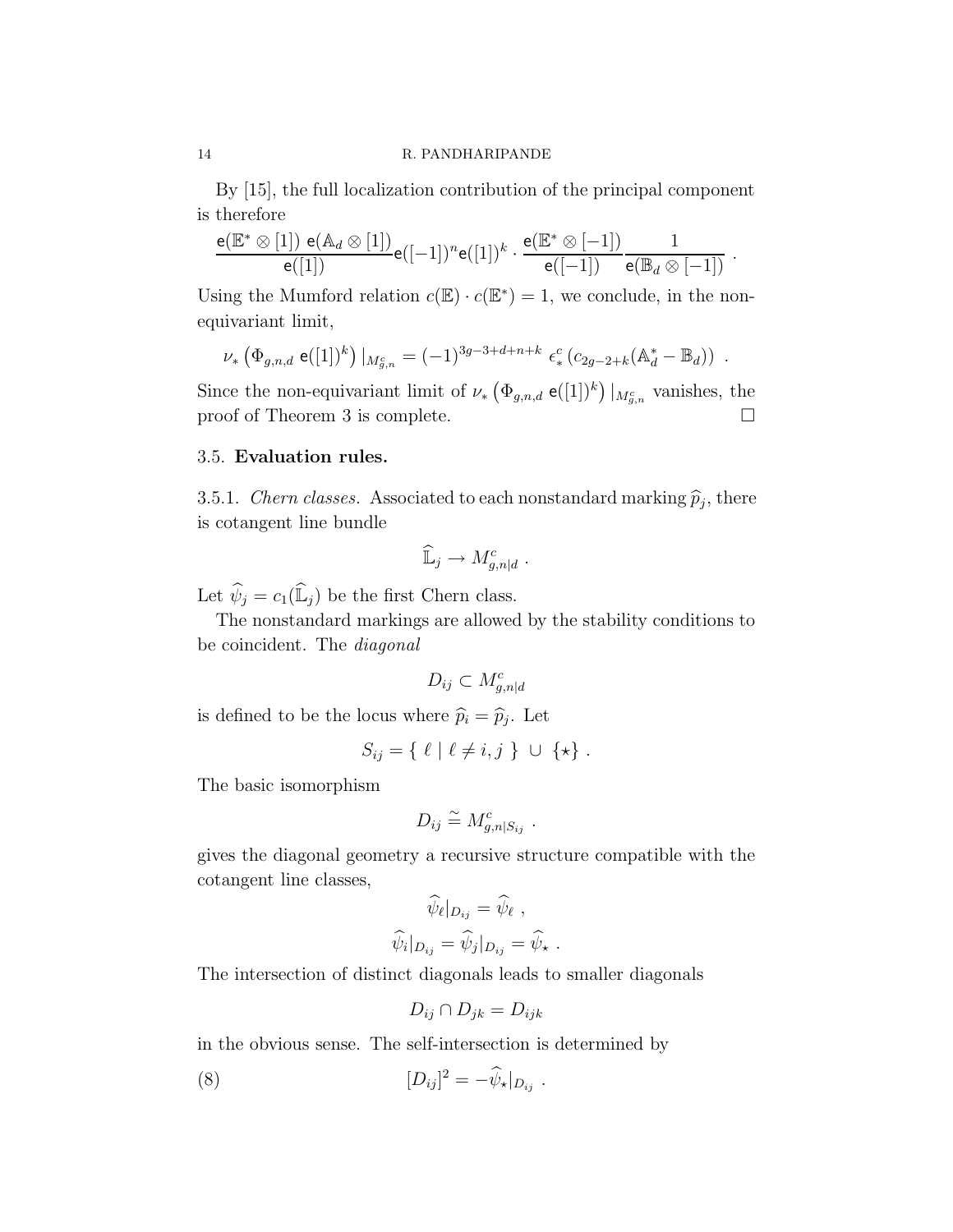By [15], the full localization contribution of the principal component is therefore

$$
\frac{\mathsf{e}(\mathbb{E}^* \otimes [1]) \; \mathsf{e}(\mathbb{A}_d \otimes [1])}{\mathsf{e}([1])} \mathsf{e}([-1])^n \mathsf{e}([1])^k \cdot \frac{\mathsf{e}(\mathbb{E}^* \otimes [-1])}{\mathsf{e}([-1])} \frac{1}{\mathsf{e}(\mathbb{B}_d \otimes [-1])} \; .
$$

Using the Mumford relation  $c(\mathbb{E}) \cdot c(\mathbb{E}^*) = 1$ , we conclude, in the nonequivariant limit,

$$
\nu_* \left( \Phi_{g,n,d} \; \mathbf{e}([1])^k \right) \big|_{M_{g,n}^c} = (-1)^{3g-3+d+n+k} \; \epsilon_*^c \left( c_{2g-2+k} (\mathbb{A}_d^* - \mathbb{B}_d) \right) \; .
$$

Since the non-equivariant limit of  $\nu_* \left( \Phi_{g,n,d} \mathsf{e}([1])^k \right)|_{M_{g,n}^c}$  vanishes, the proof of Theorem 3 is complete.

# 3.5. Evaluation rules.

3.5.1. *Chern classes.* Associated to each nonstandard marking  $\hat{p}_j$ , there is cotangent line bundle

$$
\widehat{\mathbb{L}}_j \to M_{g,n|d}^c.
$$

Let  $\widehat{\psi}_j = c_1(\widehat{\mathbb{L}}_j)$  be the first Chern class.

The nonstandard markings are allowed by the stability conditions to be coincident. The diagonal

$$
D_{ij} \subset M_{g,n|d}^c
$$

is defined to be the locus where  $\widehat{p}_i = \widehat{p}_j$ . Let

$$
S_{ij} = \{ \ell \mid \ell \neq i, j \} \cup \{ \star \} .
$$

The basic isomorphism

$$
D_{ij} \stackrel{\sim}{=} M_{g,n|S_{ij}}^c
$$

.

gives the diagonal geometry a recursive structure compatible with the cotangent line classes,

$$
\widehat{\psi}_{\ell}|_{D_{ij}} = \widehat{\psi}_{\ell} ,
$$

$$
\widehat{\psi}_{i}|_{D_{ij}} = \widehat{\psi}_{j}|_{D_{ij}} = \widehat{\psi}_{\star} .
$$

The intersection of distinct diagonals leads to smaller diagonals

$$
D_{ij} \cap D_{jk} = D_{ijk}
$$

in the obvious sense. The self-intersection is determined by

(8) 
$$
[D_{ij}]^2 = -\hat{\psi}_\star|_{D_{ij}}.
$$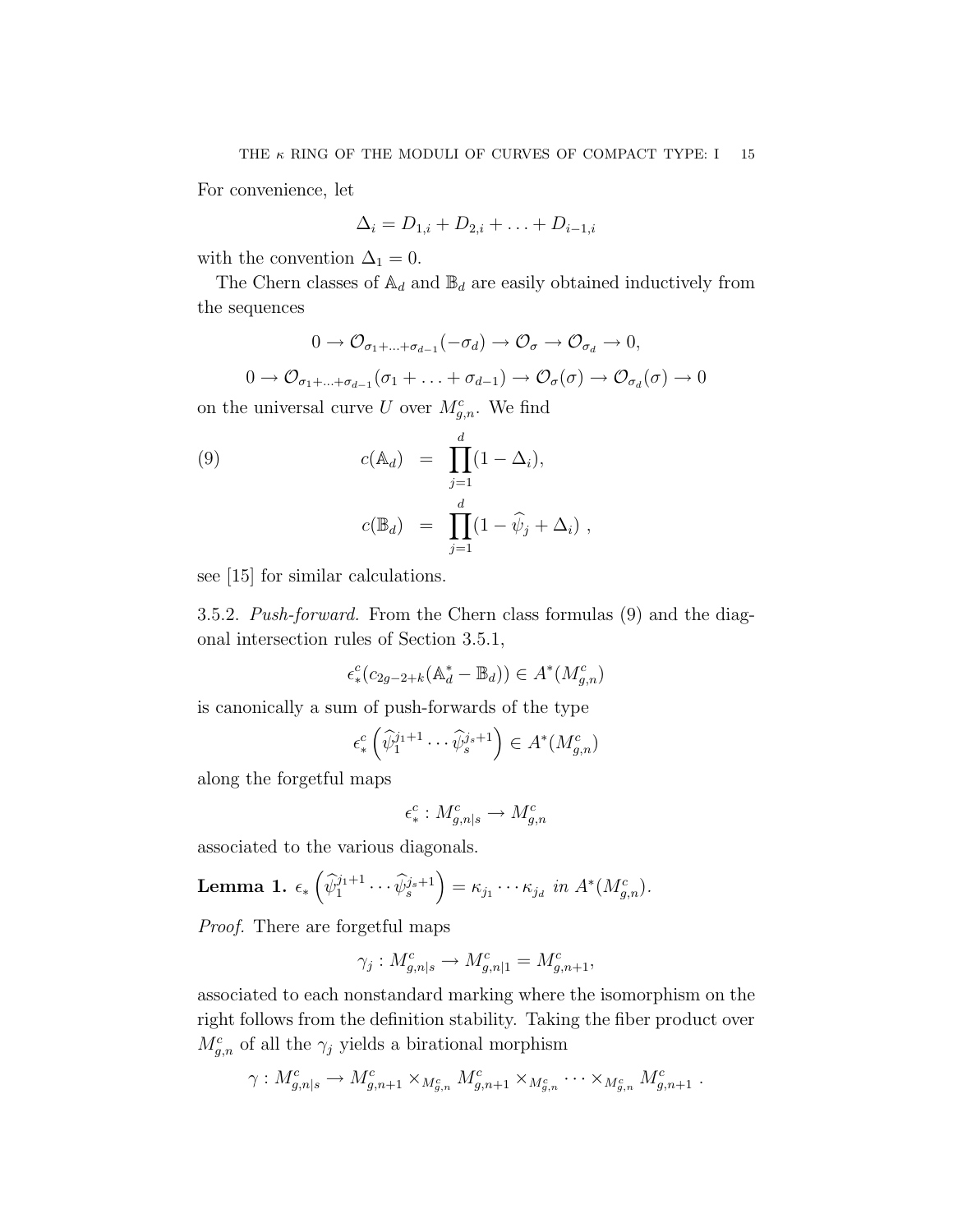For convenience, let

$$
\Delta_i = D_{1,i} + D_{2,i} + \ldots + D_{i-1,i}
$$

with the convention  $\Delta_1 = 0$ .

The Chern classes of  $\mathbb{A}_d$  and  $\mathbb{B}_d$  are easily obtained inductively from the sequences

$$
0 \to \mathcal{O}_{\sigma_1 + \dots + \sigma_{d-1}}(-\sigma_d) \to \mathcal{O}_{\sigma} \to \mathcal{O}_{\sigma_d} \to 0,
$$

 $0 \to \mathcal{O}_{\sigma_1 + ... + \sigma_{d-1}}(\sigma_1 + ... + \sigma_{d-1}) \to \mathcal{O}_{\sigma}(\sigma) \to \mathcal{O}_{\sigma_d}(\sigma) \to 0$ on the universal curve U over  $M_{g,n}^c$ . We find

(9) 
$$
c(\mathbb{A}_d) = \prod_{j=1}^d (1 - \Delta_i),
$$

$$
c(\mathbb{B}_d) = \prod_{j=1}^d (1 - \widehat{\psi}_j + \Delta_i),
$$

see [15] for similar calculations.

3.5.2. Push-forward. From the Chern class formulas (9) and the diagonal intersection rules of Section 3.5.1,

$$
\epsilon_*^c(c_{2g-2+k}(\mathbb{A}_d^* - \mathbb{B}_d)) \in A^*(M_{g,n}^c)
$$

is canonically a sum of push-forwards of the type

$$
\epsilon_*^c \left( \widehat{\psi}_1^{j_1+1} \cdots \widehat{\psi}_s^{j_s+1} \right) \in A^*(M_{g,n}^c)
$$

along the forgetful maps

$$
\epsilon^c_*: M^c_{g,n|s} \to M^c_{g,n}
$$

associated to the various diagonals.

**Lemma 1.** 
$$
\epsilon_* \left( \widehat{\psi}_1^{j_1+1} \cdots \widehat{\psi}_s^{j_s+1} \right) = \kappa_{j_1} \cdots \kappa_{j_d} \text{ in } A^*(M_{g,n}^c).
$$

Proof. There are forgetful maps

$$
\gamma_j: M_{g,n|s}^c \to M_{g,n|1}^c = M_{g,n+1}^c,
$$

associated to each nonstandard marking where the isomorphism on the right follows from the definition stability. Taking the fiber product over  $M_{g,n}^c$  of all the  $\gamma_j$  yields a birational morphism

$$
\gamma: M_{g,n|s}^c \to M_{g,n+1}^c \times_{M_{g,n}^c} M_{g,n+1}^c \times_{M_{g,n}^c} \cdots \times_{M_{g,n}^c} M_{g,n+1}^c.
$$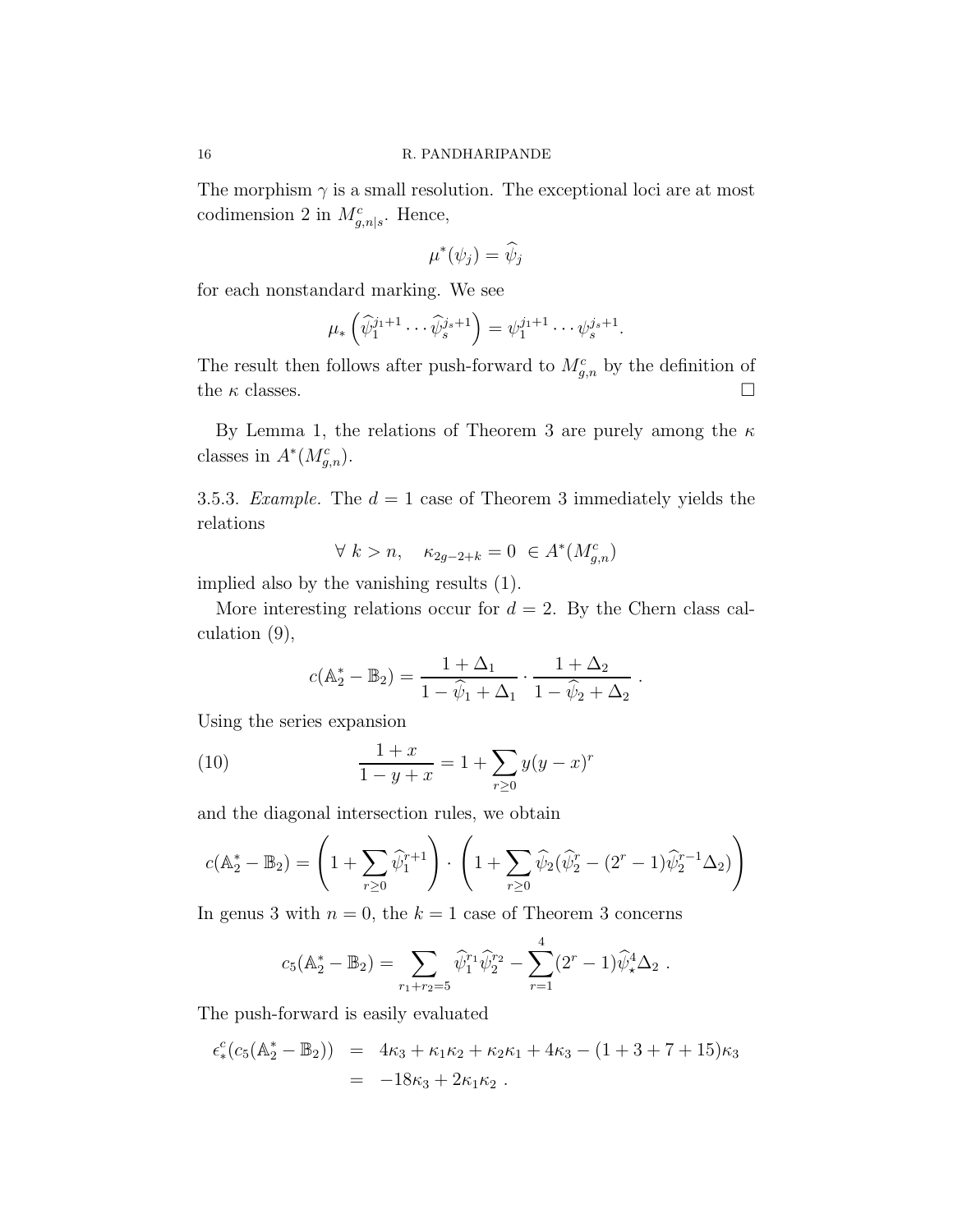The morphism  $\gamma$  is a small resolution. The exceptional loci are at most codimension 2 in  $M_{g,n|s}^c$ . Hence,

$$
\mu^*(\psi_j) = \widehat{\psi}_j
$$

for each nonstandard marking. We see

$$
\mu_* \left( \widehat{\psi}_1^{j_1+1} \cdots \widehat{\psi}_s^{j_s+1} \right) = \psi_1^{j_1+1} \cdots \psi_s^{j_s+1}.
$$

The result then follows after push-forward to  $M_{g,n}^c$  by the definition of the  $\kappa$  classes.

By Lemma 1, the relations of Theorem 3 are purely among the  $\kappa$ classes in  $A^*(M_{g,n}^c)$ .

3.5.3. Example. The  $d = 1$  case of Theorem 3 immediately yields the relations

$$
\forall k > n, \quad \kappa_{2g-2+k} = 0 \in A^*(M_{g,n}^c)
$$

implied also by the vanishing results (1).

More interesting relations occur for  $d = 2$ . By the Chern class calculation (9),

$$
c(\mathbb{A}_2^* - \mathbb{B}_2) = \frac{1 + \Delta_1}{1 - \hat{\psi}_1 + \Delta_1} \cdot \frac{1 + \Delta_2}{1 - \hat{\psi}_2 + \Delta_2}.
$$

Using the series expansion

(10) 
$$
\frac{1+x}{1-y+x} = 1 + \sum_{r\geq 0} y(y-x)^r
$$

and the diagonal intersection rules, we obtain

$$
c(\mathbb{A}_2^* - \mathbb{B}_2) = \left(1 + \sum_{r \ge 0} \widehat{\psi}_1^{r+1}\right) \cdot \left(1 + \sum_{r \ge 0} \widehat{\psi}_2(\widehat{\psi}_2^r - (2^r - 1)\widehat{\psi}_2^{r-1}\Delta_2)\right)
$$

In genus 3 with  $n = 0$ , the  $k = 1$  case of Theorem 3 concerns

$$
c_5(\mathbb{A}_2^* - \mathbb{B}_2) = \sum_{r_1 + r_2 = 5} \widehat{\psi}_1^{r_1} \widehat{\psi}_2^{r_2} - \sum_{r=1}^4 (2^r - 1) \widehat{\psi}_*^4 \Delta_2.
$$

The push-forward is easily evaluated

$$
\epsilon_*^c (c_5(\mathbb{A}_2^* - \mathbb{B}_2)) = 4\kappa_3 + \kappa_1 \kappa_2 + \kappa_2 \kappa_1 + 4\kappa_3 - (1 + 3 + 7 + 15)\kappa_3
$$
  
= -18\kappa\_3 + 2\kappa\_1 \kappa\_2.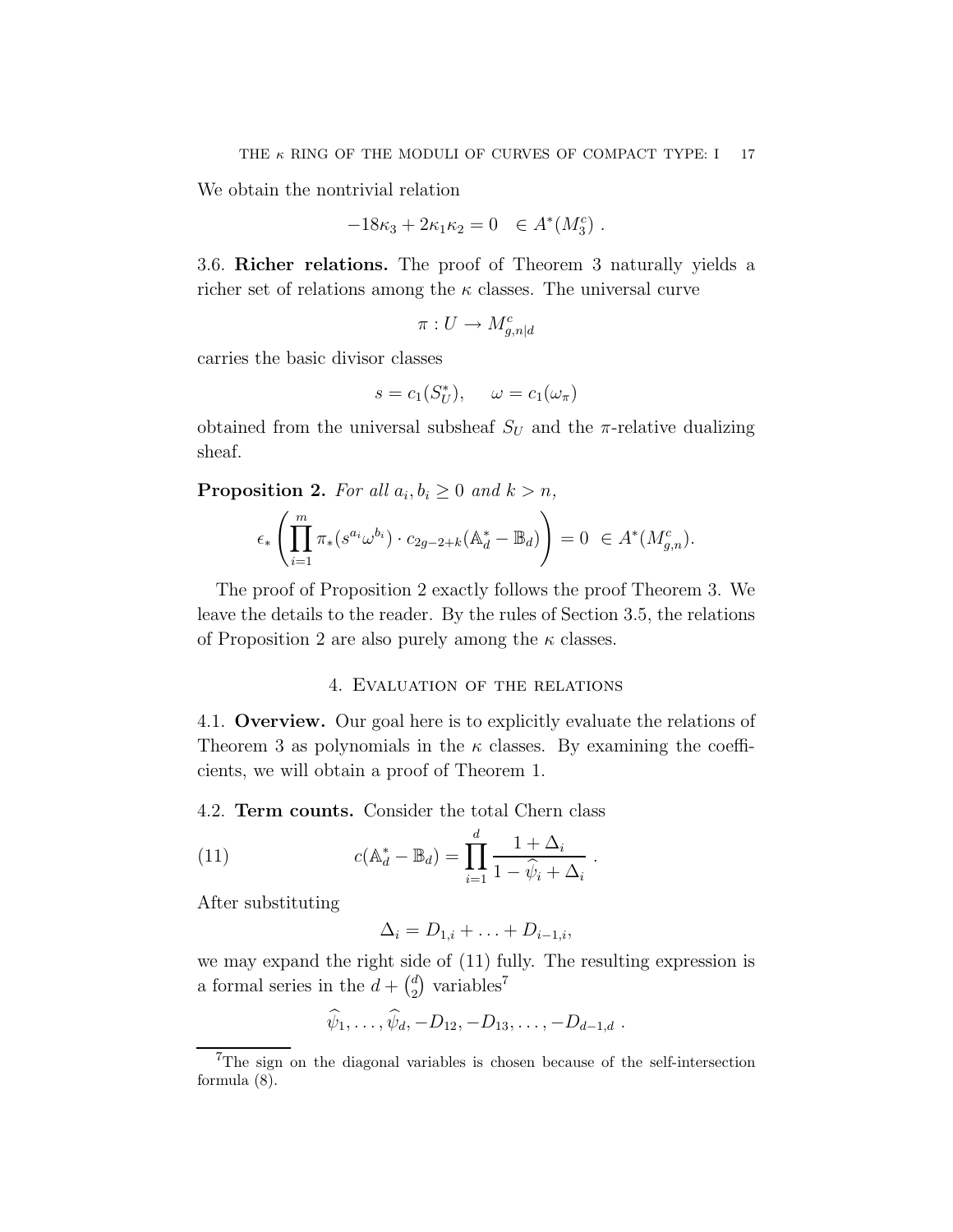We obtain the nontrivial relation

$$
-18\kappa_3 + 2\kappa_1 \kappa_2 = 0 \quad \in A^*(M_3^c) \ .
$$

3.6. Richer relations. The proof of Theorem 3 naturally yields a richer set of relations among the  $\kappa$  classes. The universal curve

$$
\pi: U \to M^c_{g,n|d}
$$

carries the basic divisor classes

$$
s = c_1(S_U^*), \quad \omega = c_1(\omega_\pi)
$$

obtained from the universal subsheaf  $S_U$  and the  $\pi$ -relative dualizing sheaf.

**Proposition 2.** For all  $a_i, b_i \geq 0$  and  $k > n$ ,

$$
\epsilon_* \left( \prod_{i=1}^m \pi_*(s^{a_i} \omega^{b_i}) \cdot c_{2g-2+k} (\mathbb{A}_d^* - \mathbb{B}_d) \right) = 0 \ \in A^*(M_{g,n}^c).
$$

The proof of Proposition 2 exactly follows the proof Theorem 3. We leave the details to the reader. By the rules of Section 3.5, the relations of Proposition 2 are also purely among the  $\kappa$  classes.

#### 4. Evaluation of the relations

4.1. Overview. Our goal here is to explicitly evaluate the relations of Theorem 3 as polynomials in the  $\kappa$  classes. By examining the coefficients, we will obtain a proof of Theorem 1.

4.2. Term counts. Consider the total Chern class

(11) 
$$
c(\mathbb{A}_d^* - \mathbb{B}_d) = \prod_{i=1}^d \frac{1 + \Delta_i}{1 - \hat{\psi}_i + \Delta_i}.
$$

After substituting

$$
\Delta_i = D_{1,i} + \ldots + D_{i-1,i},
$$

we may expand the right side of (11) fully. The resulting expression is a formal series in the  $d + \binom{d}{2}$  $_2^d$ ) variables<sup>7</sup>

$$
\widehat{\psi}_1,\ldots,\widehat{\psi}_d,-D_{12},-D_{13},\ldots,-D_{d-1,d}
$$
.

<sup>7</sup>The sign on the diagonal variables is chosen because of the self-intersection formula (8).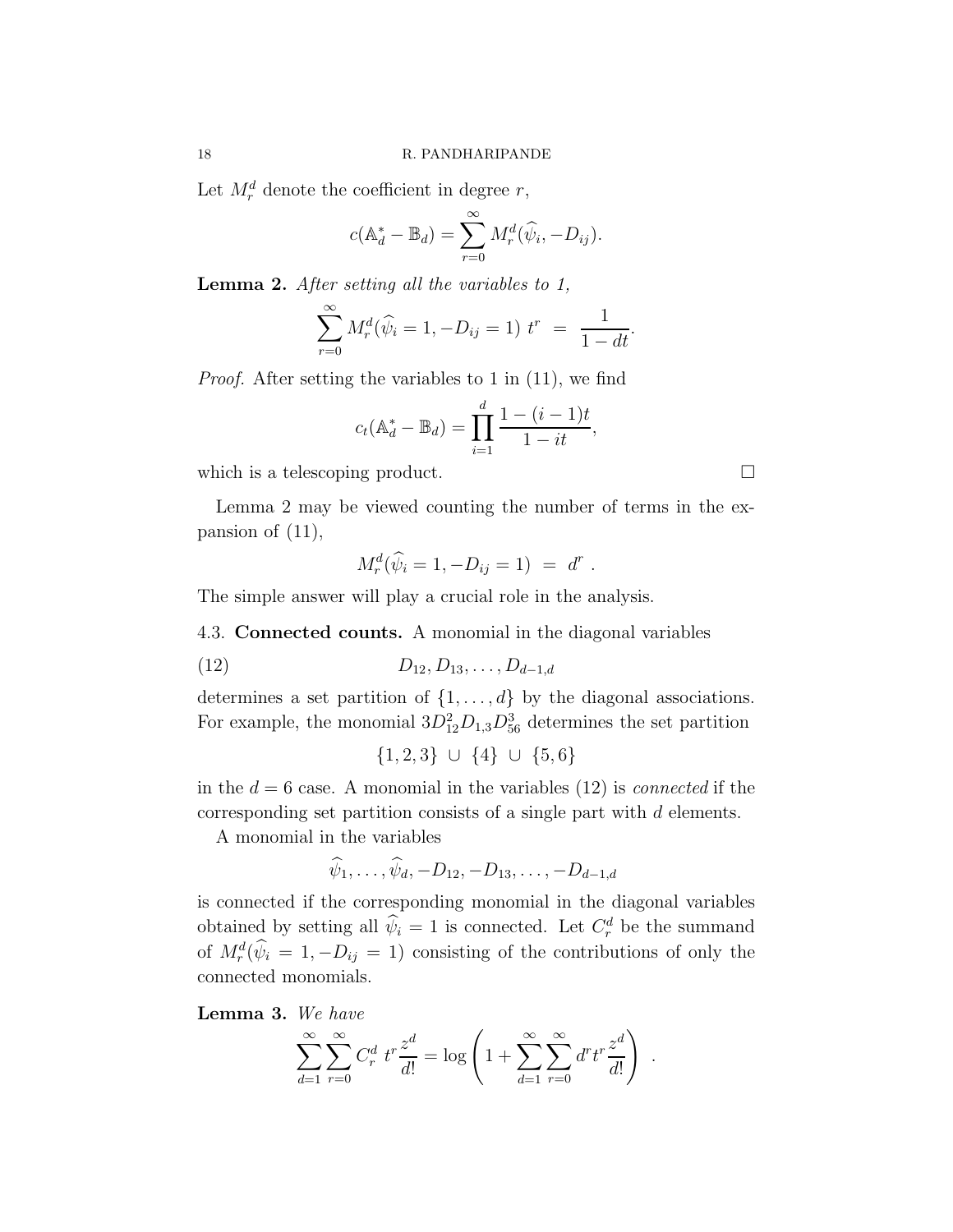Let  $M_r^d$  denote the coefficient in degree r,

$$
c(\mathbb{A}_d^* - \mathbb{B}_d) = \sum_{r=0}^{\infty} M_r^d(\widehat{\psi}_i, -D_{ij}).
$$

Lemma 2. After setting all the variables to 1,

$$
\sum_{r=0}^{\infty} M_r^d(\widehat{\psi}_i = 1, -D_{ij} = 1) t^r = \frac{1}{1 - dt}.
$$

Proof. After setting the variables to 1 in (11), we find

$$
c_t(\mathbb{A}_d^* - \mathbb{B}_d) = \prod_{i=1}^d \frac{1 - (i-1)t}{1 - it},
$$

which is a telescoping product.  $\Box$ 

Lemma 2 may be viewed counting the number of terms in the expansion of (11),

$$
M_r^d(\widehat{\psi}_i = 1, -D_{ij} = 1) = d^r.
$$

The simple answer will play a crucial role in the analysis.

4.3. Connected counts. A monomial in the diagonal variables

$$
(12) \t\t D_{12}, D_{13}, \ldots, D_{d-1,d}
$$

determines a set partition of  $\{1, \ldots, d\}$  by the diagonal associations. For example, the monomial  $3D_{12}^2D_{1,3}D_{56}^3$  determines the set partition

$$
\{1,2,3\} \cup \{4\} \cup \{5,6\}
$$

in the  $d = 6$  case. A monomial in the variables (12) is *connected* if the corresponding set partition consists of a single part with d elements.

A monomial in the variables

$$
\hat{\psi}_1, \ldots, \hat{\psi}_d, -D_{12}, -D_{13}, \ldots, -D_{d-1,d}
$$

is connected if the corresponding monomial in the diagonal variables obtained by setting all  $\hat{\psi}_i = 1$  is connected. Let  $C_r^d$  be the summand of  $M_r^d(\hat{\psi}_i = 1, -D_{ij} = 1)$  consisting of the contributions of only the connected monomials.

Lemma 3. We have

$$
\sum_{d=1}^{\infty} \sum_{r=0}^{\infty} C_r^d t^r \frac{z^d}{d!} = \log \left( 1 + \sum_{d=1}^{\infty} \sum_{r=0}^{\infty} d^r t^r \frac{z^d}{d!} \right)
$$

.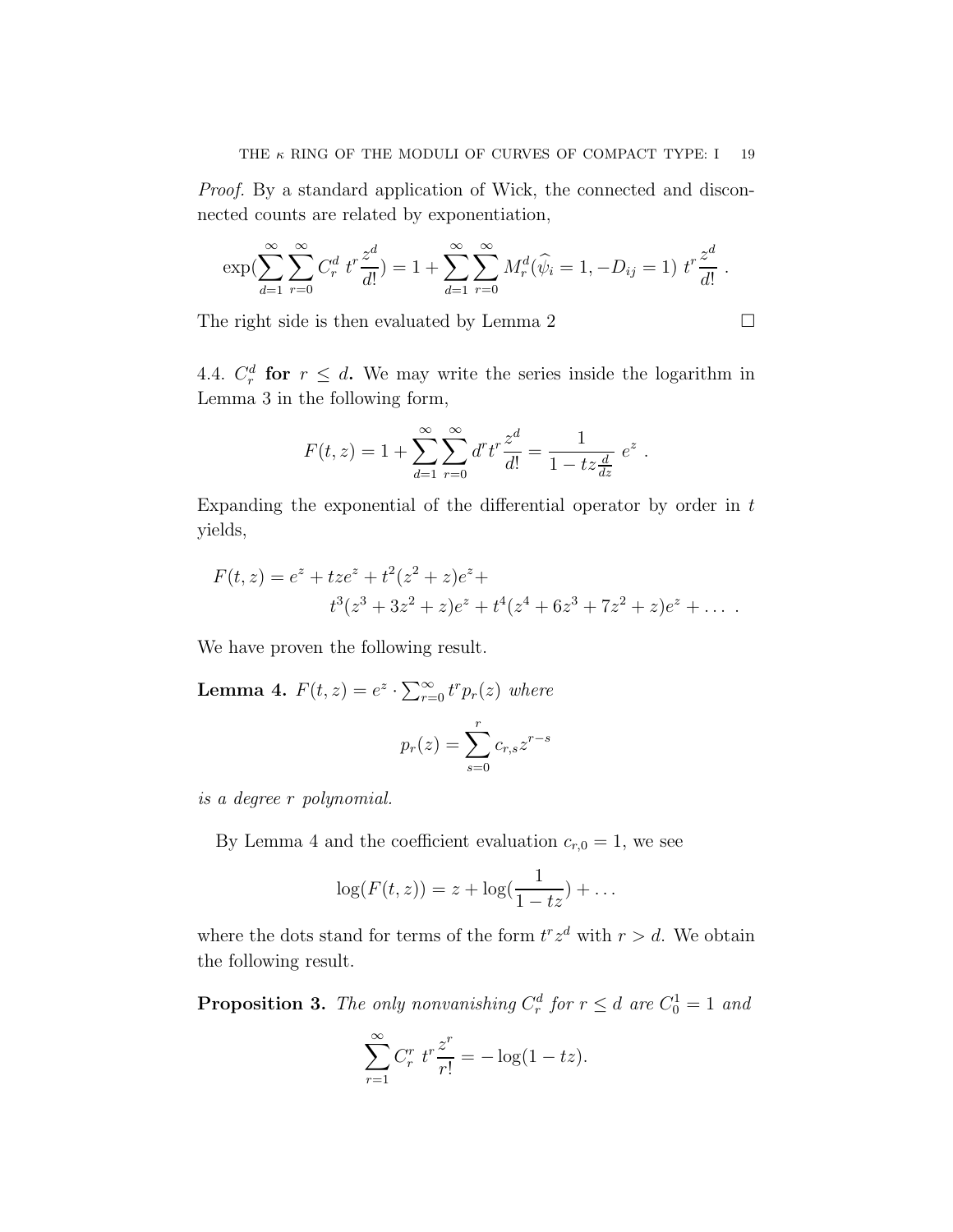Proof. By a standard application of Wick, the connected and disconnected counts are related by exponentiation,

$$
\exp\left(\sum_{d=1}^{\infty}\sum_{r=0}^{\infty}C_r^d t^r \frac{z^d}{d!}\right) = 1 + \sum_{d=1}^{\infty}\sum_{r=0}^{\infty}M_r^d(\widehat{\psi}_i = 1, -D_{ij} = 1) t^r \frac{z^d}{d!}.
$$

The right side is then evaluated by Lemma 2

$$
\qquad \qquad \Box
$$

4.4.  $C_r^d$  for  $r \leq d$ . We may write the series inside the logarithm in Lemma 3 in the following form,

$$
F(t, z) = 1 + \sum_{d=1}^{\infty} \sum_{r=0}^{\infty} d^r t^r \frac{z^d}{d!} = \frac{1}{1 - tz\frac{d}{dz}} e^z.
$$

Expanding the exponential of the differential operator by order in  $t$ yields,

$$
F(t, z) = ez + tzez + t2(z2 + z)ez +
$$
  

$$
t3(z3 + 3z2 + z)ez + t4(z4 + 6z3 + 7z2 + z)ez + ...
$$

We have proven the following result.

**Lemma 4.**  $F(t, z) = e^z \cdot \sum_{r=0}^{\infty} t^r p_r(z)$  where

$$
p_r(z) = \sum_{s=0}^r c_{r,s} z^{r-s}
$$

is a degree r polynomial.

By Lemma 4 and the coefficient evaluation  $c_{r,0} = 1$ , we see

$$
\log(F(t,z)) = z + \log(\frac{1}{1-tz}) + \dots
$$

where the dots stand for terms of the form  $t^r z^d$  with  $r > d$ . We obtain the following result.

**Proposition 3.** The only nonvanishing  $C_r^d$  for  $r \leq d$  are  $C_0^1 = 1$  and

$$
\sum_{r=1}^{\infty} C_r^r t^r \frac{z^r}{r!} = -\log(1 - tz).
$$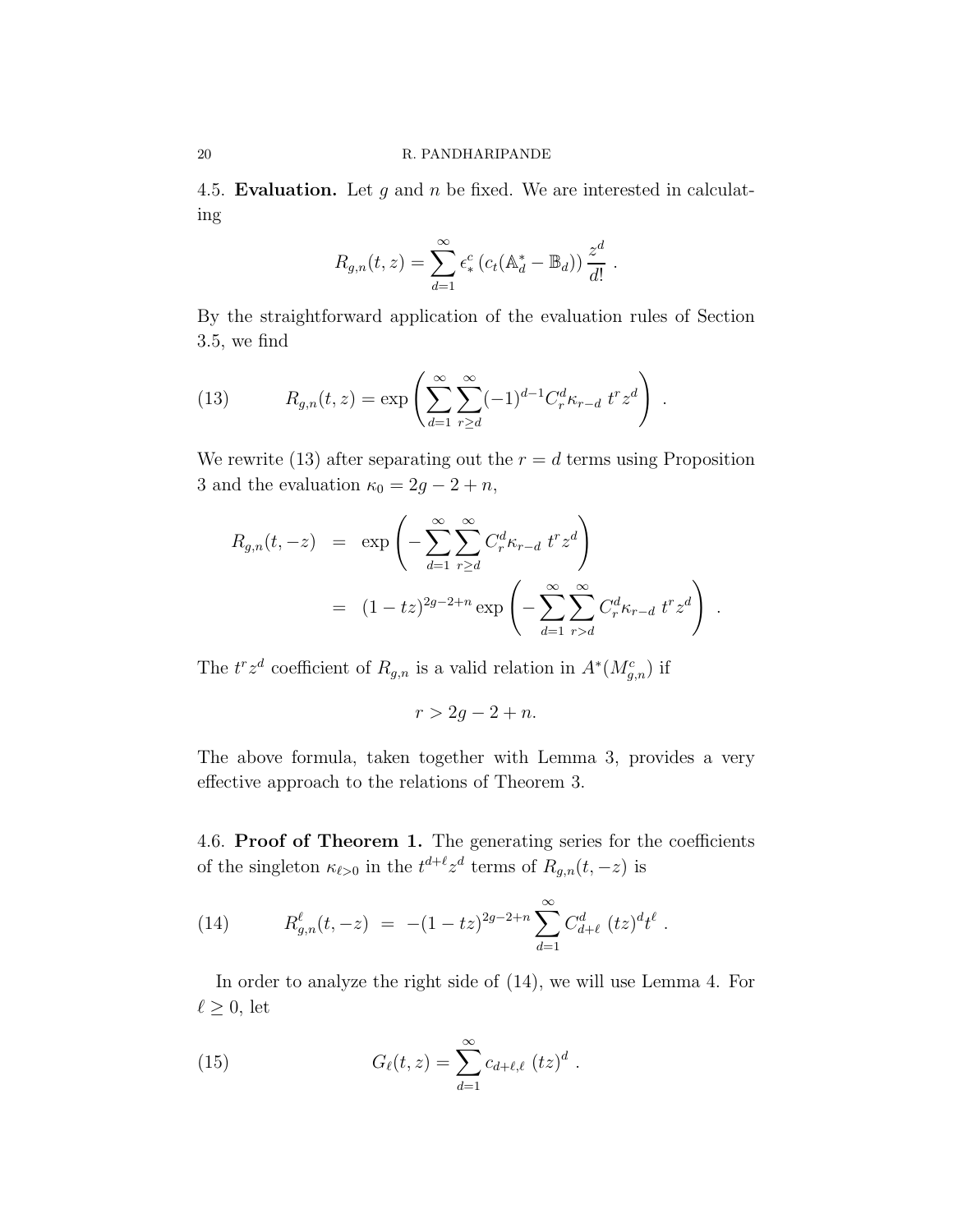4.5. Evaluation. Let  $g$  and  $n$  be fixed. We are interested in calculating

$$
R_{g,n}(t,z) = \sum_{d=1}^{\infty} \epsilon_*^c (c_t(\mathbb{A}_d^* - \mathbb{B}_d)) \frac{z^d}{d!}.
$$

By the straightforward application of the evaluation rules of Section 3.5, we find

(13) 
$$
R_{g,n}(t,z) = \exp\left(\sum_{d=1}^{\infty} \sum_{r\geq d}^{\infty} (-1)^{d-1} C_r^d \kappa_{r-d} t^r z^d\right).
$$

We rewrite (13) after separating out the  $r = d$  terms using Proposition 3 and the evaluation  $\kappa_0 = 2g - 2 + n$ ,

$$
R_{g,n}(t, -z) = \exp\left(-\sum_{d=1}^{\infty} \sum_{r \geq d}^{\infty} C_r^d \kappa_{r-d} t^r z^d\right)
$$
  
=  $(1 - tz)^{2g-2+n} \exp\left(-\sum_{d=1}^{\infty} \sum_{r > d}^{\infty} C_r^d \kappa_{r-d} t^r z^d\right).$ 

The  $t^r z^d$  coefficient of  $R_{g,n}$  is a valid relation in  $A^*(M_{g,n}^c)$  if

$$
r > 2g - 2 + n.
$$

The above formula, taken together with Lemma 3, provides a very effective approach to the relations of Theorem 3.

4.6. Proof of Theorem 1. The generating series for the coefficients of the singleton  $\kappa_{\ell>0}$  in the  $t^{d+\ell}z^d$  terms of  $R_{g,n}(t,-z)$  is

.

(14) 
$$
R_{g,n}^{\ell}(t,-z) = -(1-tz)^{2g-2+n} \sum_{d=1}^{\infty} C_{d+\ell}^{d} (tz)^{d} t^{\ell}
$$

In order to analyze the right side of (14), we will use Lemma 4. For  $\ell \geq 0$ , let

(15) 
$$
G_{\ell}(t,z) = \sum_{d=1}^{\infty} c_{d+\ell,\ell} (tz)^d.
$$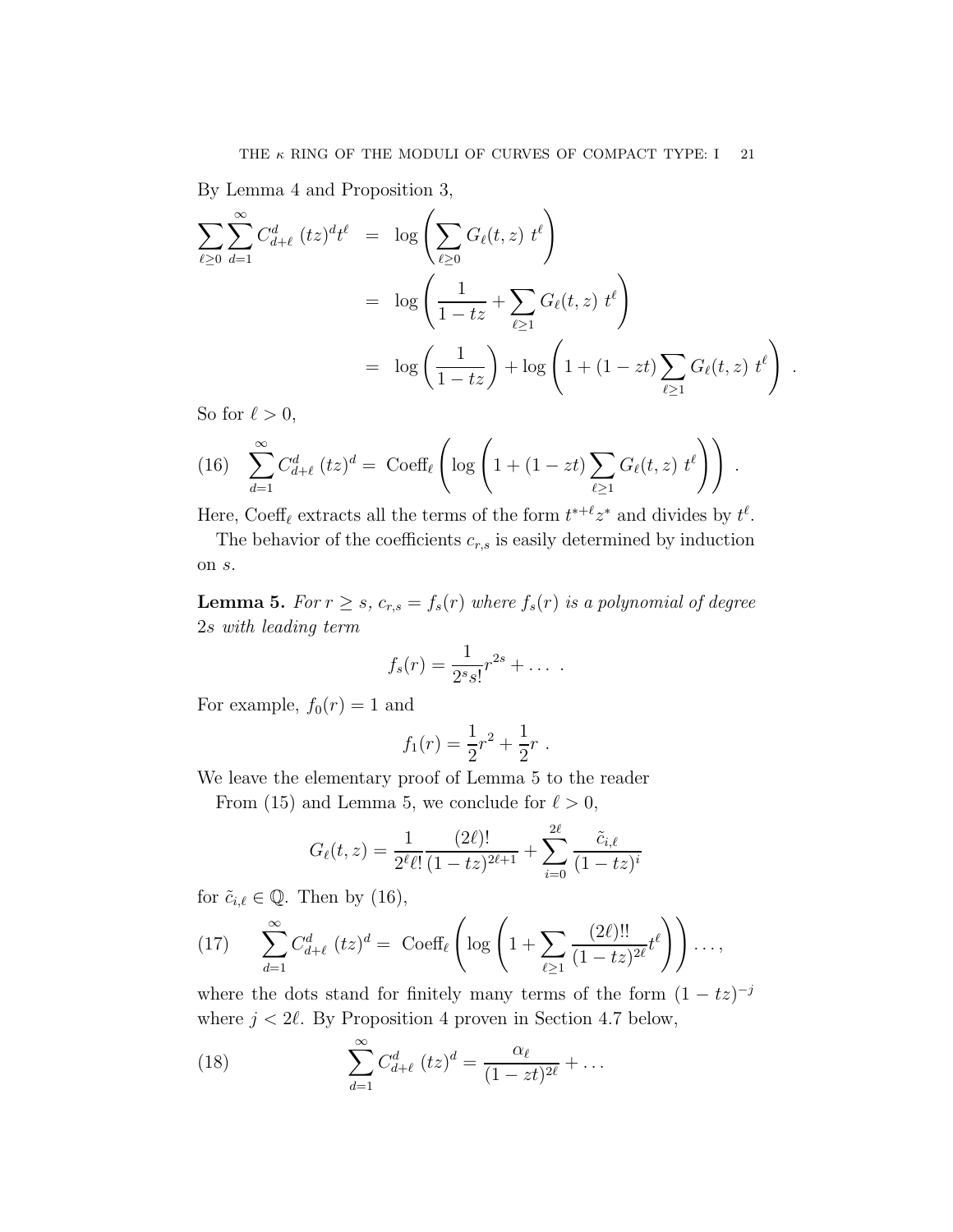By Lemma 4 and Proposition 3,

$$
\sum_{\ell \geq 0} \sum_{d=1}^{\infty} C_{d+\ell}^{d} (tz)^{d} t^{\ell} = \log \left( \sum_{\ell \geq 0} G_{\ell}(t, z) t^{\ell} \right)
$$
  
=  $\log \left( \frac{1}{1 - tz} + \sum_{\ell \geq 1} G_{\ell}(t, z) t^{\ell} \right)$   
=  $\log \left( \frac{1}{1 - tz} \right) + \log \left( 1 + (1 - zt) \sum_{\ell \geq 1} G_{\ell}(t, z) t^{\ell} \right)$ .

So for  $\ell > 0$ ,

(16) 
$$
\sum_{d=1}^{\infty} C_{d+\ell}^d (tz)^d = \text{Coeff}_{\ell} \left( \log \left( 1 + (1 - zt) \sum_{\ell \ge 1} G_{\ell}(t, z) t^{\ell} \right) \right).
$$

Here, Coeff<sub> $\ell$ </sub> extracts all the terms of the form  $t^{*+\ell}z^*$  and divides by  $t^{\ell}$ .

The behavior of the coefficients  $c_{r,s}$  is easily determined by induction on s.

**Lemma 5.** For  $r \geq s$ ,  $c_{r,s} = f_s(r)$  where  $f_s(r)$  is a polynomial of degree 2s with leading term

$$
f_s(r) = \frac{1}{2^s s!} r^{2s} + \dots
$$

For example,  $f_0(r) = 1$  and

$$
f_1(r) = \frac{1}{2}r^2 + \frac{1}{2}r.
$$

We leave the elementary proof of Lemma 5 to the reader

From (15) and Lemma 5, we conclude for  $\ell > 0$ ,

$$
G_{\ell}(t,z) = \frac{1}{2^{\ell}\ell!} \frac{(2\ell)!}{(1-tz)^{2\ell+1}} + \sum_{i=0}^{2\ell} \frac{\tilde{c}_{i,\ell}}{(1-tz)^{i}}
$$

for  $\tilde{c}_{i,\ell} \in \mathbb{Q}$ . Then by (16),

(17) 
$$
\sum_{d=1}^{\infty} C_{d+\ell}^d (tz)^d = \text{Coeff}_{\ell} \left( \log \left( 1 + \sum_{\ell \ge 1} \frac{(2\ell)!!}{(1-tz)^{2\ell}} t^{\ell} \right) \right) \dots,
$$

where the dots stand for finitely many terms of the form  $(1 - tz)^{-j}$ where  $j < 2\ell$ . By Proposition 4 proven in Section 4.7 below,

(18) 
$$
\sum_{d=1}^{\infty} C_{d+\ell}^{d} (tz)^{d} = \frac{\alpha_{\ell}}{(1 - zt)^{2\ell}} + \dots
$$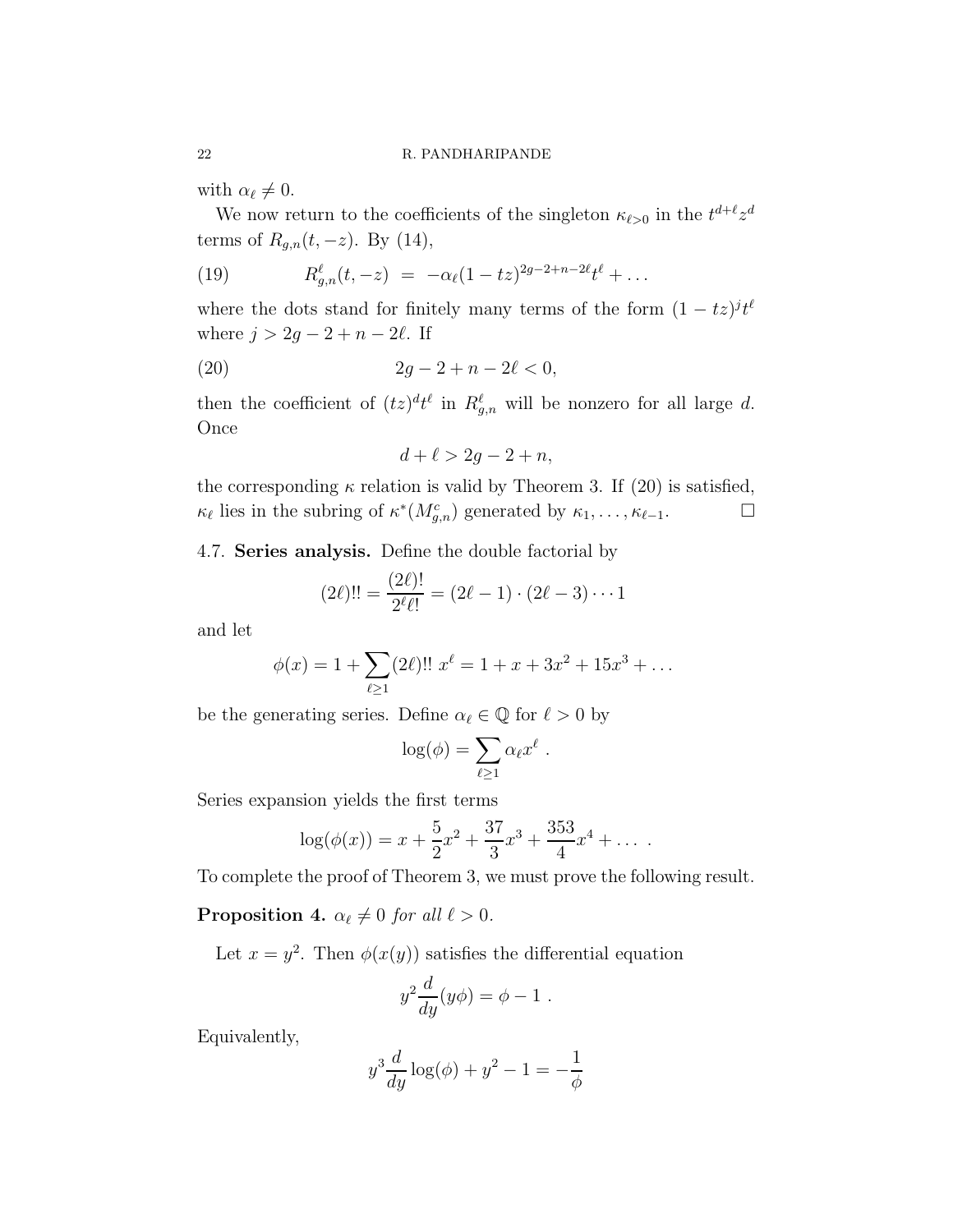with  $\alpha_{\ell} \neq 0$ .

We now return to the coefficients of the singleton  $\kappa_{\ell>0}$  in the  $t^{d+\ell}z^d$ terms of  $R_{g,n}(t, -z)$ . By (14),

(19) 
$$
R_{g,n}^{\ell}(t,-z) = -\alpha_{\ell}(1-tz)^{2g-2+n-2\ell}t^{\ell} + \dots
$$

where the dots stand for finitely many terms of the form  $(1 - tz)^{jt\ell}$ where  $j > 2g - 2 + n - 2\ell$ . If

(20) 
$$
2g - 2 + n - 2\ell < 0,
$$

then the coefficient of  $(tz)^{d}t^{\ell}$  in  $R^{\ell}_{g,n}$  will be nonzero for all large d. Once

$$
d + \ell > 2g - 2 + n,
$$

the corresponding  $\kappa$  relation is valid by Theorem 3. If (20) is satisfied,  $\kappa_{\ell}$  lies in the subring of  $\kappa^*(M_{g,n}^c)$  generated by  $\kappa_1, \ldots, \kappa_{\ell-1}$ .

4.7. Series analysis. Define the double factorial by

$$
(2\ell)!! = \frac{(2\ell)!}{2^{\ell}\ell!} = (2\ell - 1) \cdot (2\ell - 3) \cdots 1
$$

and let

$$
\phi(x) = 1 + \sum_{\ell \ge 1} (2\ell)!! \ x^{\ell} = 1 + x + 3x^2 + 15x^3 + \dots
$$

be the generating series. Define  $\alpha_{\ell} \in \mathbb{Q}$  for  $\ell > 0$  by

$$
\log(\phi) = \sum_{\ell \ge 1} \alpha_{\ell} x^{\ell} .
$$

Series expansion yields the first terms

$$
\log(\phi(x)) = x + \frac{5}{2}x^2 + \frac{37}{3}x^3 + \frac{353}{4}x^4 + \dots
$$

To complete the proof of Theorem 3, we must prove the following result.

**Proposition 4.**  $\alpha_{\ell} \neq 0$  for all  $\ell > 0$ .

Let  $x = y^2$ . Then  $\phi(x(y))$  satisfies the differential equation

$$
y^2 \frac{d}{dy}(y\phi) = \phi - 1.
$$

Equivalently,

$$
y^{3} \frac{d}{dy} \log(\phi) + y^{2} - 1 = -\frac{1}{\phi}
$$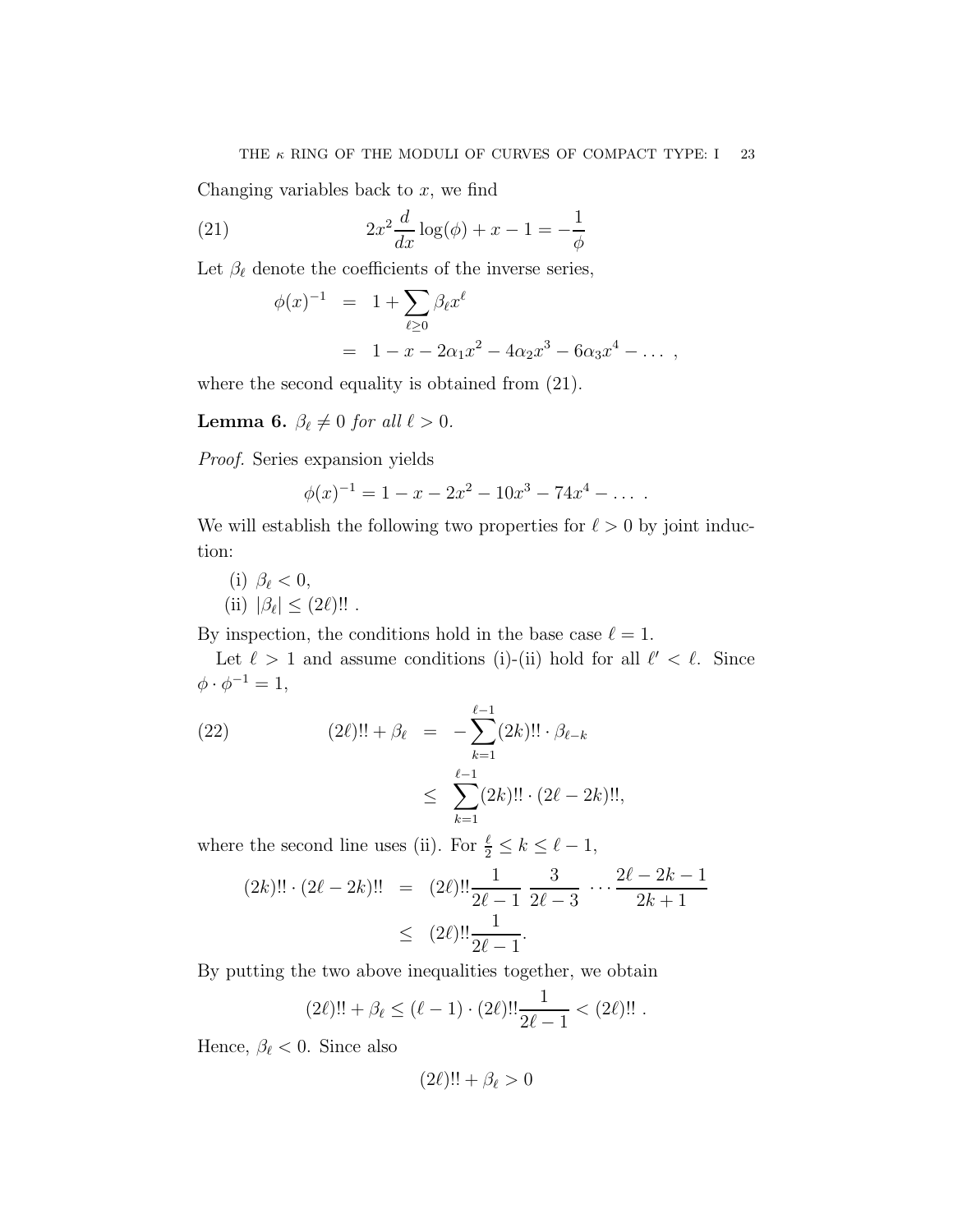Changing variables back to  $x$ , we find

(21) 
$$
2x^2 \frac{d}{dx} \log(\phi) + x - 1 = -\frac{1}{\phi}
$$

Let  $\beta_{\ell}$  denote the coefficients of the inverse series,

$$
\phi(x)^{-1} = 1 + \sum_{\ell \ge 0} \beta_{\ell} x^{\ell}
$$
  
= 1 - x - 2\alpha\_1 x^2 - 4\alpha\_2 x^3 - 6\alpha\_3 x^4 - ...,

where the second equality is obtained from (21).

**Lemma 6.**  $\beta_{\ell} \neq 0$  for all  $\ell > 0$ .

Proof. Series expansion yields

$$
\phi(x)^{-1} = 1 - x - 2x^2 - 10x^3 - 74x^4 - \dots
$$

We will establish the following two properties for  $\ell > 0$  by joint induction:

(i) 
$$
\beta_{\ell} < 0
$$
,  
(ii)  $|\beta_{\ell}| \leq (2\ell)!!$ .

By inspection, the conditions hold in the base case  $\ell = 1$ .

Let  $\ell > 1$  and assume conditions (i)-(ii) hold for all  $\ell' < \ell$ . Since  $\phi \cdot \phi^{-1} = 1,$ 

(22) 
$$
(2\ell)!! + \beta_{\ell} = -\sum_{k=1}^{\ell-1} (2k)!! \cdot \beta_{\ell-k} \leq \sum_{k=1}^{\ell-1} (2k)!! \cdot (2\ell - 2k)!!,
$$

where the second line uses (ii). For  $\frac{\ell}{2} \leq k \leq \ell - 1$ ,

$$
(2k)!! \cdot (2\ell - 2k)!! = (2\ell)!! \frac{1}{2\ell - 1} \frac{3}{2\ell - 3} \cdots \frac{2\ell - 2k - 1}{2k + 1} \leq (2\ell)!! \frac{1}{2\ell - 1}.
$$

By putting the two above inequalities together, we obtain

$$
(2\ell)!! + \beta_{\ell} \leq (\ell - 1) \cdot (2\ell)!! \frac{1}{2\ell - 1} < (2\ell)!!
$$

Hence,  $\beta_{\ell} < 0$ . Since also

$$
(2\ell)!! + \beta_{\ell} > 0
$$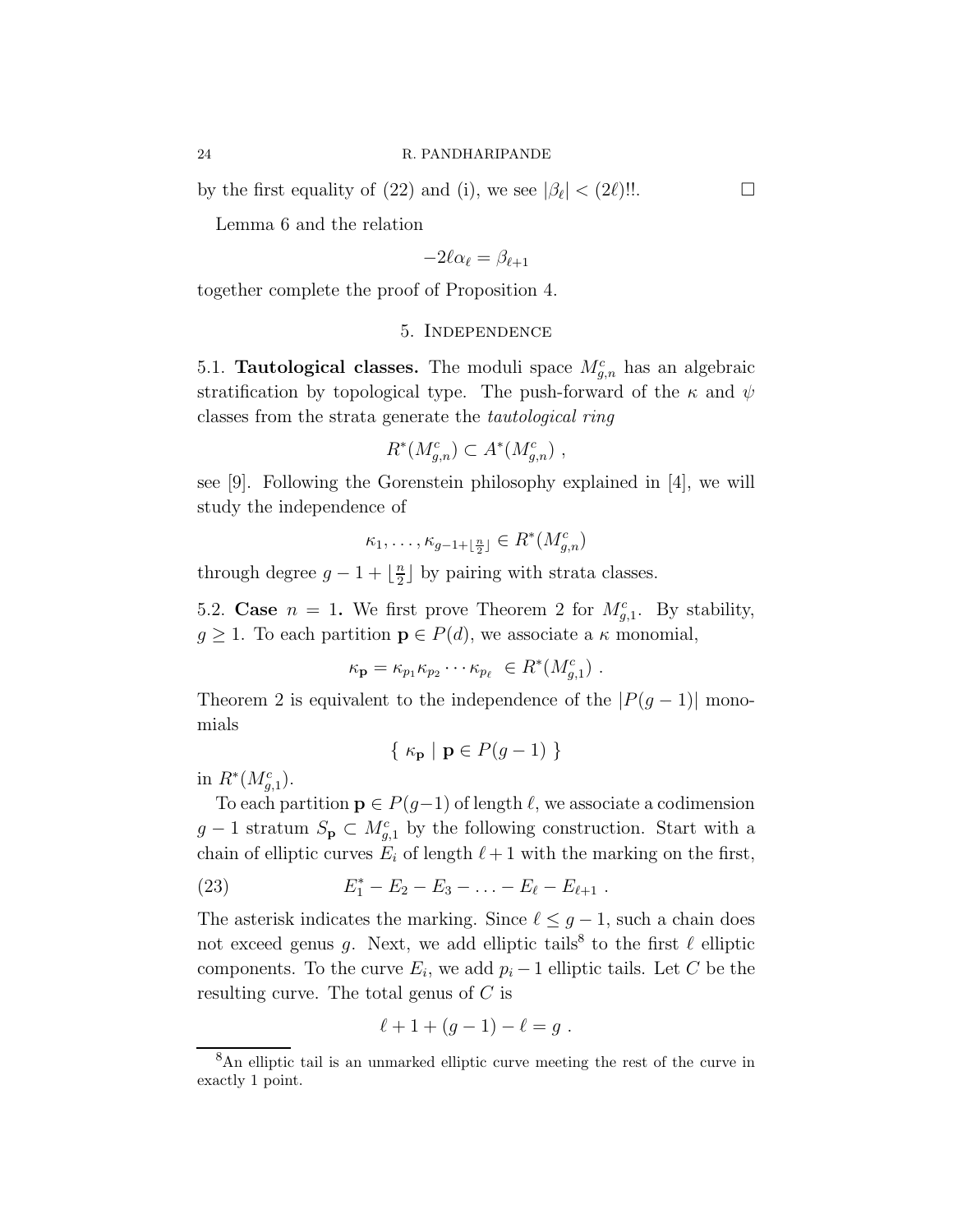by the first equality of (22) and (i), we see  $|\beta_{\ell}| < (2\ell)!!$ .

Lemma 6 and the relation

$$
-2\ell\alpha_\ell=\beta_{\ell+1}
$$

together complete the proof of Proposition 4.

## 5. Independence

5.1. **Tautological classes.** The moduli space  $M_{g,n}^c$  has an algebraic stratification by topological type. The push-forward of the  $\kappa$  and  $\psi$ classes from the strata generate the tautological ring

$$
R^*(M_{g,n}^c) \subset A^*(M_{g,n}^c) ,
$$

see [9]. Following the Gorenstein philosophy explained in [4], we will study the independence of

$$
\kappa_1, \ldots, \kappa_{g-1+\lfloor \frac{n}{2} \rfloor} \in R^*(M_{g,n}^c)
$$

through degree  $g-1+\lfloor\frac{n}{2}\rfloor$  $\frac{n}{2}$  by pairing with strata classes.

5.2. Case  $n = 1$ . We first prove Theorem 2 for  $M_{g,1}^c$ . By stability,  $g \geq 1$ . To each partition  $p \in P(d)$ , we associate a  $\kappa$  monomial,

$$
\kappa_{\mathbf{p}} = \kappa_{p_1} \kappa_{p_2} \cdots \kappa_{p_\ell} \in R^*(M_{g,1}^c) .
$$

Theorem 2 is equivalent to the independence of the  $|P(g-1)|$  monomials

$$
\{ \kappa_{\mathbf{p}} \mid \mathbf{p} \in P(g-1) \}
$$

in  $R^*(M_{g,1}^c)$ .

To each partition  $p \in P(g-1)$  of length  $\ell$ , we associate a codimension  $g-1$  stratum  $S_{\mathbf{p}} \subset M_{g,1}^c$  by the following construction. Start with a chain of elliptic curves  $E_i$  of length  $\ell+1$  with the marking on the first,

(23) 
$$
E_1^* - E_2 - E_3 - \ldots - E_{\ell} - E_{\ell+1} .
$$

The asterisk indicates the marking. Since  $\ell \leq g-1$ , such a chain does not exceed genus g. Next, we add elliptic tails<sup>8</sup> to the first  $\ell$  elliptic components. To the curve  $E_i$ , we add  $p_i - 1$  elliptic tails. Let C be the resulting curve. The total genus of C is

$$
\ell + 1 + (g - 1) - \ell = g \; .
$$

<sup>8</sup>An elliptic tail is an unmarked elliptic curve meeting the rest of the curve in exactly 1 point.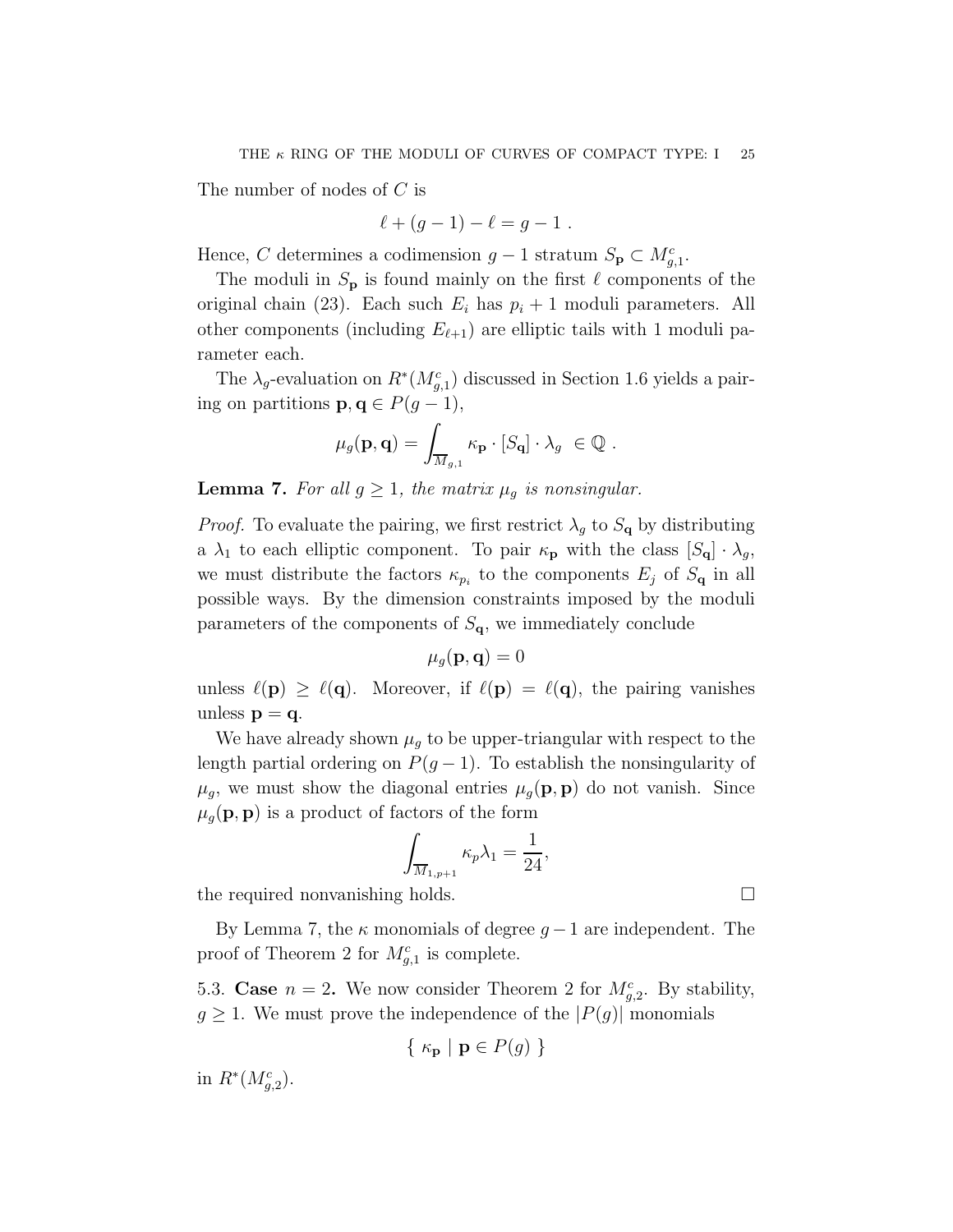The number of nodes of C is

$$
\ell + (g - 1) - \ell = g - 1 \; .
$$

Hence, C determines a codimension  $g-1$  stratum  $S_{\mathbf{p}} \subset M_{g,1}^c$ .

The moduli in  $S_p$  is found mainly on the first  $\ell$  components of the original chain (23). Each such  $E_i$  has  $p_i + 1$  moduli parameters. All other components (including  $E_{\ell+1}$ ) are elliptic tails with 1 moduli parameter each.

The  $\lambda_g$ -evaluation on  $R^*(M_{g,1}^c)$  discussed in Section 1.6 yields a pairing on partitions  $\mathbf{p}, \mathbf{q} \in P(g-1)$ ,

$$
\mu_g(\mathbf{p}, \mathbf{q}) = \int_{\overline{M}_{g,1}} \kappa_\mathbf{p} \cdot [S_\mathbf{q}] \cdot \lambda_g \ \in \mathbb{Q} \ .
$$

**Lemma 7.** For all  $g \geq 1$ , the matrix  $\mu_g$  is nonsingular.

*Proof.* To evaluate the pairing, we first restrict  $\lambda_g$  to  $S_q$  by distributing a  $\lambda_1$  to each elliptic component. To pair  $\kappa_{\mathbf{p}}$  with the class  $[S_{\mathbf{q}}] \cdot \lambda_g$ , we must distribute the factors  $\kappa_{p_i}$  to the components  $E_j$  of  $S_{\mathbf{q}}$  in all possible ways. By the dimension constraints imposed by the moduli parameters of the components of  $S_{q}$ , we immediately conclude

$$
\mu_g(\mathbf{p}, \mathbf{q}) = 0
$$

unless  $\ell(\mathbf{p}) \geq \ell(\mathbf{q})$ . Moreover, if  $\ell(\mathbf{p}) = \ell(\mathbf{q})$ , the pairing vanishes unless  $p = q$ .

We have already shown  $\mu_q$  to be upper-triangular with respect to the length partial ordering on  $P(g-1)$ . To establish the nonsingularity of  $\mu_g$ , we must show the diagonal entries  $\mu_g(\mathbf{p}, \mathbf{p})$  do not vanish. Since  $\mu_q(\mathbf{p}, \mathbf{p})$  is a product of factors of the form

$$
\int_{\overline{M}_{1,p+1}} \kappa_p \lambda_1 = \frac{1}{24},
$$

the required nonvanishing holds.

By Lemma 7, the  $\kappa$  monomials of degree  $q-1$  are independent. The proof of Theorem 2 for  $M_{g,1}^c$  is complete.

5.3. Case  $n = 2$ . We now consider Theorem 2 for  $M_{g,2}^c$ . By stability,  $g \geq 1$ . We must prove the independence of the  $|P(g)|$  monomials

$$
\{ \kappa_{\mathbf{p}} \mid \mathbf{p} \in P(g) \}
$$

in  $R^*(M_{g,2}^c)$ .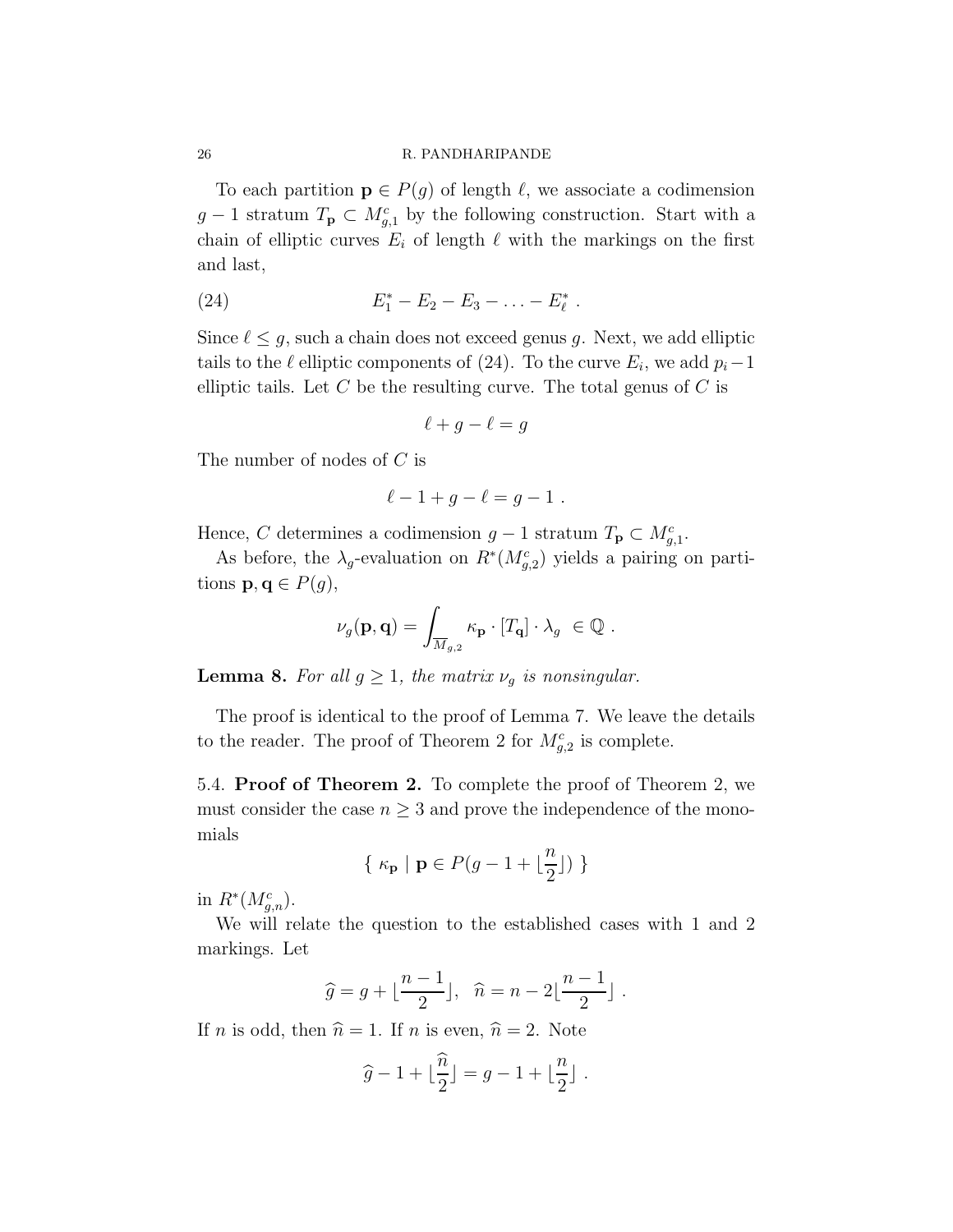To each partition  $\mathbf{p} \in P(g)$  of length  $\ell$ , we associate a codimension  $g-1$  stratum  $T_{\mathbf{p}} \subset M_{g,1}^c$  by the following construction. Start with a chain of elliptic curves  $E_i$  of length  $\ell$  with the markings on the first and last,

(24) 
$$
E_1^* - E_2 - E_3 - \ldots - E_\ell^*.
$$

Since  $\ell \leq g$ , such a chain does not exceed genus g. Next, we add elliptic tails to the  $\ell$  elliptic components of (24). To the curve  $E_i$ , we add  $p_i-1$ elliptic tails. Let  $C$  be the resulting curve. The total genus of  $C$  is

$$
\ell + g - \ell = g
$$

The number of nodes of C is

$$
\ell - 1 + g - \ell = g - 1 \; .
$$

Hence, C determines a codimension  $g-1$  stratum  $T_{\mathbf{p}} \subset M_{g,1}^c$ .

As before, the  $\lambda_g$ -evaluation on  $R^*(M_{g,2}^c)$  yields a pairing on partitions  $\mathbf{p}, \mathbf{q} \in P(g)$ ,

$$
\nu_g(\mathbf{p}, \mathbf{q}) = \int_{\overline{M}_{g,2}} \kappa_\mathbf{p} \cdot [T_\mathbf{q}] \cdot \lambda_g \ \in \mathbb{Q} \ .
$$

**Lemma 8.** For all  $g \geq 1$ , the matrix  $\nu_g$  is nonsingular.

The proof is identical to the proof of Lemma 7. We leave the details to the reader. The proof of Theorem 2 for  $M_{g,2}^c$  is complete.

5.4. Proof of Theorem 2. To complete the proof of Theorem 2, we must consider the case  $n \geq 3$  and prove the independence of the monomials

$$
\{ \ \kappa_{\mathbf{p}} \ | \ \mathbf{p} \in P(g-1+\lfloor \frac{n}{2} \rfloor) \ \}
$$

in  $R^*(M_{g,n}^c)$ .

We will relate the question to the established cases with 1 and 2 markings. Let

$$
\widehat{g} = g + \lfloor \frac{n-1}{2} \rfloor, \quad \widehat{n} = n - 2 \lfloor \frac{n-1}{2} \rfloor.
$$

If *n* is odd, then  $\hat{n} = 1$ . If *n* is even,  $\hat{n} = 2$ . Note

$$
\widehat{g} - 1 + \lfloor \frac{\widehat{n}}{2} \rfloor = g - 1 + \lfloor \frac{n}{2} \rfloor.
$$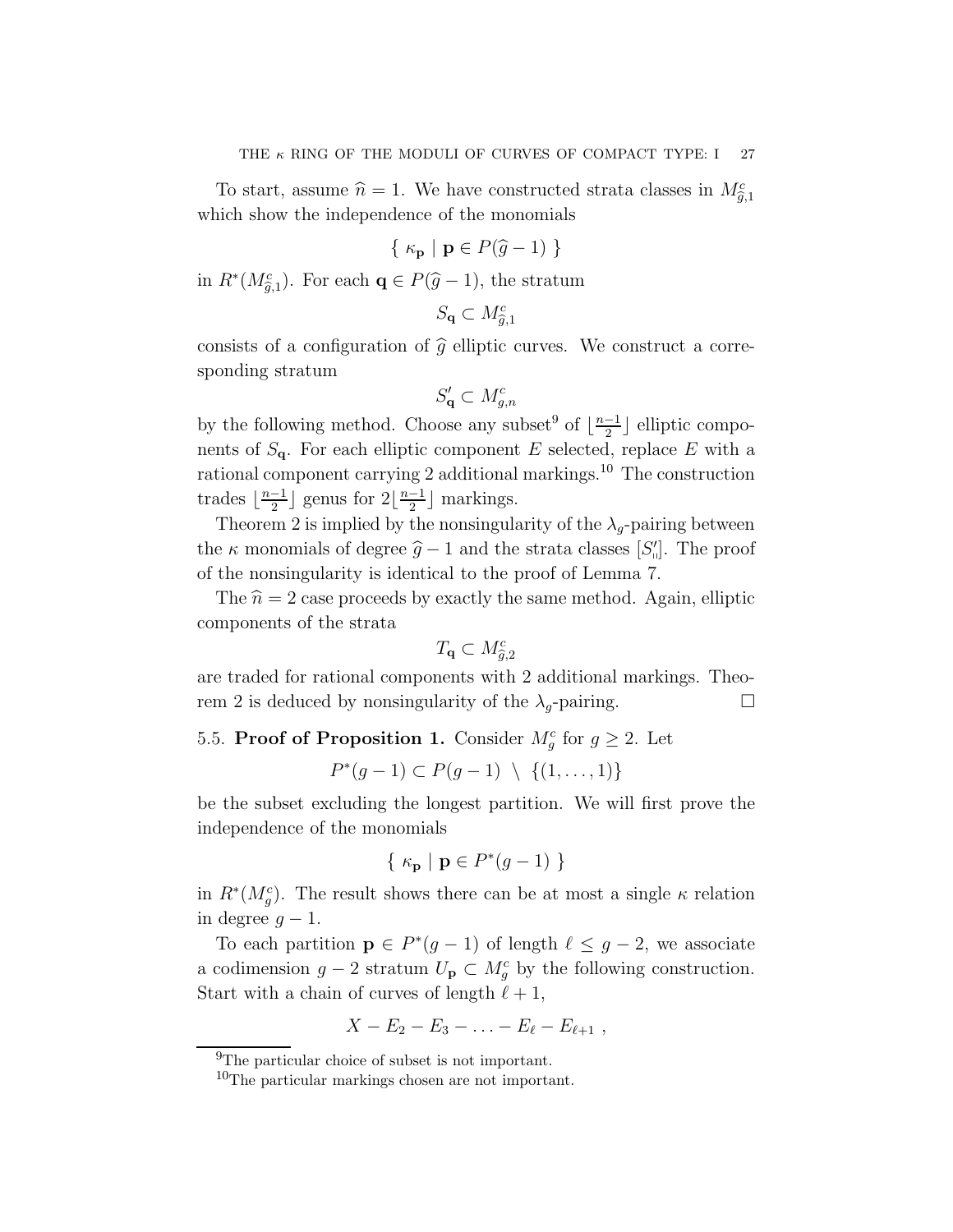To start, assume  $\hat{n} = 1$ . We have constructed strata classes in  $M_{\hat{g},1}^c$ which show the independence of the monomials

$$
\{ \kappa_{\mathbf{p}} \mid \mathbf{p} \in P(\widehat{g} - 1) \}
$$

in  $R^*(M_{\tilde{g},1}^c)$ . For each  $\mathbf{q} \in P(\hat{g}-1)$ , the stratum

$$
S_{\mathbf{q}} \subset M_{\widehat{g},1}^c
$$

consists of a configuration of  $\hat{q}$  elliptic curves. We construct a corresponding stratum

$$
S'_{\mathbf{q}} \subset M_{g,n}^c
$$

by the following method. Choose any subset<sup>9</sup> of  $\lfloor \frac{n-1}{2} \rfloor$  $\frac{-1}{2}$  elliptic components of  $S_{q}$ . For each elliptic component E selected, replace E with a rational component carrying 2 additional markings.<sup>10</sup> The construction trades  $\lfloor \frac{n-1}{2} \rfloor$  $\frac{-1}{2}$  genus for  $2\left\lfloor \frac{n-1}{2} \right\rfloor$  $\frac{-1}{2}$  markings.

Theorem 2 is implied by the nonsingularity of the  $\lambda_q$ -pairing between the  $\kappa$  monomials of degree  $\hat{g}$  − 1 and the strata classes [S'']. The proof of the nonsingularity is identical to the proof of Lemma 7.

The  $\hat{n} = 2$  case proceeds by exactly the same method. Again, elliptic components of the strata

$$
T_{\mathbf{q}} \subset M_{\widehat{g},2}^c
$$

are traded for rational components with 2 additional markings. Theorem 2 is deduced by nonsingularity of the  $\lambda_q$ -pairing.

# 5.5. **Proof of Proposition 1.** Consider  $M_g^c$  for  $g \geq 2$ . Let

$$
P^*(g-1) \subset P(g-1) \setminus \{(1,\ldots,1)\}
$$

be the subset excluding the longest partition. We will first prove the independence of the monomials

$$
\{ \kappa_{\mathbf{p}} \mid \mathbf{p} \in P^*(g-1) \}
$$

in  $R^*(M_g^c)$ . The result shows there can be at most a single  $\kappa$  relation in degree  $g - 1$ .

To each partition  $\mathbf{p} \in P^*(g-1)$  of length  $\ell \leq g-2$ , we associate a codimension  $g - 2$  stratum  $U_{\mathbf{p}} \subset M_g^c$  by the following construction. Start with a chain of curves of length  $\ell + 1$ ,

$$
X - E_2 - E_3 - \ldots - E_{\ell} - E_{\ell+1} \; ,
$$

 $^{9}$ The particular choice of subset is not important.

<sup>10</sup>The particular markings chosen are not important.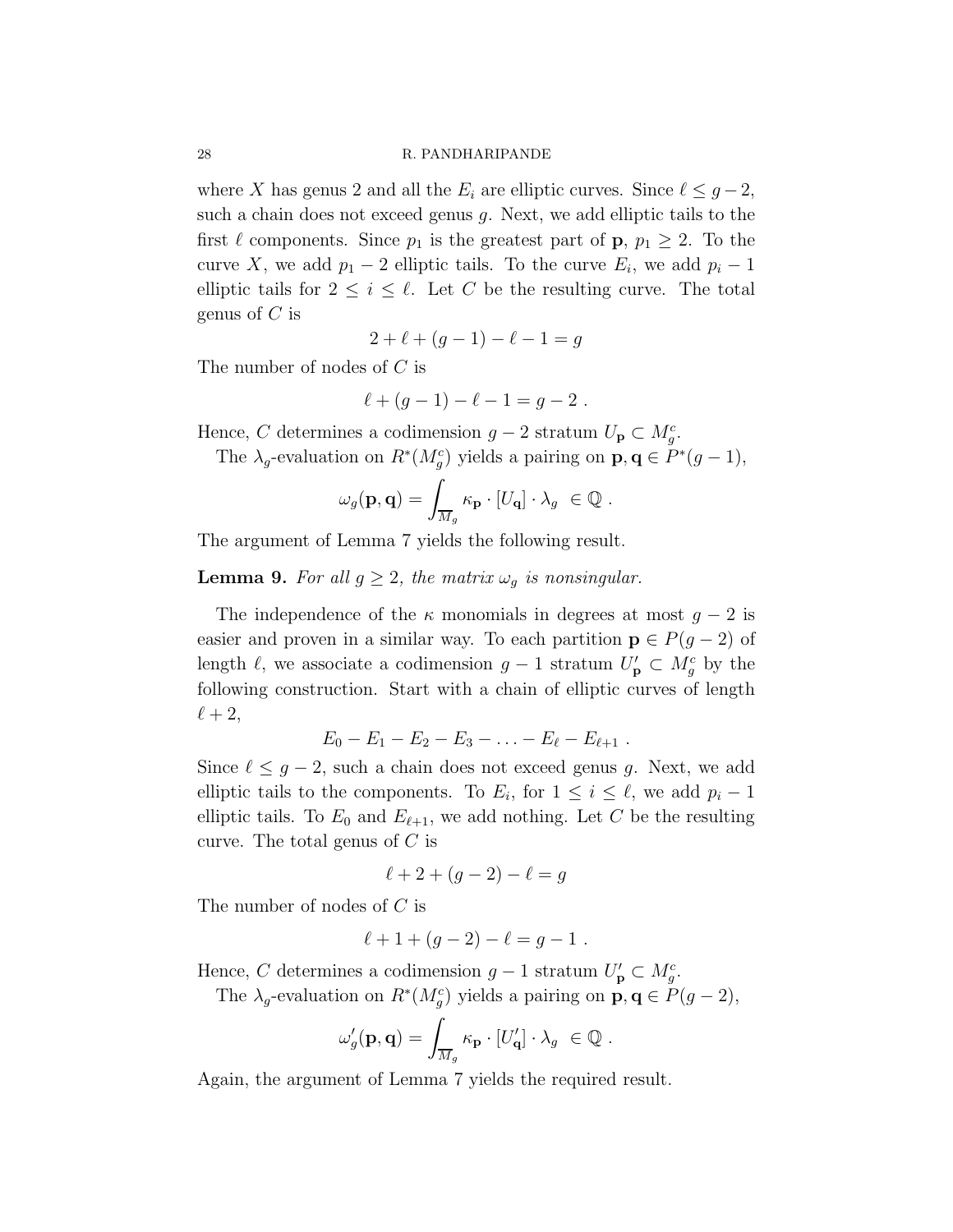where X has genus 2 and all the  $E_i$  are elliptic curves. Since  $\ell \leq g-2$ , such a chain does not exceed genus  $g$ . Next, we add elliptic tails to the first  $\ell$  components. Since  $p_1$  is the greatest part of  $p, p_1 \geq 2$ . To the curve X, we add  $p_1 - 2$  elliptic tails. To the curve  $E_i$ , we add  $p_i - 1$ elliptic tails for  $2 \leq i \leq \ell$ . Let C be the resulting curve. The total genus of C is

$$
2 + \ell + (g - 1) - \ell - 1 = g
$$

The number of nodes of C is

$$
\ell + (g-1) - \ell - 1 = g - 2.
$$

Hence, C determines a codimension  $g-2$  stratum  $U_p \subset M_g^c$ .

The  $\lambda_g$ -evaluation on  $R^*(M_g^c)$  yields a pairing on  $\mathbf{p}, \mathbf{q} \in P^*(g-1)$ ,

$$
\omega_g(\mathbf{p}, \mathbf{q}) = \int_{\overline{M}_g} \kappa_\mathbf{p} \cdot [U_\mathbf{q}] \cdot \lambda_g \ \in \mathbb{Q} \ .
$$

The argument of Lemma 7 yields the following result.

**Lemma 9.** For all  $g \geq 2$ , the matrix  $\omega_g$  is nonsingular.

The independence of the  $\kappa$  monomials in degrees at most  $g - 2$  is easier and proven in a similar way. To each partition  $p \in P(g-2)$  of length  $\ell$ , we associate a codimension  $g-1$  stratum  $U'_{\mathbf{p}} \subset M_g^c$  by the following construction. Start with a chain of elliptic curves of length  $\ell+2,$ 

$$
E_0 - E_1 - E_2 - E_3 - \ldots - E_{\ell} - E_{\ell+1} \; .
$$

Since  $\ell \leq g-2$ , such a chain does not exceed genus g. Next, we add elliptic tails to the components. To  $E_i$ , for  $1 \leq i \leq \ell$ , we add  $p_i - 1$ elliptic tails. To  $E_0$  and  $E_{\ell+1}$ , we add nothing. Let C be the resulting curve. The total genus of  $C$  is

$$
\ell + 2 + (g - 2) - \ell = g
$$

The number of nodes of C is

$$
\ell + 1 + (g - 2) - \ell = g - 1.
$$

Hence, C determines a codimension  $g-1$  stratum  $U'_{\mathbf{p}} \subset M_g^c$ .

The  $\lambda_g$ -evaluation on  $R^*(M_g^c)$  yields a pairing on  $\mathbf{p}, \mathbf{q} \in P(g-2)$ ,

$$
\omega'_g(\mathbf{p},\mathbf{q})=\int_{\overline{M}_g} \kappa_\mathbf{p} \cdot [U'_\mathbf{q}] \cdot \lambda_g \ \in \mathbb{Q} \ .
$$

Again, the argument of Lemma 7 yields the required result.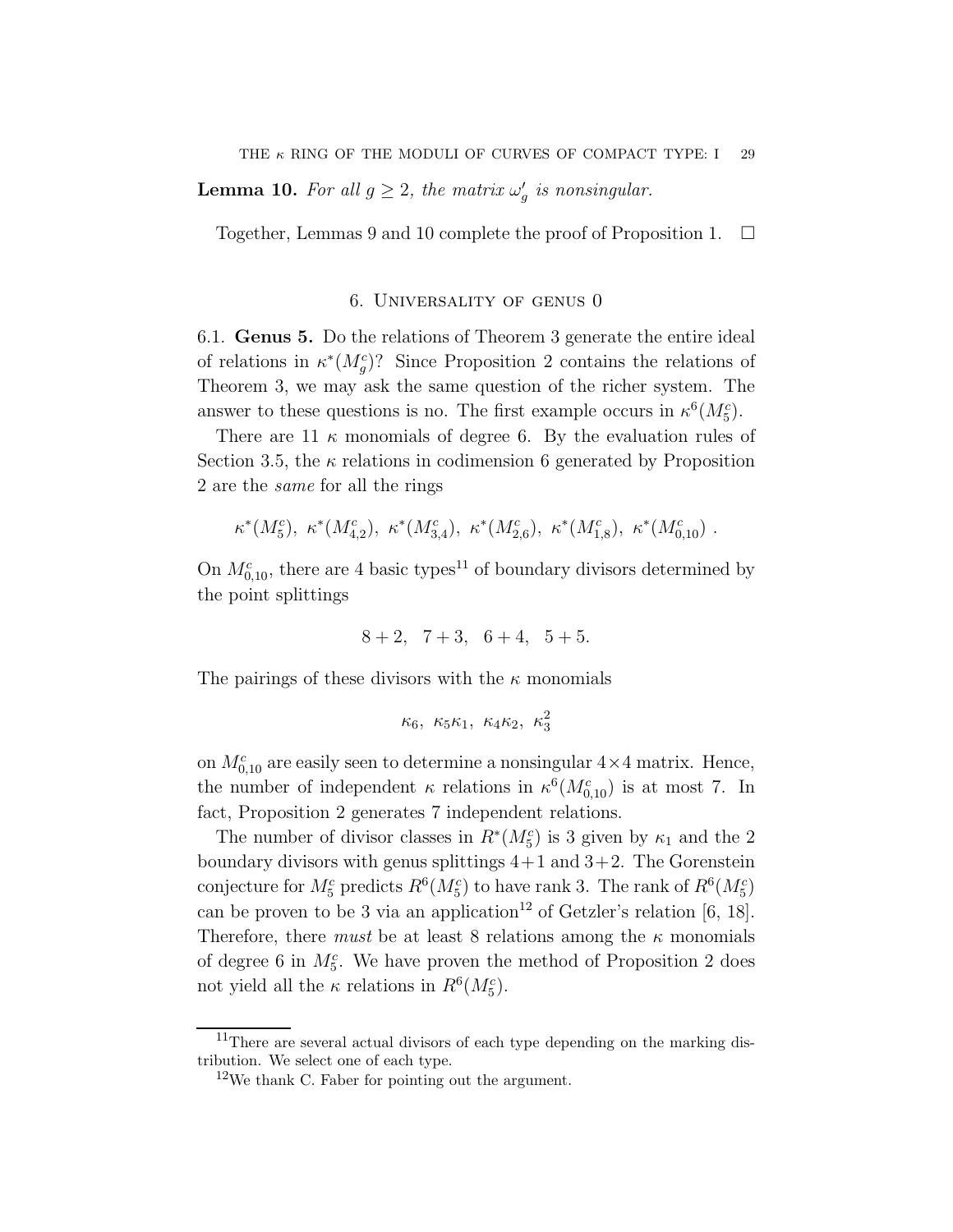**Lemma 10.** For all  $g \geq 2$ , the matrix  $\omega_g'$  is nonsingular.

Together, Lemmas 9 and 10 complete the proof of Proposition 1.  $\Box$ 

## 6. Universality of genus 0

6.1. Genus 5. Do the relations of Theorem 3 generate the entire ideal of relations in  $\kappa^*(M_g^c)$ ? Since Proposition 2 contains the relations of Theorem 3, we may ask the same question of the richer system. The answer to these questions is no. The first example occurs in  $\kappa^6(M_5^c)$ .

There are 11  $\kappa$  monomials of degree 6. By the evaluation rules of Section 3.5, the  $\kappa$  relations in codimension 6 generated by Proposition 2 are the same for all the rings

$$
\kappa^*(M_5^c)
$$
,  $\kappa^*(M_{4,2}^c)$ ,  $\kappa^*(M_{3,4}^c)$ ,  $\kappa^*(M_{2,6}^c)$ ,  $\kappa^*(M_{1,8}^c)$ ,  $\kappa^*(M_{0,10}^c)$ .

On  $M_{0,10}^c$ , there are 4 basic types<sup>11</sup> of boundary divisors determined by the point splittings

$$
8+2
$$
,  $7+3$ ,  $6+4$ ,  $5+5$ .

The pairings of these divisors with the  $\kappa$  monomials

$$
\kappa_6,\ \kappa_5\kappa_1,\ \kappa_4\kappa_2,\ \kappa_3^2
$$

on  $M_{0,10}^c$  are easily seen to determine a nonsingular  $4 \times 4$  matrix. Hence, the number of independent  $\kappa$  relations in  $\kappa^6(M_{0,10}^c)$  is at most 7. In fact, Proposition 2 generates 7 independent relations.

The number of divisor classes in  $R^*(M_5^c)$  is 3 given by  $\kappa_1$  and the 2 boundary divisors with genus splittings  $4+1$  and  $3+2$ . The Gorenstein conjecture for  $M_5^c$  predicts  $R^6(M_5^c)$  to have rank 3. The rank of  $R^6(M_5^c)$ can be proven to be 3 via an application<sup>12</sup> of Getzler's relation [6, 18]. Therefore, there *must* be at least 8 relations among the  $\kappa$  monomials of degree 6 in  $M_5^c$ . We have proven the method of Proposition 2 does not yield all the  $\kappa$  relations in  $R^6(M_5^c)$ .

<sup>&</sup>lt;sup>11</sup>There are several actual divisors of each type depending on the marking distribution. We select one of each type.

 $12$ We thank C. Faber for pointing out the argument.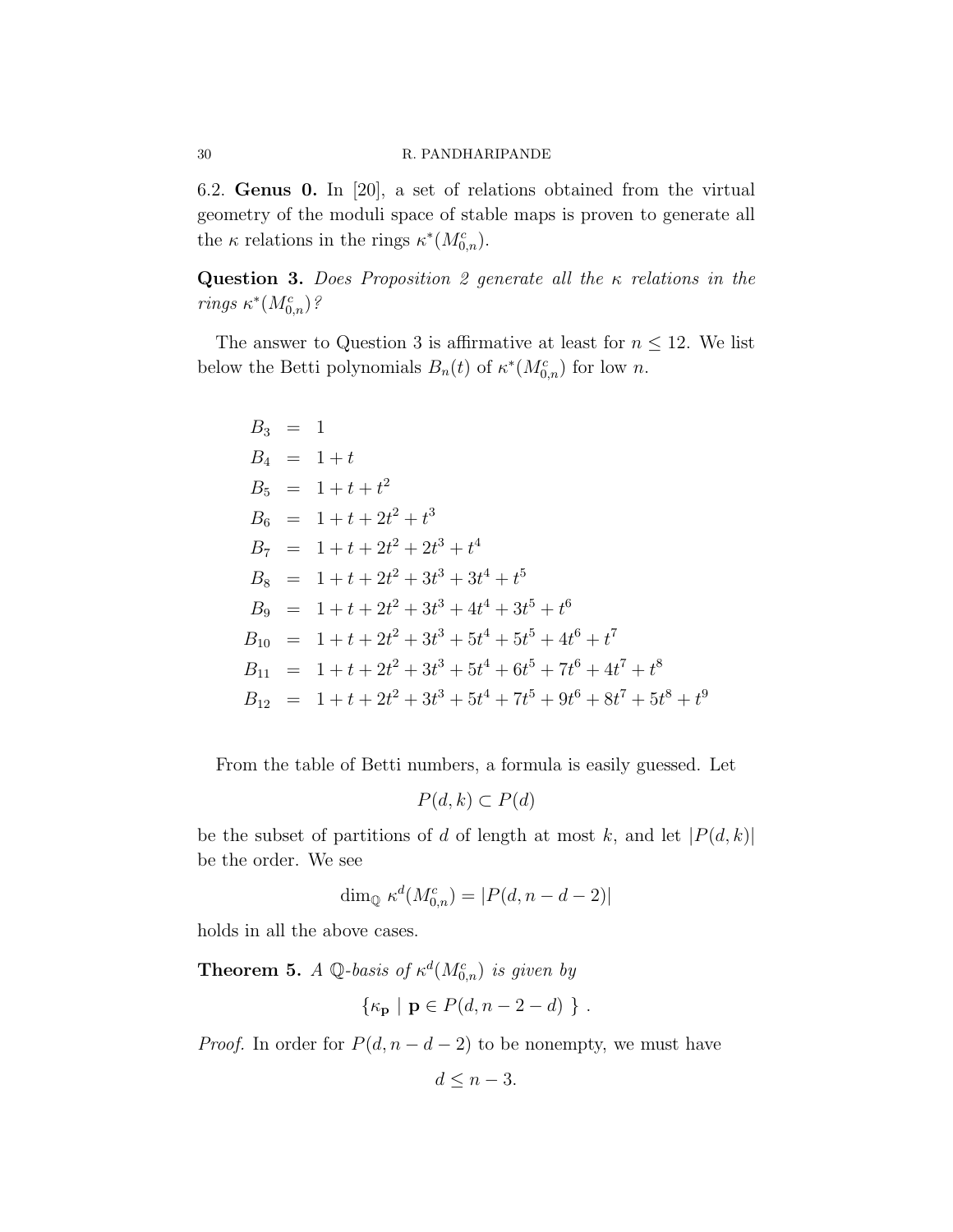6.2. Genus 0. In [20], a set of relations obtained from the virtual geometry of the moduli space of stable maps is proven to generate all the  $\kappa$  relations in the rings  $\kappa^*(M_{0,n}^c)$ .

**Question 3.** Does Proposition 2 generate all the  $\kappa$  relations in the rings  $\kappa^*(M_{0,n}^c)$ ?

The answer to Question 3 is affirmative at least for  $n \leq 12$ . We list below the Betti polynomials  $B_n(t)$  of  $\kappa^*(M_{0,n}^c)$  for low n.

$$
B_3 = 1
$$
  
\n
$$
B_4 = 1 + t
$$
  
\n
$$
B_5 = 1 + t + t^2
$$
  
\n
$$
B_6 = 1 + t + 2t^2 + t^3
$$
  
\n
$$
B_7 = 1 + t + 2t^2 + 2t^3 + t^4
$$
  
\n
$$
B_8 = 1 + t + 2t^2 + 3t^3 + 3t^4 + t^5
$$
  
\n
$$
B_9 = 1 + t + 2t^2 + 3t^3 + 4t^4 + 3t^5 + t^6
$$
  
\n
$$
B_{10} = 1 + t + 2t^2 + 3t^3 + 5t^4 + 5t^5 + 4t^6 + t^7
$$
  
\n
$$
B_{11} = 1 + t + 2t^2 + 3t^3 + 5t^4 + 6t^5 + 7t^6 + 4t^7 + t^8
$$
  
\n
$$
B_{12} = 1 + t + 2t^2 + 3t^3 + 5t^4 + 7t^5 + 9t^6 + 8t^7 + 5t^8 + t^9
$$

From the table of Betti numbers, a formula is easily guessed. Let

$$
P(d,k) \subset P(d)
$$

be the subset of partitions of d of length at most k, and let  $|P(d, k)|$ be the order. We see

$$
\dim_{\mathbb{Q}} \kappa^d(M^c_{0,n}) = |P(d, n-d-2)|
$$

holds in all the above cases.

**Theorem 5.** A Q-basis of  $\kappa^d(M_{0,n}^c)$  is given by

$$
\{\kappa_{\mathbf{p}} \mid \mathbf{p} \in P(d, n-2-d)\ \} .
$$

*Proof.* In order for  $P(d, n - d - 2)$  to be nonempty, we must have

$$
d \leq n-3.
$$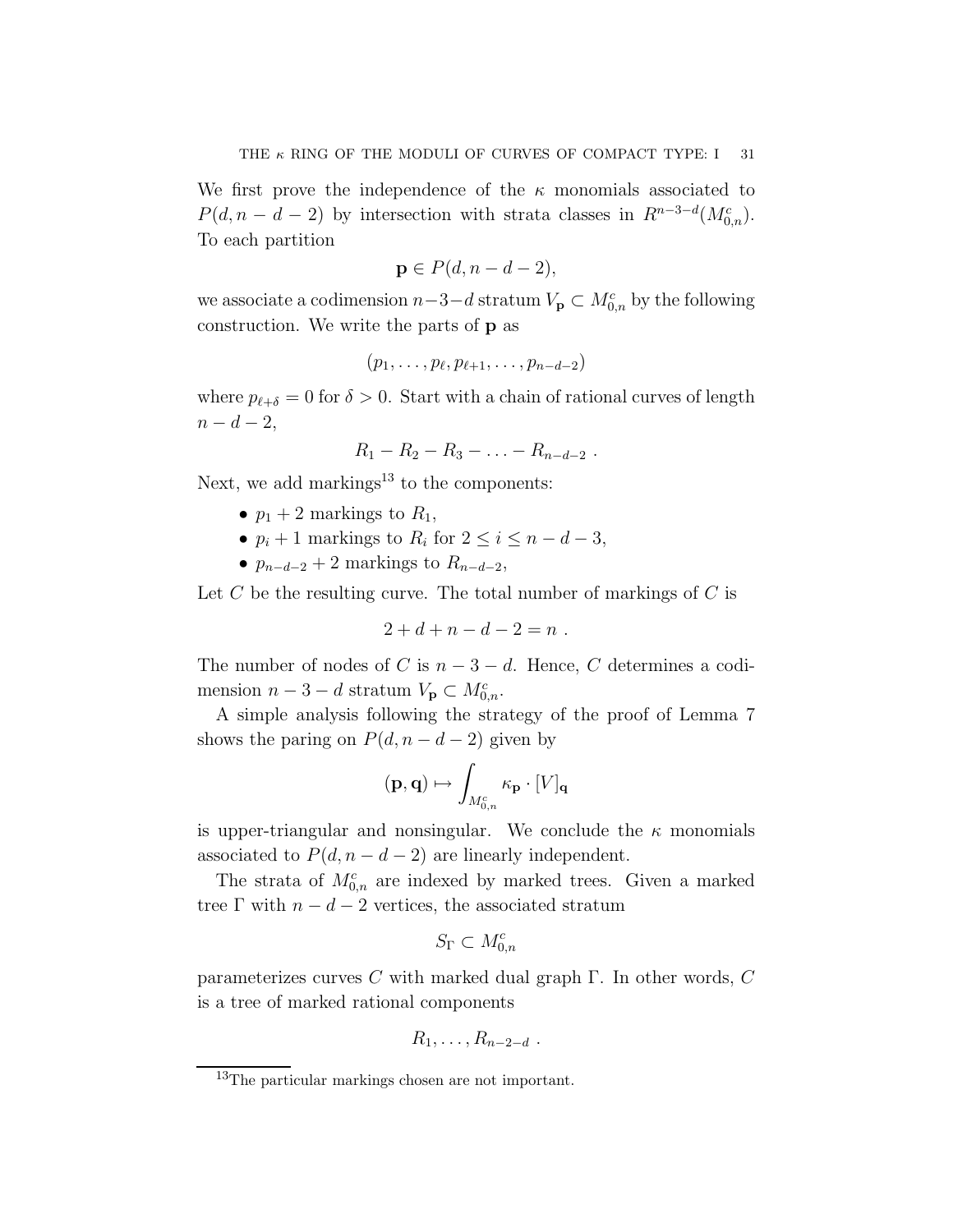We first prove the independence of the  $\kappa$  monomials associated to  $P(d, n - d - 2)$  by intersection with strata classes in  $R^{n-3-d}(M_{0,n}^c)$ . To each partition

$$
\mathbf{p} \in P(d, n-d-2),
$$

we associate a codimension  $n-3-d$  stratum  $V_{\mathbf{p}} \subset M_{0,n}^c$  by the following construction. We write the parts of p as

$$
(p_1,\ldots,p_\ell,p_{\ell+1},\ldots,p_{n-d-2})
$$

where  $p_{\ell+\delta} = 0$  for  $\delta > 0$ . Start with a chain of rational curves of length  $n - d - 2$ ,

$$
R_1 - R_2 - R_3 - \ldots - R_{n-d-2} \; .
$$

Next, we add markings<sup>13</sup> to the components:

- $p_1 + 2$  markings to  $R_1$ ,
- $p_i + 1$  markings to  $R_i$  for  $2 \leq i \leq n d 3$ ,
- $p_{n-d-2} + 2$  markings to  $R_{n-d-2}$ ,

Let  $C$  be the resulting curve. The total number of markings of  $C$  is

$$
2 + d + n - d - 2 = n .
$$

The number of nodes of C is  $n-3-d$ . Hence, C determines a codimension  $n-3-d$  stratum  $V_{\mathbf{p}} \subset M_{0,n}^c$ .

A simple analysis following the strategy of the proof of Lemma 7 shows the paring on  $P(d, n - d - 2)$  given by

$$
(\mathbf{p},\mathbf{q})\mapsto \int_{M_{0,n}^c}\kappa_\mathbf{p}\cdot [V]_\mathbf{q}
$$

is upper-triangular and nonsingular. We conclude the  $\kappa$  monomials associated to  $P(d, n - d - 2)$  are linearly independent.

The strata of  $M_{0,n}^c$  are indexed by marked trees. Given a marked tree  $\Gamma$  with  $n - d - 2$  vertices, the associated stratum

$$
S_{\Gamma} \subset M_{0,n}^c
$$

parameterizes curves  $C$  with marked dual graph  $\Gamma$ . In other words,  $C$ is a tree of marked rational components

$$
R_1,\ldots,R_{n-2-d} .
$$

<sup>13</sup>The particular markings chosen are not important.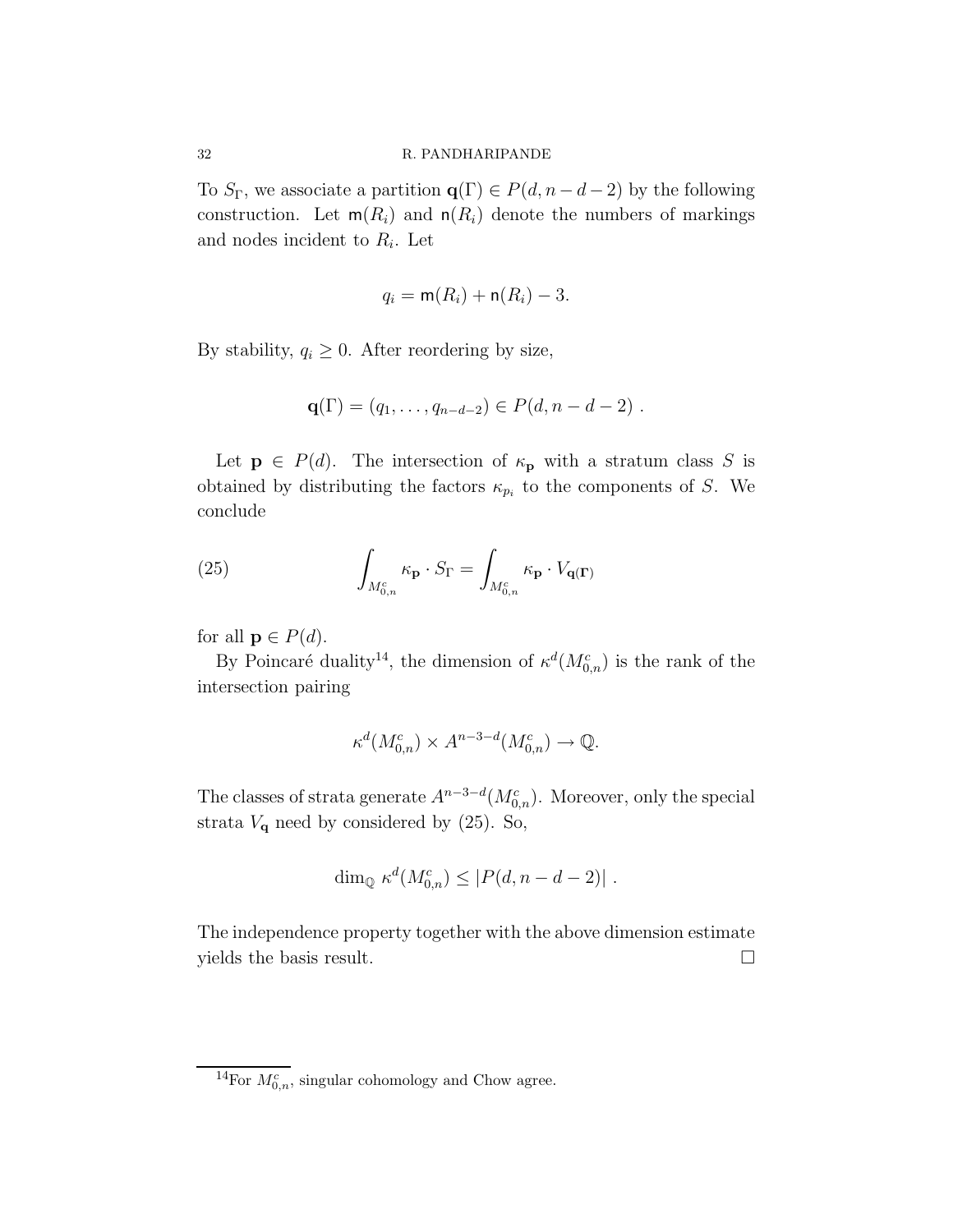To  $S_{\Gamma}$ , we associate a partition  $\mathbf{q}(\Gamma) \in P(d, n-d-2)$  by the following construction. Let  $m(R_i)$  and  $n(R_i)$  denote the numbers of markings and nodes incident to  $R_i$ . Let

$$
q_i = \mathsf{m}(R_i) + \mathsf{n}(R_i) - 3.
$$

By stability,  $q_i \geq 0$ . After reordering by size,

$$
\mathbf{q}(\Gamma) = (q_1, \ldots, q_{n-d-2}) \in P(d, n-d-2) \; .
$$

Let  $p \in P(d)$ . The intersection of  $\kappa_p$  with a stratum class S is obtained by distributing the factors  $\kappa_{p_i}$  to the components of S. We conclude

(25) 
$$
\int_{M_{0,n}^c} \kappa_{\mathbf{p}} \cdot S_{\Gamma} = \int_{M_{0,n}^c} \kappa_{\mathbf{p}} \cdot V_{\mathbf{q}(\Gamma)}
$$

for all  $\mathbf{p} \in P(d)$ .

By Poincaré duality<sup>14</sup>, the dimension of  $\kappa^d(M_{0,n}^c)$  is the rank of the intersection pairing

$$
\kappa^d(M_{0,n}^c) \times A^{n-3-d}(M_{0,n}^c) \to \mathbb{Q}.
$$

The classes of strata generate  $A^{n-3-d}(M_{0,n}^c)$ . Moreover, only the special strata  $V_{\mathbf{q}}$  need by considered by (25). So,

$$
\dim_{\mathbb{Q}} \kappa^d(M_{0,n}^c) \leq |P(d, n-d-2)|.
$$

The independence property together with the above dimension estimate yields the basis result.

<sup>&</sup>lt;sup>14</sup>For  $M_{0,n}^c$ , singular cohomology and Chow agree.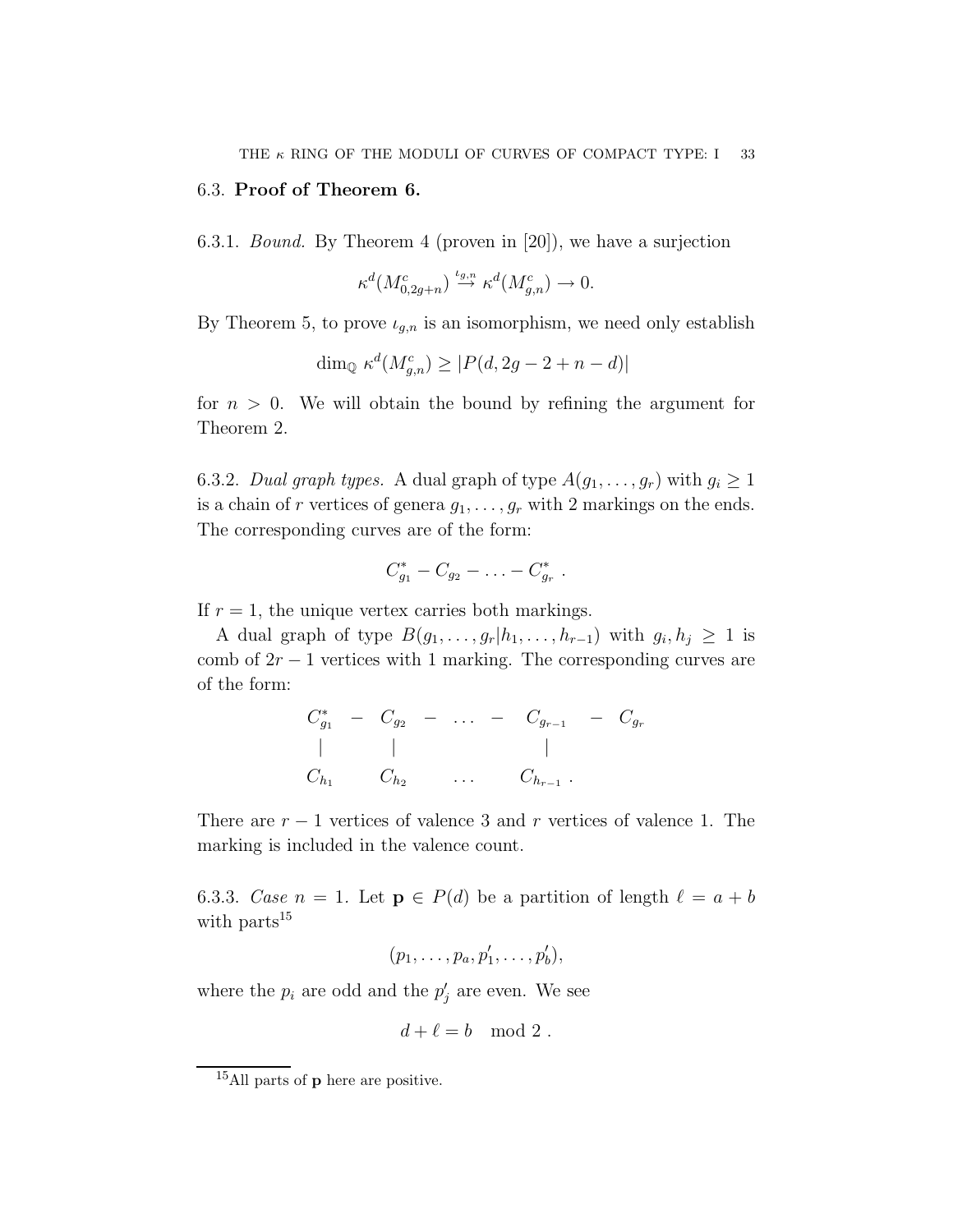# 6.3. Proof of Theorem 6.

6.3.1. Bound. By Theorem 4 (proven in [20]), we have a surjection

$$
\kappa^d(M^c_{0,2g+n}) \stackrel{\iota_{g,n}}{\to} \kappa^d(M^c_{g,n}) \to 0.
$$

By Theorem 5, to prove  $\iota_{g,n}$  is an isomorphism, we need only establish

$$
\dim_{\mathbb{Q}} \kappa^d(M_{g,n}^c) \ge |P(d, 2g - 2 + n - d)|
$$

for  $n > 0$ . We will obtain the bound by refining the argument for Theorem 2.

6.3.2. Dual graph types. A dual graph of type  $A(g_1, \ldots, g_r)$  with  $g_i \geq 1$ is a chain of r vertices of genera  $g_1, \ldots, g_r$  with 2 markings on the ends. The corresponding curves are of the form:

$$
C_{g_1}^* - C_{g_2} - \ldots - C_{g_r}^*.
$$

If  $r = 1$ , the unique vertex carries both markings.

A dual graph of type  $B(g_1, \ldots, g_r | h_1, \ldots, h_{r-1})$  with  $g_i, h_j \geq 1$  is comb of  $2r - 1$  vertices with 1 marking. The corresponding curves are of the form:

$$
C_{g_1}^* - C_{g_2} - \dots - C_{g_{r-1}} - C_{g_r}
$$
  
\n| |   
\nC\_{h\_1} C\_{h\_2} \dots C\_{h\_{r-1}}

There are  $r - 1$  vertices of valence 3 and r vertices of valence 1. The marking is included in the valence count.

6.3.3. Case  $n = 1$ . Let  $p \in P(d)$  be a partition of length  $\ell = a + b$ with parts<sup>15</sup>

$$
(p_1,\ldots,p_a,p'_1,\ldots,p'_b),
$$

where the  $p_i$  are odd and the  $p'_j$  are even. We see

$$
d+\ell = b \mod 2.
$$

<sup>&</sup>lt;sup>15</sup>All parts of **p** here are positive.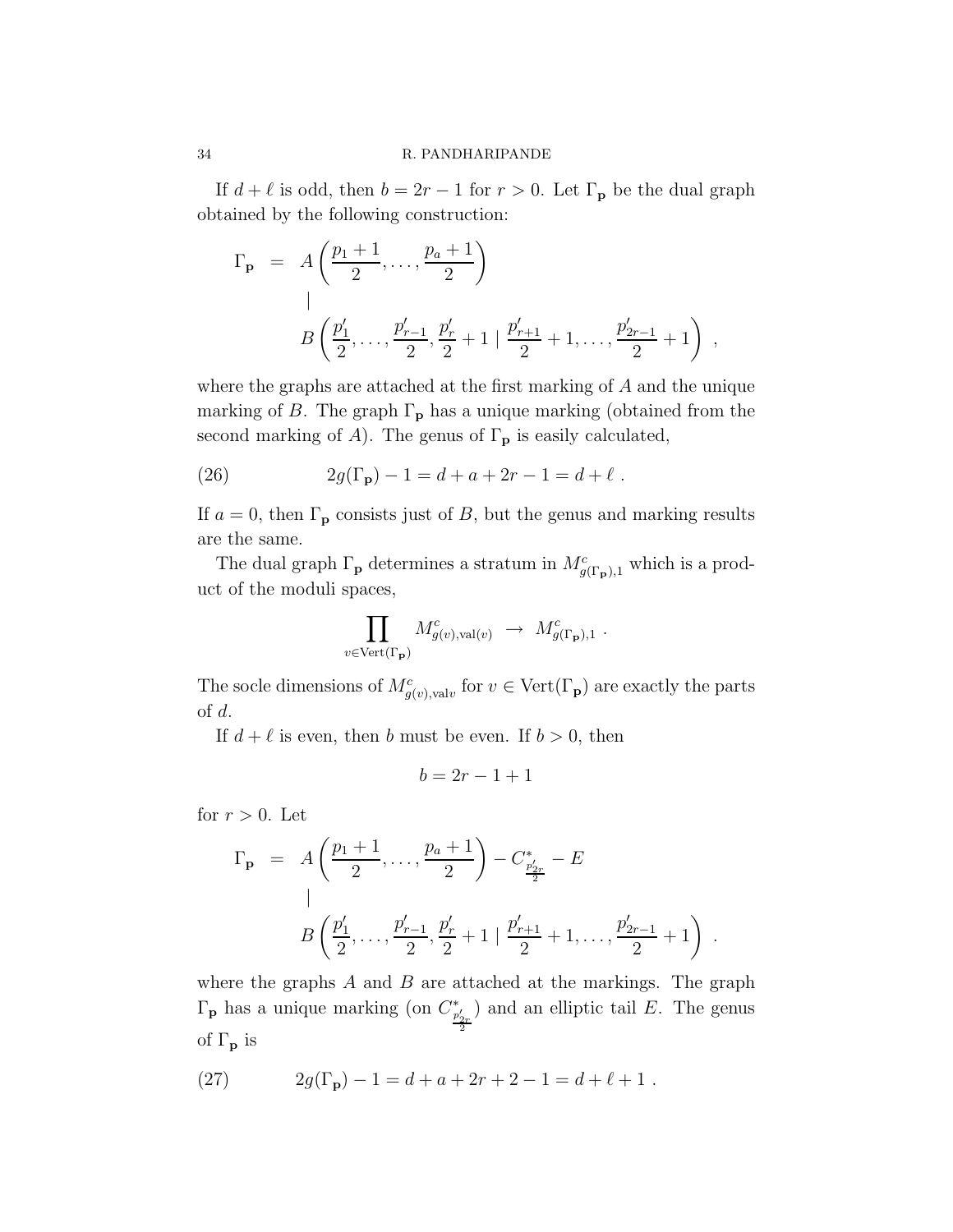If  $d + \ell$  is odd, then  $b = 2r - 1$  for  $r > 0$ . Let  $\Gamma_p$  be the dual graph obtained by the following construction:

$$
\Gamma_{\mathbf{p}} = A\left(\frac{p_1+1}{2}, \dots, \frac{p_a+1}{2}\right)
$$
\n
$$
B\left(\frac{p'_1}{2}, \dots, \frac{p'_{r-1}}{2}, \frac{p'_r}{2}+1 \mid \frac{p'_{r+1}}{2}+1, \dots, \frac{p'_{2r-1}}{2}+1\right),
$$

where the graphs are attached at the first marking of A and the unique marking of B. The graph  $\Gamma_{\mathbf{p}}$  has a unique marking (obtained from the second marking of A). The genus of  $\Gamma_{\mathbf{p}}$  is easily calculated,

(26) 
$$
2g(\Gamma_{\mathbf{p}}) - 1 = d + a + 2r - 1 = d + \ell.
$$

If  $a = 0$ , then  $\Gamma_{\mathbf{p}}$  consists just of B, but the genus and marking results are the same.

The dual graph  $\Gamma_{\mathbf{p}}$  determines a stratum in  $M_{g(\Gamma_{\mathbf{p}}),1}^c$  which is a product of the moduli spaces,

$$
\prod_{v \in \text{Vert}(\Gamma_{\mathbf{p}})} M_{g(v), \text{val}(v)}^c \rightarrow M_{g(\Gamma_{\mathbf{p}}), 1}^c.
$$

The socle dimensions of  $M_{g(v),\text{val}v}^c$  for  $v \in \text{Vert}(\Gamma_{\mathbf{p}})$  are exactly the parts of d.

If  $d + \ell$  is even, then b must be even. If  $b > 0$ , then

$$
b = 2r - 1 + 1
$$

for  $r > 0$ . Let

$$
\Gamma_{\mathbf{p}} = A\left(\frac{p_1+1}{2}, \dots, \frac{p_a+1}{2}\right) - C_{\frac{p'_{2r}}{2}}^* - E
$$
\n
$$
B\left(\frac{p'_1}{2}, \dots, \frac{p'_{r-1}}{2}, \frac{p'_r}{2}+1 \mid \frac{p'_{r+1}}{2}+1, \dots, \frac{p'_{2r-1}}{2}+1\right)
$$

.

where the graphs  $A$  and  $B$  are attached at the markings. The graph  $\Gamma_{\mathbf{p}}$  has a unique marking (on  $C_{\frac{p'_{2r}}{2}}^*$ ) and an elliptic tail  $E$ . The genus of  $\Gamma_{\mathbf{p}}$  is

(27) 
$$
2g(\Gamma_{\mathbf{p}}) - 1 = d + a + 2r + 2 - 1 = d + \ell + 1.
$$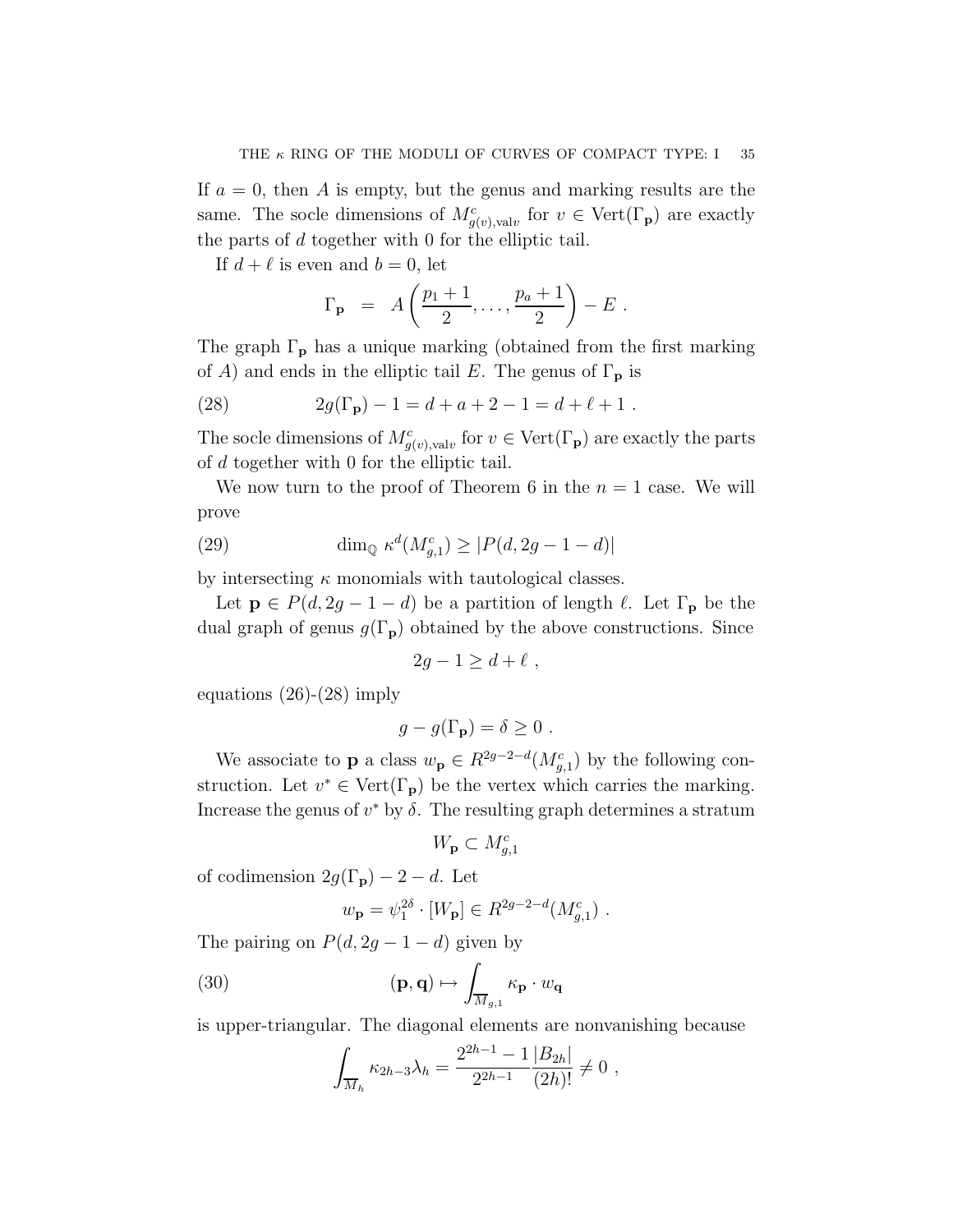If  $a = 0$ , then A is empty, but the genus and marking results are the same. The socle dimensions of  $M_{g(v),\text{val}v}^c$  for  $v \in \text{Vert}(\Gamma_{\mathbf{p}})$  are exactly the parts of d together with 0 for the elliptic tail.

If  $d + \ell$  is even and  $b = 0$ , let

$$
\Gamma_{\mathbf{p}} = A\left(\frac{p_1+1}{2},\ldots,\frac{p_a+1}{2}\right) - E.
$$

The graph  $\Gamma_{\mathbf{p}}$  has a unique marking (obtained from the first marking of A) and ends in the elliptic tail E. The genus of  $\Gamma_{\mathbf{p}}$  is

(28) 
$$
2g(\Gamma_{\mathbf{p}}) - 1 = d + a + 2 - 1 = d + \ell + 1.
$$

The socle dimensions of  $M_{g(v),\text{val}v}^c$  for  $v \in \text{Vert}(\Gamma_{\mathbf{p}})$  are exactly the parts of d together with 0 for the elliptic tail.

We now turn to the proof of Theorem 6 in the  $n = 1$  case. We will prove

(29) 
$$
\dim_{\mathbb{Q}} \kappa^d(M_{g,1}^c) \ge |P(d, 2g - 1 - d)|
$$

by intersecting  $\kappa$  monomials with tautological classes.

Let  $p \in P(d, 2g - 1 - d)$  be a partition of length  $\ell$ . Let  $\Gamma_p$  be the dual graph of genus  $g(\Gamma_p)$  obtained by the above constructions. Since

$$
2g - 1 \ge d + \ell \;,
$$

equations  $(26)-(28)$  imply

$$
g - g(\Gamma_{\mathbf{p}}) = \delta \ge 0.
$$

We associate to **p** a class  $w_{\mathbf{p}} \in R^{2g-2-d}(M_{g,1}^c)$  by the following construction. Let  $v^* \in \text{Vert}(\Gamma_p)$  be the vertex which carries the marking. Increase the genus of  $v^*$  by  $\delta$ . The resulting graph determines a stratum

$$
W_{\mathbf{p}}\subset M_{g,1}^c
$$

of codimension  $2g(\Gamma_p) - 2 - d$ . Let

$$
w_{\mathbf{p}} = \psi_1^{2\delta} \cdot [W_{\mathbf{p}}] \in R^{2g-2-d}(M_{g,1}^c)
$$
.

The pairing on  $P(d, 2g - 1 - d)$  given by

(30) 
$$
(\mathbf{p}, \mathbf{q}) \mapsto \int_{\overline{M}_{g,1}} \kappa_{\mathbf{p}} \cdot w_{\mathbf{q}}
$$

is upper-triangular. The diagonal elements are nonvanishing because

$$
\int_{\overline{M}_h} \kappa_{2h-3} \lambda_h = \frac{2^{2h-1} - 1}{2^{2h-1}} \frac{|B_{2h}|}{(2h)!} \neq 0,
$$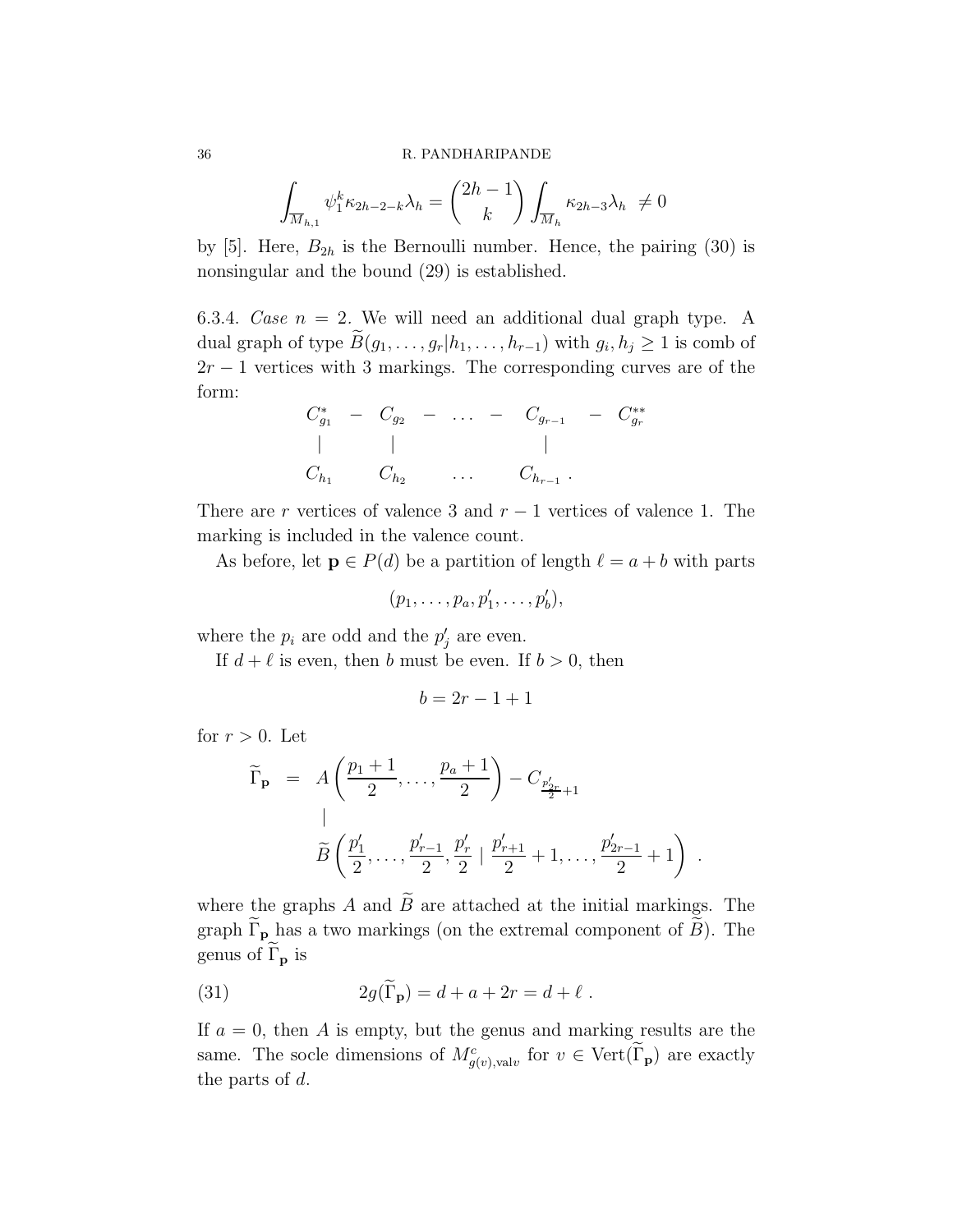$$
\int_{\overline{M}_{h,1}} \psi_1^k \kappa_{2h-2-k} \lambda_h = {2h-1 \choose k} \int_{\overline{M}_h} \kappa_{2h-3} \lambda_h \neq 0
$$

by [5]. Here,  $B_{2h}$  is the Bernoulli number. Hence, the pairing (30) is nonsingular and the bound (29) is established.

6.3.4. Case  $n = 2$ . We will need an additional dual graph type. A dual graph of type  $B(g_1, \ldots, g_r | h_1, \ldots, h_{r-1})$  with  $g_i, h_j \geq 1$  is comb of  $2r - 1$  vertices with 3 markings. The corresponding curves are of the form:

$$
C_{g_1}^* - C_{g_2} - \dots - C_{g_{r-1}} - C_{g_r}^*
$$
  
\n| |   
\n
$$
C_{h_1} C_{h_2} \dots C_{h_{r-1}}.
$$

There are r vertices of valence 3 and  $r - 1$  vertices of valence 1. The marking is included in the valence count.

As before, let  $p \in P(d)$  be a partition of length  $\ell = a + b$  with parts

$$
(p_1,\ldots,p_a,p'_1,\ldots,p'_b),
$$

where the  $p_i$  are odd and the  $p'_j$  are even.

If  $d + \ell$  is even, then b must be even. If  $b > 0$ , then

$$
b = 2r - 1 + 1
$$

for  $r > 0$ . Let

$$
\widetilde{\Gamma}_{\mathbf{p}} = A\left(\frac{p_1+1}{2}, \dots, \frac{p_a+1}{2}\right) - C_{\frac{p'_{2r}}{2}+1}
$$
\n
$$
\widetilde{B}\left(\frac{p'_1}{2}, \dots, \frac{p'_{r-1}}{2}, \frac{p'_r}{2} \mid \frac{p'_{r+1}}{2}+1, \dots, \frac{p'_{2r-1}}{2}+1\right) .
$$

where the graphs A and  $\widetilde{B}$  are attached at the initial markings. The graph  $\Gamma_p$  has a two markings (on the extremal component of B). The genus of  $\Gamma_{\mathbf{p}}$  is

(31) 
$$
2g(\Gamma_{\mathbf{p}}) = d + a + 2r = d + \ell.
$$

If  $a = 0$ , then A is empty, but the genus and marking results are the same. The socle dimensions of  $M_{g(v),\text{val}v}^c$  for  $v \in \text{Vert}(\tilde{\Gamma}_{\mathbf{p}})$  are exactly the parts of d.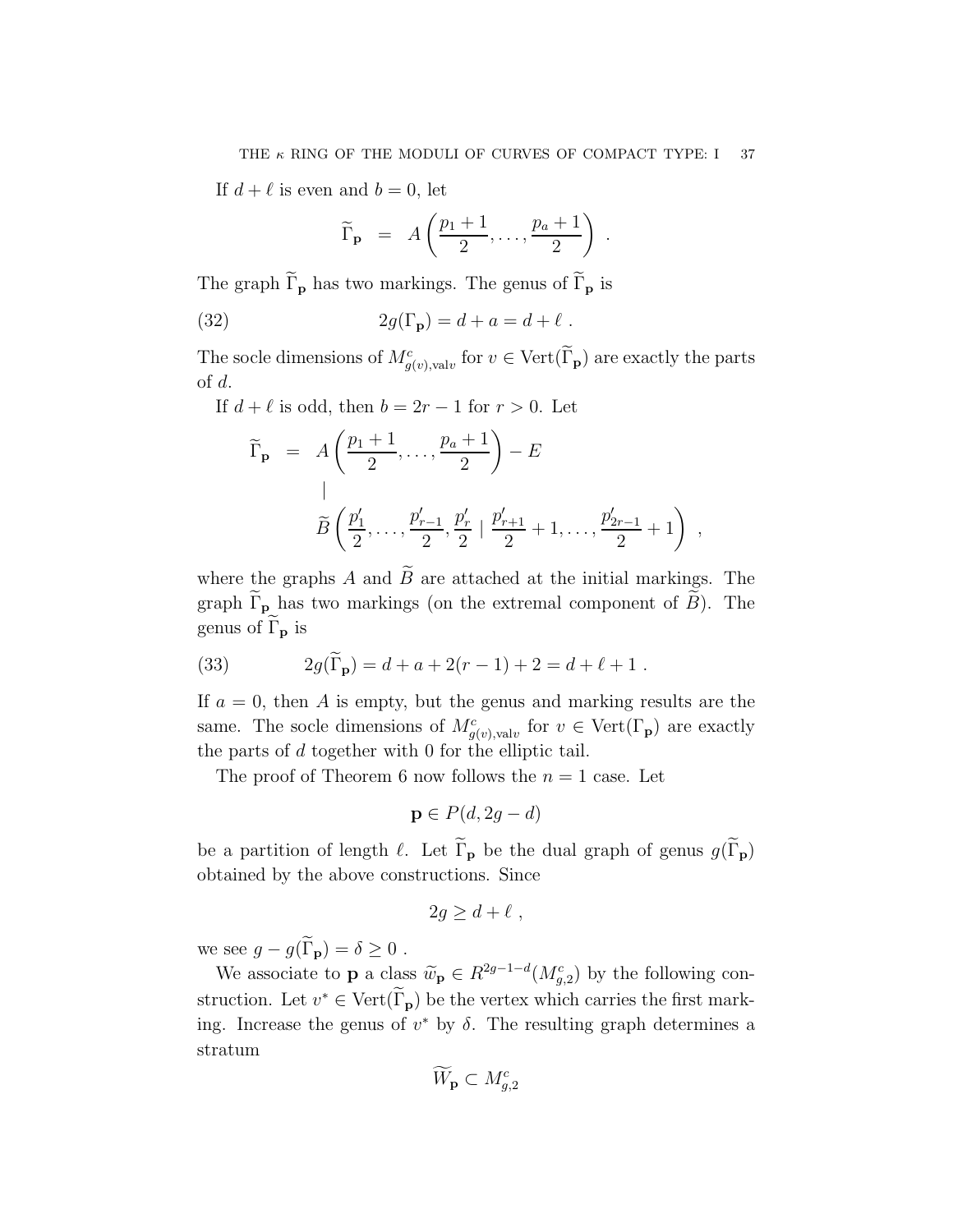If  $d + \ell$  is even and  $b = 0$ , let

$$
\widetilde{\Gamma}_{\mathbf{p}} = A\left(\frac{p_1+1}{2}, \ldots, \frac{p_a+1}{2}\right) .
$$

The graph  $\widetilde{\Gamma}_{\mathbf{p}}$  has two markings. The genus of  $\widetilde{\Gamma}_{\mathbf{p}}$  is

(32) 
$$
2g(\Gamma_{\mathbf{p}}) = d + a = d + \ell.
$$

The socle dimensions of  $M_{g(v),\text{val}v}^c$  for  $v \in \text{Vert}(\Gamma_{\mathbf{p}})$  are exactly the parts of d.

If  $d + \ell$  is odd, then  $b = 2r - 1$  for  $r > 0$ . Let

$$
\widetilde{\Gamma}_{\mathbf{p}} = A\left(\frac{p_1+1}{2}, \dots, \frac{p_a+1}{2}\right) - E
$$
\n
$$
\widetilde{B}\left(\frac{p'_1}{2}, \dots, \frac{p'_{r-1}}{2}, \frac{p'_r}{2} \mid \frac{p'_{r+1}}{2} + 1, \dots, \frac{p'_{2r-1}}{2} + 1\right) ,
$$

where the graphs A and  $\widetilde{B}$  are attached at the initial markings. The graph  $\widetilde{\Gamma}_{\mathbf{p}}$  has two markings (on the extremal component of  $\widetilde{B}$ ). The genus of  $\widetilde{\Gamma}_{\mathbf{p}}$  is

(33) 
$$
2g(\widetilde{\Gamma}_{\mathbf{p}}) = d + a + 2(r - 1) + 2 = d + \ell + 1.
$$

If  $a = 0$ , then A is empty, but the genus and marking results are the same. The socle dimensions of  $M_{g(v),\text{val}v}^c$  for  $v \in \text{Vert}(\Gamma_{\mathbf{p}})$  are exactly the parts of d together with 0 for the elliptic tail.

The proof of Theorem 6 now follows the  $n = 1$  case. Let

$$
\mathbf{p} \in P(d, 2g - d)
$$

be a partition of length  $\ell$ . Let  $\widetilde{\Gamma}_{p}$  be the dual graph of genus  $g(\widetilde{\Gamma}_{p})$ obtained by the above constructions. Since

$$
2g \ge d + \ell \;,
$$

we see  $g - g(\widetilde{\Gamma}_{\mathbf{p}}) = \delta \geq 0$ .

We associate to **p** a class  $\widetilde{w}_p \in R^{2g-1-d}(M_{g,2}^c)$  by the following construction. Let  $v^* \in \text{Vert}(\Gamma_p)$  be the vertex which carries the first marking. Increase the genus of  $v^*$  by  $\delta$ . The resulting graph determines a stratum

$$
\widetilde{W}_{\mathbf{p}}\subset M_{g,2}^c
$$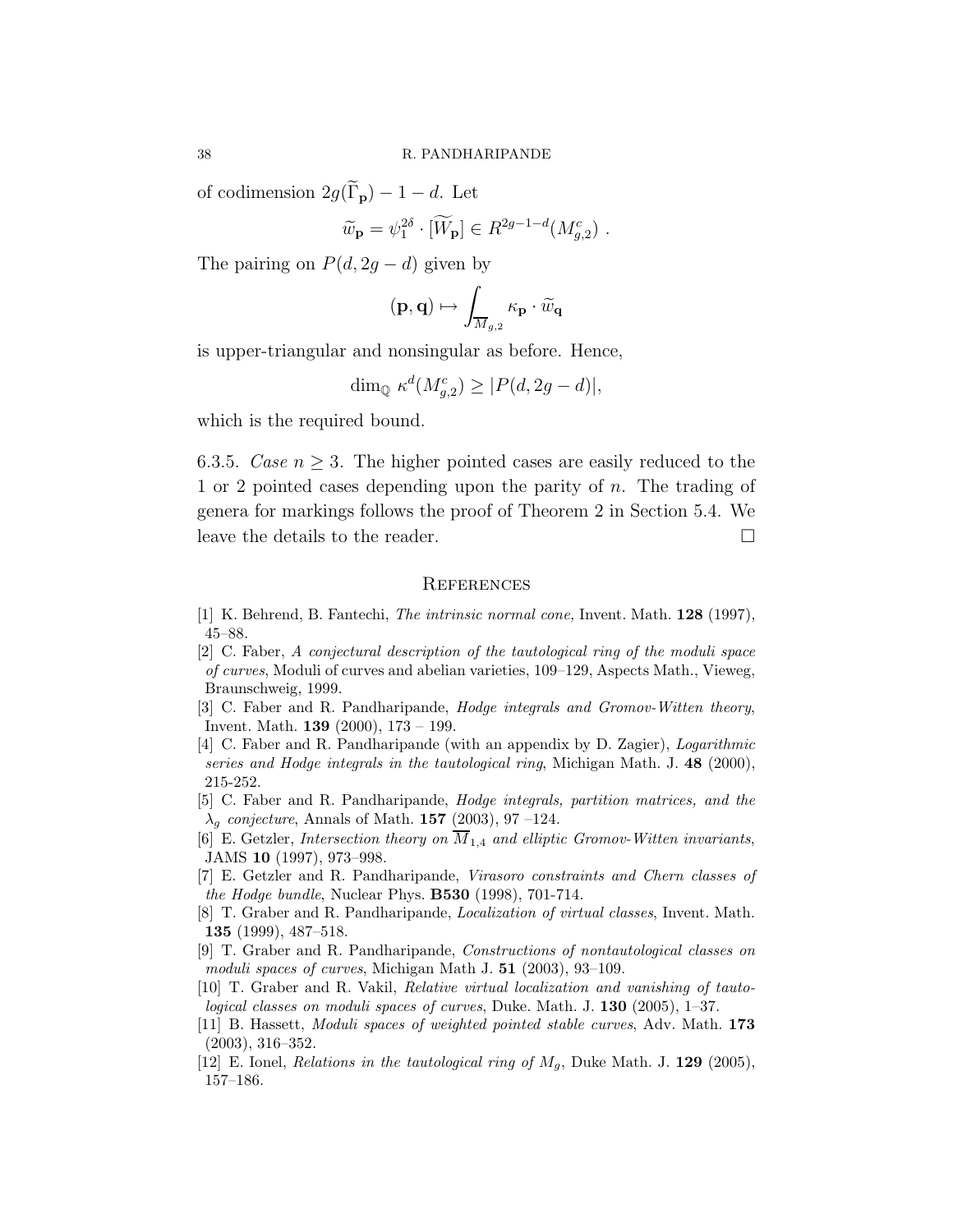of codimension  $2g(\widetilde{\Gamma}_{\mathbf{p}}) - 1 - d$ . Let

$$
\widetilde{w}_{\mathbf{p}} = \psi_1^{2\delta} \cdot [\widetilde{W}_{\mathbf{p}}] \in R^{2g-1-d}(M_{g,2}^c) \ .
$$

The pairing on  $P(d, 2g - d)$  given by

$$
(\mathbf{p},\mathbf{q})\mapsto \int_{\overline{M}_{g,2}} \kappa_\mathbf{p} \cdot \widetilde{w}_{\mathbf{q}}
$$

is upper-triangular and nonsingular as before. Hence,

$$
\dim_{\mathbb{Q}} \kappa^d(M_{g,2}^c) \ge |P(d, 2g - d)|,
$$

which is the required bound.

6.3.5. Case  $n \geq 3$ . The higher pointed cases are easily reduced to the 1 or 2 pointed cases depending upon the parity of n. The trading of genera for markings follows the proof of Theorem 2 in Section 5.4. We leave the details to the reader.

#### **REFERENCES**

- [1] K. Behrend, B. Fantechi, The intrinsic normal cone, Invent. Math. 128 (1997), 45–88.
- [2] C. Faber, A conjectural description of the tautological ring of the moduli space of curves, Moduli of curves and abelian varieties, 109–129, Aspects Math., Vieweg, Braunschweig, 1999.
- [3] C. Faber and R. Pandharipande, Hodge integrals and Gromov-Witten theory, Invent. Math. 139 (2000), 173 – 199.
- [4] C. Faber and R. Pandharipande (with an appendix by D. Zagier), Logarithmic series and Hodge integrals in the tautological ring, Michigan Math. J.  $48$  (2000), 215-252.
- [5] C. Faber and R. Pandharipande, Hodge integrals, partition matrices, and the  $\lambda_g$  conjecture, Annals of Math. 157 (2003), 97 –124.
- [6] E. Getzler, Intersection theory on  $\overline{M}_{1,4}$  and elliptic Gromov-Witten invariants, JAMS 10 (1997), 973–998.
- [7] E. Getzler and R. Pandharipande, Virasoro constraints and Chern classes of the Hodge bundle, Nuclear Phys. B530 (1998), 701-714.
- [8] T. Graber and R. Pandharipande, Localization of virtual classes, Invent. Math. 135 (1999), 487–518.
- [9] T. Graber and R. Pandharipande, Constructions of nontautological classes on moduli spaces of curves, Michigan Math J. 51 (2003), 93–109.
- [10] T. Graber and R. Vakil, Relative virtual localization and vanishing of tautological classes on moduli spaces of curves, Duke. Math. J. 130 (2005), 1–37.
- [11] B. Hassett, Moduli spaces of weighted pointed stable curves, Adv. Math. 173 (2003), 316–352.
- [12] E. Ionel, *Relations in the tautological ring of*  $M_q$ , Duke Math. J. **129** (2005), 157–186.